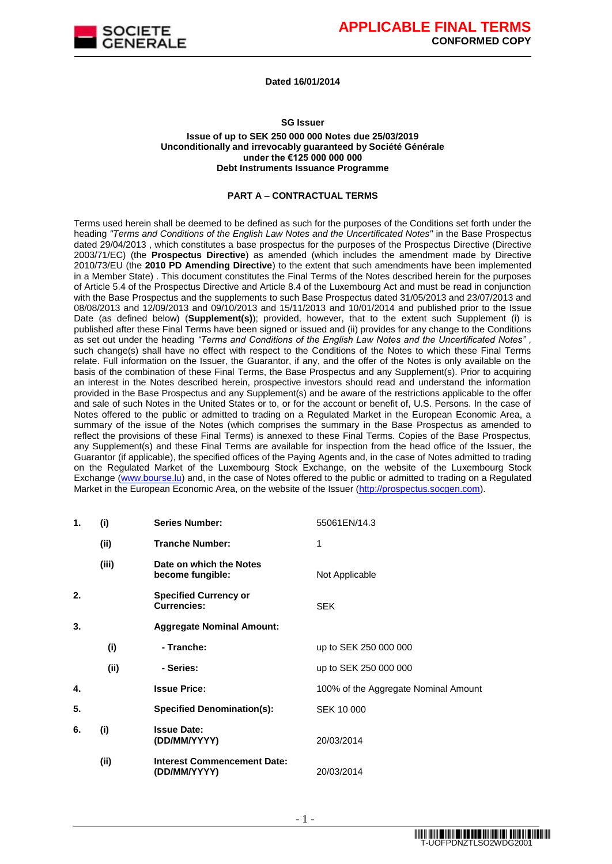

**Dated 16/01/2014**

**SG Issuer**

#### **Issue of up to SEK 250 000 000 Notes due 25/03/2019 Unconditionally and irrevocably guaranteed by Société Générale under the €125 000 000 000 Debt Instruments Issuance Programme**

#### **PART A – CONTRACTUAL TERMS**

Terms used herein shall be deemed to be defined as such for the purposes of the Conditions set forth under the heading *"Terms and Conditions of the English Law Notes and the Uncertificated Notes"* in the Base Prospectus dated 29/04/2013 , which constitutes a base prospectus for the purposes of the Prospectus Directive (Directive 2003/71/EC) (the **Prospectus Directive**) as amended (which includes the amendment made by Directive 2010/73/EU (the **2010 PD Amending Directive**) to the extent that such amendments have been implemented in a Member State) . This document constitutes the Final Terms of the Notes described herein for the purposes of Article 5.4 of the Prospectus Directive and Article 8.4 of the Luxembourg Act and must be read in conjunction with the Base Prospectus and the supplements to such Base Prospectus dated 31/05/2013 and 23/07/2013 and 08/08/2013 and 12/09/2013 and 09/10/2013 and 15/11/2013 and 10/01/2014 and published prior to the Issue Date (as defined below) (**Supplement(s)**); provided, however, that to the extent such Supplement (i) is published after these Final Terms have been signed or issued and (ii) provides for any change to the Conditions as set out under the heading *"Terms and Conditions of the English Law Notes and the Uncertificated Notes" ,*  such change(s) shall have no effect with respect to the Conditions of the Notes to which these Final Terms relate. Full information on the Issuer, the Guarantor, if any, and the offer of the Notes is only available on the basis of the combination of these Final Terms, the Base Prospectus and any Supplement(s). Prior to acquiring an interest in the Notes described herein, prospective investors should read and understand the information provided in the Base Prospectus and any Supplement(s) and be aware of the restrictions applicable to the offer and sale of such Notes in the United States or to, or for the account or benefit of, U.S. Persons. In the case of Notes offered to the public or admitted to trading on a Regulated Market in the European Economic Area, a summary of the issue of the Notes (which comprises the summary in the Base Prospectus as amended to reflect the provisions of these Final Terms) is annexed to these Final Terms. Copies of the Base Prospectus, any Supplement(s) and these Final Terms are available for inspection from the head office of the Issuer, the Guarantor (if applicable), the specified offices of the Paying Agents and, in the case of Notes admitted to trading on the Regulated Market of the Luxembourg Stock Exchange, on the website of the Luxembourg Stock Exchange [\(www.bourse.lu\)](file:///C:/Documents%20and%20Settings/svernhet030111/Local%20Settings/Temporary%20Internet%20Files/Content.Outlook/"http:/www.bourse.lu/") and, in the case of Notes offered to the public or admitted to trading on a Regulated Market in the European Economic Area, on the website of the Issuer [\(http://prospectus.socgen.com\)](file:///C:/Documents%20and%20Settings/svernhet030111/Local%20Settings/Temporary%20Internet%20Files/Content.Outlook/"http:/prospectus.socgen.com/").

| 1. | (i)   | <b>Series Number:</b>                              | 55061EN/14.3                         |
|----|-------|----------------------------------------------------|--------------------------------------|
|    | (ii)  | <b>Tranche Number:</b>                             | 1                                    |
|    | (iii) | Date on which the Notes<br>become fungible:        | Not Applicable                       |
| 2. |       | <b>Specified Currency or</b><br><b>Currencies:</b> | <b>SEK</b>                           |
| 3. |       | <b>Aggregate Nominal Amount:</b>                   |                                      |
|    | (i)   | - Tranche:                                         | up to SEK 250 000 000                |
|    | (ii)  | - Series:                                          | up to SEK 250 000 000                |
| 4. |       | <b>Issue Price:</b>                                | 100% of the Aggregate Nominal Amount |
| 5. |       | <b>Specified Denomination(s):</b>                  | SEK 10 000                           |
| 6. | (i)   | <b>Issue Date:</b><br>(DD/MM/YYYY)                 | 20/03/2014                           |
|    | (ii)  | <b>Interest Commencement Date:</b><br>(DD/MM/YYYY) | 20/03/2014                           |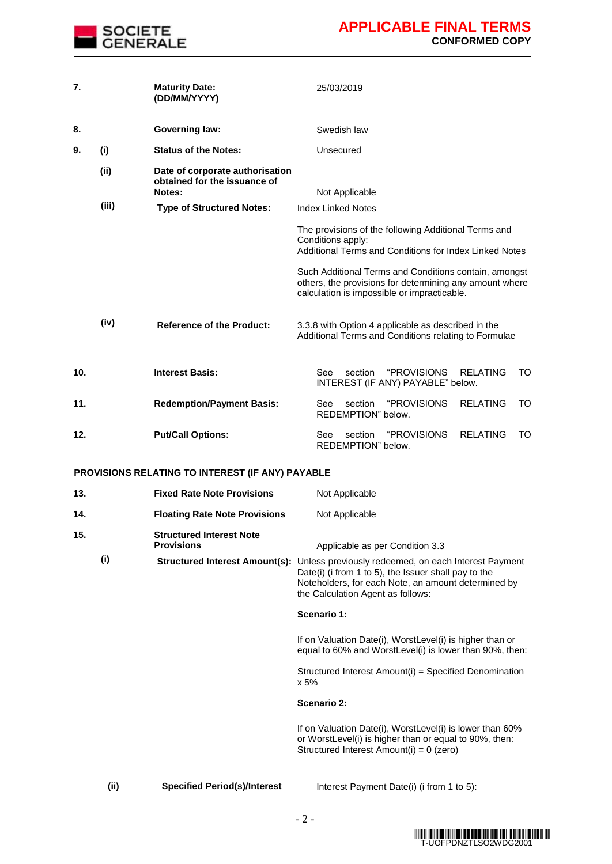

| 7.  |       | <b>Maturity Date:</b><br>(DD/MM/YYYY)                                     | 25/03/2019                                                                                                                                                                                                                              |
|-----|-------|---------------------------------------------------------------------------|-----------------------------------------------------------------------------------------------------------------------------------------------------------------------------------------------------------------------------------------|
| 8.  |       | <b>Governing law:</b>                                                     | Swedish law                                                                                                                                                                                                                             |
| 9.  | (i)   | <b>Status of the Notes:</b>                                               | Unsecured                                                                                                                                                                                                                               |
|     | (ii)  | Date of corporate authorisation<br>obtained for the issuance of<br>Notes: | Not Applicable                                                                                                                                                                                                                          |
|     | (iii) | <b>Type of Structured Notes:</b>                                          | <b>Index Linked Notes</b>                                                                                                                                                                                                               |
|     |       |                                                                           | The provisions of the following Additional Terms and<br>Conditions apply:<br>Additional Terms and Conditions for Index Linked Notes                                                                                                     |
|     |       |                                                                           | Such Additional Terms and Conditions contain, amongst<br>others, the provisions for determining any amount where<br>calculation is impossible or impracticable.                                                                         |
|     | (iv)  | <b>Reference of the Product:</b>                                          | 3.3.8 with Option 4 applicable as described in the<br>Additional Terms and Conditions relating to Formulae                                                                                                                              |
| 10. |       | <b>Interest Basis:</b>                                                    | "PROVISIONS<br>See<br>section<br><b>RELATING</b><br>TO<br>INTEREST (IF ANY) PAYABLE" below.                                                                                                                                             |
| 11. |       | <b>Redemption/Payment Basis:</b>                                          | section<br><b>"PROVISIONS</b><br><b>RELATING</b><br>TO<br>See<br>REDEMPTION" below.                                                                                                                                                     |
| 12. |       | <b>Put/Call Options:</b>                                                  | See<br>section<br><i><b>"PROVISIONS</b></i><br><b>RELATING</b><br>TO<br>REDEMPTION" below.                                                                                                                                              |
|     |       | <b>PROVISIONS RELATING TO INTEREST (IF ANY) PAYABLE</b>                   |                                                                                                                                                                                                                                         |
| 13. |       | <b>Fixed Rate Note Provisions</b>                                         | Not Applicable                                                                                                                                                                                                                          |
| 14. |       | <b>Floating Rate Note Provisions</b>                                      | Not Applicable                                                                                                                                                                                                                          |
| 15. |       | <b>Structured Interest Note</b><br><b>Provisions</b>                      | Applicable as per Condition 3.3                                                                                                                                                                                                         |
|     | (i)   |                                                                           | Structured Interest Amount(s): Unless previously redeemed, on each Interest Payment<br>Date(i) (i from 1 to 5), the Issuer shall pay to the<br>Noteholders, for each Note, an amount determined by<br>the Calculation Agent as follows: |
|     |       |                                                                           | Scenario 1:                                                                                                                                                                                                                             |
|     |       |                                                                           | If on Valuation Date(i), WorstLevel(i) is higher than or<br>equal to 60% and WorstLevel(i) is lower than 90%, then:                                                                                                                     |
|     |       |                                                                           | Structured Interest Amount(i) = Specified Denomination<br>x 5%                                                                                                                                                                          |
|     |       |                                                                           | <b>Scenario 2:</b>                                                                                                                                                                                                                      |
|     |       |                                                                           | If on Valuation Date(i), WorstLevel(i) is lower than 60%<br>or WorstLevel(i) is higher than or equal to 90%, then:<br>Structured Interest Amount(i) = 0 (zero)                                                                          |

**(ii) Specified Period(s)/Interest** Interest Payment Date(i) (i from 1 to 5):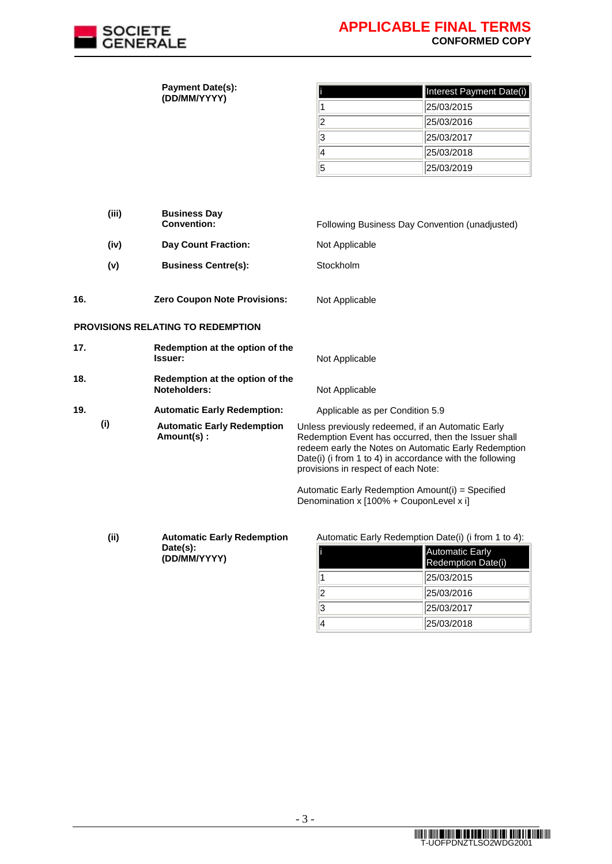

|     |       | <b>Payment Date(s):</b><br>(DD/MM/YYYY)         |                                         | Interest Payment Date(i)                                                                                                                                                                                                      |
|-----|-------|-------------------------------------------------|-----------------------------------------|-------------------------------------------------------------------------------------------------------------------------------------------------------------------------------------------------------------------------------|
|     |       |                                                 | 1                                       | 25/03/2015                                                                                                                                                                                                                    |
|     |       |                                                 | 2                                       | 25/03/2016                                                                                                                                                                                                                    |
|     |       |                                                 | 3                                       | 25/03/2017                                                                                                                                                                                                                    |
|     |       |                                                 | 4                                       | 25/03/2018                                                                                                                                                                                                                    |
|     |       |                                                 | 5                                       | 25/03/2019                                                                                                                                                                                                                    |
|     |       |                                                 |                                         |                                                                                                                                                                                                                               |
|     |       |                                                 |                                         |                                                                                                                                                                                                                               |
|     | (iii) | <b>Business Day</b>                             |                                         |                                                                                                                                                                                                                               |
|     |       | <b>Convention:</b>                              |                                         | Following Business Day Convention (unadjusted)                                                                                                                                                                                |
|     | (iv)  | <b>Day Count Fraction:</b>                      | Not Applicable                          |                                                                                                                                                                                                                               |
|     | (v)   | <b>Business Centre(s):</b>                      | Stockholm                               |                                                                                                                                                                                                                               |
|     |       |                                                 |                                         |                                                                                                                                                                                                                               |
| 16. |       | <b>Zero Coupon Note Provisions:</b>             | Not Applicable                          |                                                                                                                                                                                                                               |
|     |       |                                                 |                                         |                                                                                                                                                                                                                               |
|     |       | <b>PROVISIONS RELATING TO REDEMPTION</b>        |                                         |                                                                                                                                                                                                                               |
| 17. |       | Redemption at the option of the<br>Issuer:      | Not Applicable                          |                                                                                                                                                                                                                               |
| 18. |       | Redemption at the option of the                 |                                         |                                                                                                                                                                                                                               |
|     |       | Noteholders:                                    | Not Applicable                          |                                                                                                                                                                                                                               |
| 19. |       | <b>Automatic Early Redemption:</b>              | Applicable as per Condition 5.9         |                                                                                                                                                                                                                               |
|     | (i)   | <b>Automatic Early Redemption</b><br>Amount(s): | provisions in respect of each Note:     | Unless previously redeemed, if an Automatic Early<br>Redemption Event has occurred, then the Issuer shall<br>redeem early the Notes on Automatic Early Redemption<br>Date(i) (i from 1 to 4) in accordance with the following |
|     |       |                                                 | Denomination x [100% + CouponLevel x i] | Automatic Early Redemption Amount(i) = Specified                                                                                                                                                                              |
|     |       |                                                 |                                         |                                                                                                                                                                                                                               |

**(ii) Automatic Early Redemption Date(s): (DD/MM/YYYY)**

Automatic Early Redemption Date(i) (i from 1 to 4):

|   | Automatic Early<br><b>Redemption Date(i)</b> |
|---|----------------------------------------------|
|   | 25/03/2015                                   |
| 2 | 25/03/2016                                   |
| 3 | 25/03/2017                                   |
|   | 25/03/2018                                   |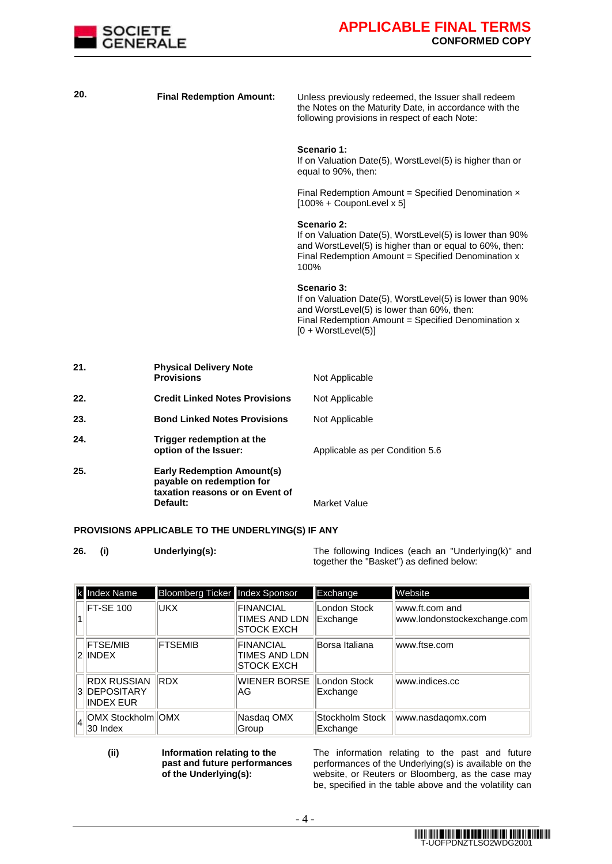

| 20. | <b>Final Redemption Amount:</b>                                                                               | Unless previously redeemed, the Issuer shall redeem<br>the Notes on the Maturity Date, in accordance with the<br>following provisions in respect of each Note:                                       |
|-----|---------------------------------------------------------------------------------------------------------------|------------------------------------------------------------------------------------------------------------------------------------------------------------------------------------------------------|
|     |                                                                                                               | Scenario 1:<br>If on Valuation Date(5), WorstLevel(5) is higher than or<br>equal to 90%, then:                                                                                                       |
|     |                                                                                                               | Final Redemption Amount = Specified Denomination $x$<br>$[100\% + CouponLevel \times 5]$                                                                                                             |
|     |                                                                                                               | Scenario 2:<br>If on Valuation Date(5), WorstLevel(5) is lower than 90%<br>and WorstLevel(5) is higher than or equal to 60%, then:<br>Final Redemption Amount = Specified Denomination x<br>100%     |
|     |                                                                                                               | Scenario 3:<br>If on Valuation Date(5), WorstLevel(5) is lower than 90%<br>and WorstLevel(5) is lower than 60%, then:<br>Final Redemption Amount = Specified Denomination x<br>$[0 + WorstLevel(5)]$ |
| 21. | <b>Physical Delivery Note</b><br><b>Provisions</b>                                                            | Not Applicable                                                                                                                                                                                       |
| 22. | <b>Credit Linked Notes Provisions</b>                                                                         | Not Applicable                                                                                                                                                                                       |
| 23. | <b>Bond Linked Notes Provisions</b>                                                                           | Not Applicable                                                                                                                                                                                       |
| 24. | Trigger redemption at the<br>option of the Issuer:                                                            | Applicable as per Condition 5.6                                                                                                                                                                      |
| 25. | <b>Early Redemption Amount(s)</b><br>payable on redemption for<br>taxation reasons or on Event of<br>Default: | <b>Market Value</b>                                                                                                                                                                                  |

#### **PROVISIONS APPLICABLE TO THE UNDERLYING(S) IF ANY**

**26. (i) Underlying(s):** The following Indices (each an "Underlying(k)" and together the "Basket") as defined below:

| k Index Name                                             | Bloomberg Ticker Index Sponsor |                                                         | Exchange                    | Website                                        |
|----------------------------------------------------------|--------------------------------|---------------------------------------------------------|-----------------------------|------------------------------------------------|
| <b>FT-SE 100</b>                                         | lukx.                          | FINANCIAL<br>TIMES AND LDN<br><b>STOCK EXCH</b>         | London Stock<br>Exchange    | lwww.ft.com and<br>www.londonstockexchange.com |
| <b>FTSE/MIB</b><br>2 INDEX                               | <b>FTSEMIB</b>                 | <b>FINANCIAL</b><br>TIMES AND LDN<br><b>ISTOCK EXCH</b> | Borsa Italiana              | www.ftse.com                                   |
| <b>IRDX RUSSIAN</b><br>3 IDEPOSITARY<br><b>INDEX EUR</b> | <b>RDX</b>                     | WIENER BORSE<br>IAG.                                    | London Stock<br>Exchange    | www.indices.cc                                 |
| $\ A\ $ OMX Stockholm OMX<br>$ 30 \rangle$ Index         |                                | Nasdaq OMX<br>Group                                     | Stockholm Stock<br>Exchange | www.nasdagomx.com                              |

**(ii) Information relating to the past and future performances of the Underlying(s):**

The information relating to the past and future performances of the Underlying(s) is available on the website, or Reuters or Bloomberg, as the case may be, specified in the table above and the volatility can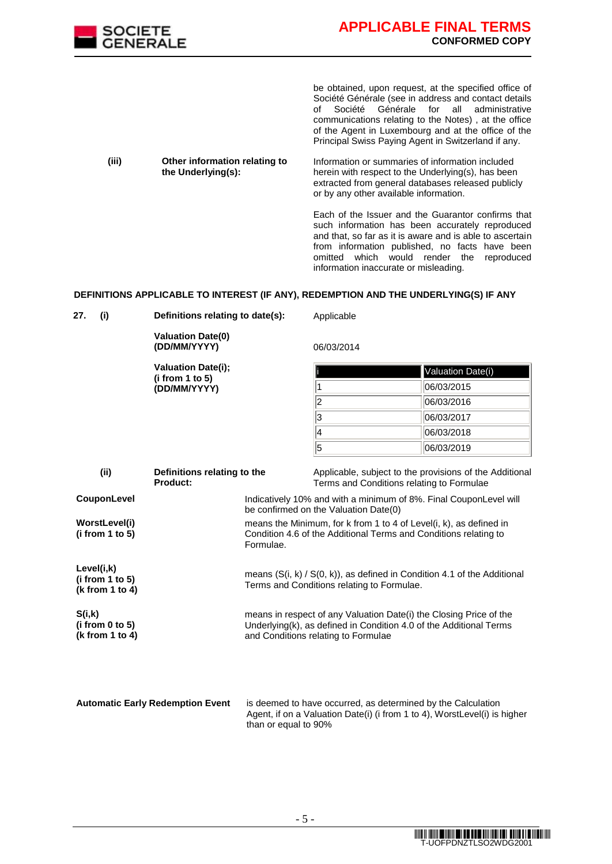

be obtained, upon request, at the specified office of Société Générale (see in address and contact details of Société Générale for all administrative communications relating to the Notes) , at the office of the Agent in Luxembourg and at the office of the Principal Swiss Paying Agent in Switzerland if any.

**(iii) Other information relating to the Underlying(s):** Information or summaries of information included herein with respect to the Underlying(s), has been extracted from general databases released publicly or by any other available information.

> Each of the Issuer and the Guarantor confirms that such information has been accurately reproduced and that, so far as it is aware and is able to ascertain from information published, no facts have been omitted which would render the reproduced information inaccurate or misleading.

#### **DEFINITIONS APPLICABLE TO INTEREST (IF ANY), REDEMPTION AND THE UNDERLYING(S) IF ANY**

| 27.<br>(i)                                       | Definitions relating to date(s):         |                                                                                                                                                                                 | Applicable                                |                                                         |
|--------------------------------------------------|------------------------------------------|---------------------------------------------------------------------------------------------------------------------------------------------------------------------------------|-------------------------------------------|---------------------------------------------------------|
|                                                  | <b>Valuation Date(0)</b><br>(DD/MM/YYYY) |                                                                                                                                                                                 | 06/03/2014                                |                                                         |
|                                                  | <b>Valuation Date(i);</b>                |                                                                                                                                                                                 |                                           | Valuation Date(i)                                       |
|                                                  | (i from 1 to 5)<br>(DD/MM/YYYY)          |                                                                                                                                                                                 |                                           | 06/03/2015                                              |
|                                                  |                                          |                                                                                                                                                                                 | 2                                         | 06/03/2016                                              |
|                                                  |                                          |                                                                                                                                                                                 | 3                                         | 06/03/2017                                              |
|                                                  |                                          |                                                                                                                                                                                 | 4                                         | 06/03/2018                                              |
|                                                  |                                          |                                                                                                                                                                                 | 5                                         | 06/03/2019                                              |
| (ii)                                             | Definitions relating to the<br>Product:  |                                                                                                                                                                                 | Terms and Conditions relating to Formulae | Applicable, subject to the provisions of the Additional |
| <b>CouponLevel</b>                               |                                          | Indicatively 10% and with a minimum of 8%. Final CouponLevel will<br>be confirmed on the Valuation Date(0)                                                                      |                                           |                                                         |
| WorstLevel(i)<br>(i from 1 to 5)                 |                                          | means the Minimum, for k from 1 to 4 of Level(i, k), as defined in<br>Condition 4.6 of the Additional Terms and Conditions relating to<br>Formulae.                             |                                           |                                                         |
| Level(i,k)<br>(i from 1 to 5)<br>(k from 1 to 4) |                                          | means $(S(i, k) / S(0, k))$ , as defined in Condition 4.1 of the Additional<br>Terms and Conditions relating to Formulae.                                                       |                                           |                                                         |
| S(i,k)<br>(i from 0 to 5)<br>(k from 1 to 4)     |                                          | means in respect of any Valuation Date(i) the Closing Price of the<br>Underlying(k), as defined in Condition 4.0 of the Additional Terms<br>and Conditions relating to Formulae |                                           |                                                         |
|                                                  |                                          |                                                                                                                                                                                 |                                           |                                                         |
|                                                  |                                          |                                                                                                                                                                                 |                                           |                                                         |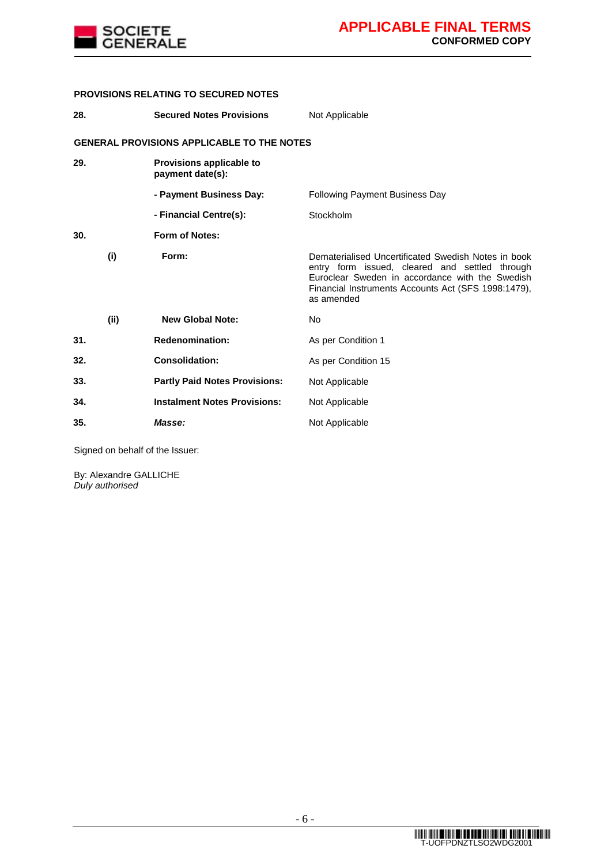

### **PROVISIONS RELATING TO SECURED NOTES**

| 28. |                                                   | <b>Secured Notes Provisions</b>              | Not Applicable                                                                                                                                                                                                                |  |  |
|-----|---------------------------------------------------|----------------------------------------------|-------------------------------------------------------------------------------------------------------------------------------------------------------------------------------------------------------------------------------|--|--|
|     | <b>GENERAL PROVISIONS APPLICABLE TO THE NOTES</b> |                                              |                                                                                                                                                                                                                               |  |  |
| 29. |                                                   | Provisions applicable to<br>payment date(s): |                                                                                                                                                                                                                               |  |  |
|     |                                                   | - Payment Business Day:                      | <b>Following Payment Business Day</b>                                                                                                                                                                                         |  |  |
|     |                                                   | - Financial Centre(s):                       | Stockholm                                                                                                                                                                                                                     |  |  |
| 30. |                                                   | <b>Form of Notes:</b>                        |                                                                                                                                                                                                                               |  |  |
|     | (i)                                               | Form:                                        | Dematerialised Uncertificated Swedish Notes in book<br>entry form issued, cleared and settled through<br>Euroclear Sweden in accordance with the Swedish<br>Financial Instruments Accounts Act (SFS 1998:1479),<br>as amended |  |  |
|     | (ii)                                              | <b>New Global Note:</b>                      | N <sub>o</sub>                                                                                                                                                                                                                |  |  |
| 31. |                                                   | <b>Redenomination:</b>                       | As per Condition 1                                                                                                                                                                                                            |  |  |
| 32. |                                                   | <b>Consolidation:</b>                        | As per Condition 15                                                                                                                                                                                                           |  |  |
| 33. |                                                   | <b>Partly Paid Notes Provisions:</b>         | Not Applicable                                                                                                                                                                                                                |  |  |
| 34. |                                                   | <b>Instalment Notes Provisions:</b>          | Not Applicable                                                                                                                                                                                                                |  |  |
| 35. |                                                   | Masse:                                       | Not Applicable                                                                                                                                                                                                                |  |  |

Signed on behalf of the Issuer:

By: Alexandre GALLICHE *Duly authorised*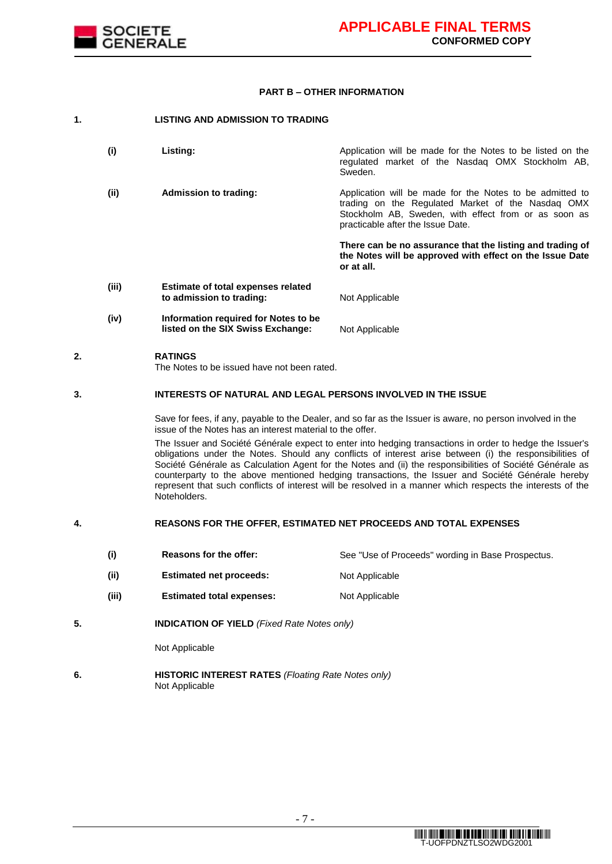

#### **PART B – OTHER INFORMATION**

| 1. |       | LISTING AND ADMISSION TO TRADING                                          |                                                                                                                                                                                                            |
|----|-------|---------------------------------------------------------------------------|------------------------------------------------------------------------------------------------------------------------------------------------------------------------------------------------------------|
|    | (i)   | Listing:                                                                  | Application will be made for the Notes to be listed on the<br>regulated market of the Nasdag OMX Stockholm AB,<br>Sweden.                                                                                  |
|    | (ii)  | <b>Admission to trading:</b>                                              | Application will be made for the Notes to be admitted to<br>trading on the Regulated Market of the Nasdag OMX<br>Stockholm AB, Sweden, with effect from or as soon as<br>practicable after the Issue Date. |
|    |       |                                                                           | There can be no assurance that the listing and trading of<br>the Notes will be approved with effect on the Issue Date<br>or at all.                                                                        |
|    | (iii) | <b>Estimate of total expenses related</b><br>to admission to trading:     | Not Applicable                                                                                                                                                                                             |
|    | (iv)  | Information required for Notes to be<br>listed on the SIX Swiss Exchange: | Not Applicable                                                                                                                                                                                             |

#### **2. RATINGS**

The Notes to be issued have not been rated.

#### **3. INTERESTS OF NATURAL AND LEGAL PERSONS INVOLVED IN THE ISSUE**

Save for fees, if any, payable to the Dealer, and so far as the Issuer is aware, no person involved in the issue of the Notes has an interest material to the offer.

The Issuer and Société Générale expect to enter into hedging transactions in order to hedge the Issuer's obligations under the Notes. Should any conflicts of interest arise between (i) the responsibilities of Société Générale as Calculation Agent for the Notes and (ii) the responsibilities of Société Générale as counterparty to the above mentioned hedging transactions, the Issuer and Société Générale hereby represent that such conflicts of interest will be resolved in a manner which respects the interests of the Noteholders.

### **4. REASONS FOR THE OFFER, ESTIMATED NET PROCEEDS AND TOTAL EXPENSES**

- (i) Reasons for the offer: See "Use of Proceeds" wording in Base Prospectus.
- (ii) **Estimated net proceeds:** Not Applicable
- (iii) **Estimated total expenses:** Not Applicable
- **5. INDICATION OF YIELD** *(Fixed Rate Notes only)*

Not Applicable

**6. HISTORIC INTEREST RATES** *(Floating Rate Notes only)* Not Applicable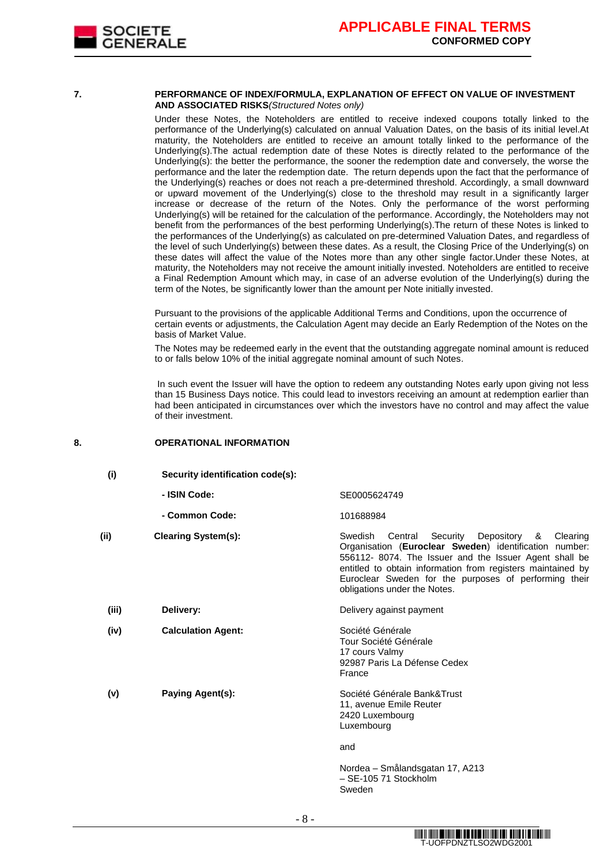

#### **7. PERFORMANCE OF INDEX/FORMULA, EXPLANATION OF EFFECT ON VALUE OF INVESTMENT AND ASSOCIATED RISKS***(Structured Notes only)*

Under these Notes, the Noteholders are entitled to receive indexed coupons totally linked to the performance of the Underlying(s) calculated on annual Valuation Dates, on the basis of its initial level.At maturity, the Noteholders are entitled to receive an amount totally linked to the performance of the Underlying(s).The actual redemption date of these Notes is directly related to the performance of the Underlying(s): the better the performance, the sooner the redemption date and conversely, the worse the performance and the later the redemption date. The return depends upon the fact that the performance of the Underlying(s) reaches or does not reach a pre-determined threshold. Accordingly, a small downward or upward movement of the Underlying(s) close to the threshold may result in a significantly larger increase or decrease of the return of the Notes. Only the performance of the worst performing Underlying(s) will be retained for the calculation of the performance. Accordingly, the Noteholders may not benefit from the performances of the best performing Underlying(s).The return of these Notes is linked to the performances of the Underlying(s) as calculated on pre-determined Valuation Dates, and regardless of the level of such Underlying(s) between these dates. As a result, the Closing Price of the Underlying(s) on these dates will affect the value of the Notes more than any other single factor.Under these Notes, at maturity, the Noteholders may not receive the amount initially invested. Noteholders are entitled to receive a Final Redemption Amount which may, in case of an adverse evolution of the Underlying(s) during the term of the Notes, be significantly lower than the amount per Note initially invested.

Pursuant to the provisions of the applicable Additional Terms and Conditions, upon the occurrence of certain events or adjustments, the Calculation Agent may decide an Early Redemption of the Notes on the basis of Market Value.

The Notes may be redeemed early in the event that the outstanding aggregate nominal amount is reduced to or falls below 10% of the initial aggregate nominal amount of such Notes.

In such event the Issuer will have the option to redeem any outstanding Notes early upon giving not less than 15 Business Days notice. This could lead to investors receiving an amount at redemption earlier than had been anticipated in circumstances over which the investors have no control and may affect the value of their investment.

#### **8. OPERATIONAL INFORMATION**

| (i)   | Security identification code(s): |                                                                                                                                                                                                                                                                                                                                       |
|-------|----------------------------------|---------------------------------------------------------------------------------------------------------------------------------------------------------------------------------------------------------------------------------------------------------------------------------------------------------------------------------------|
|       | - ISIN Code:                     | SE0005624749                                                                                                                                                                                                                                                                                                                          |
|       | - Common Code:                   | 101688984                                                                                                                                                                                                                                                                                                                             |
| (ii)  | <b>Clearing System(s):</b>       | Central<br>Security Depository<br>Swedish<br>Clearing<br>&<br>Organisation (Euroclear Sweden) identification number:<br>556112-8074. The Issuer and the Issuer Agent shall be<br>entitled to obtain information from registers maintained by<br>Euroclear Sweden for the purposes of performing their<br>obligations under the Notes. |
| (iii) | Delivery:                        | Delivery against payment                                                                                                                                                                                                                                                                                                              |
| (iv)  | <b>Calculation Agent:</b>        | Société Générale<br>Tour Société Générale<br>17 cours Valmy<br>92987 Paris La Défense Cedex<br>France                                                                                                                                                                                                                                 |
| (v)   | Paying Agent(s):                 | Société Générale Bank&Trust<br>11, avenue Emile Reuter<br>2420 Luxembourg<br>Luxembourg                                                                                                                                                                                                                                               |
|       |                                  | and                                                                                                                                                                                                                                                                                                                                   |
|       |                                  | Nordea – Smålandsgatan 17, A213                                                                                                                                                                                                                                                                                                       |

– SE-105 71 Stockholm

Sweden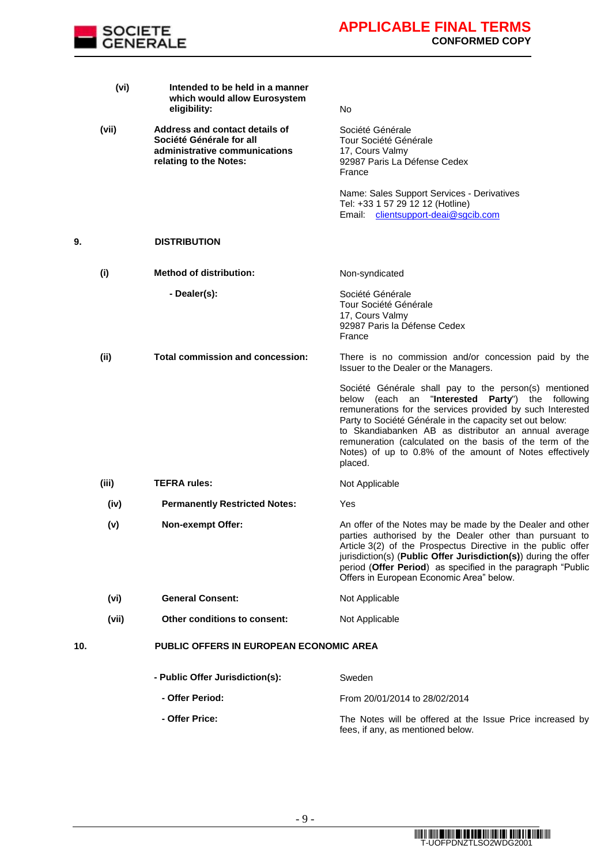

|     | (vi)  | Intended to be held in a manner<br>which would allow Eurosystem<br>eligibility:                                       | No                                                                                                                                                                                                                                                                                                                                                                                                                            |
|-----|-------|-----------------------------------------------------------------------------------------------------------------------|-------------------------------------------------------------------------------------------------------------------------------------------------------------------------------------------------------------------------------------------------------------------------------------------------------------------------------------------------------------------------------------------------------------------------------|
|     | (vii) | Address and contact details of<br>Société Générale for all<br>administrative communications<br>relating to the Notes: | Société Générale<br>Tour Société Générale<br>17, Cours Valmy<br>92987 Paris La Défense Cedex<br>France                                                                                                                                                                                                                                                                                                                        |
|     |       |                                                                                                                       | Name: Sales Support Services - Derivatives<br>Tel: +33 1 57 29 12 12 (Hotline)<br>Email: clientsupport-deai@sgcib.com                                                                                                                                                                                                                                                                                                         |
| 9.  |       | <b>DISTRIBUTION</b>                                                                                                   |                                                                                                                                                                                                                                                                                                                                                                                                                               |
|     | (i)   | <b>Method of distribution:</b>                                                                                        | Non-syndicated                                                                                                                                                                                                                                                                                                                                                                                                                |
|     |       | - Dealer(s):                                                                                                          | Société Générale<br>Tour Société Générale<br>17, Cours Valmy<br>92987 Paris la Défense Cedex<br>France                                                                                                                                                                                                                                                                                                                        |
|     | (ii)  | <b>Total commission and concession:</b>                                                                               | There is no commission and/or concession paid by the<br>Issuer to the Dealer or the Managers.                                                                                                                                                                                                                                                                                                                                 |
|     |       |                                                                                                                       | Société Générale shall pay to the person(s) mentioned<br>below (each an "Interested Party") the following<br>remunerations for the services provided by such Interested<br>Party to Société Générale in the capacity set out below:<br>to Skandiabanken AB as distributor an annual average<br>remuneration (calculated on the basis of the term of the<br>Notes) of up to 0.8% of the amount of Notes effectively<br>placed. |
|     | (iii) | <b>TEFRA rules:</b>                                                                                                   | Not Applicable                                                                                                                                                                                                                                                                                                                                                                                                                |
|     | (iv)  | <b>Permanently Restricted Notes:</b>                                                                                  | Yes                                                                                                                                                                                                                                                                                                                                                                                                                           |
|     | (v)   | <b>Non-exempt Offer:</b>                                                                                              | An offer of the Notes may be made by the Dealer and other<br>parties authorised by the Dealer other than pursuant to<br>Article 3(2) of the Prospectus Directive in the public offer<br>jurisdiction(s) (Public Offer Jurisdiction(s)) during the offer<br>period (Offer Period) as specified in the paragraph "Public<br>Offers in European Economic Area" below.                                                            |
|     | (vi)  | <b>General Consent:</b>                                                                                               | Not Applicable                                                                                                                                                                                                                                                                                                                                                                                                                |
|     | (vii) | Other conditions to consent:                                                                                          | Not Applicable                                                                                                                                                                                                                                                                                                                                                                                                                |
| 10. |       | <b>PUBLIC OFFERS IN EUROPEAN ECONOMIC AREA</b>                                                                        |                                                                                                                                                                                                                                                                                                                                                                                                                               |
|     |       | - Public Offer Jurisdiction(s):                                                                                       | Sweden                                                                                                                                                                                                                                                                                                                                                                                                                        |
|     |       | - Offer Period:                                                                                                       | From 20/01/2014 to 28/02/2014                                                                                                                                                                                                                                                                                                                                                                                                 |
|     |       | - Offer Price:                                                                                                        | The Notes will be offered at the Issue Price increased by                                                                                                                                                                                                                                                                                                                                                                     |

fees, if any, as mentioned below.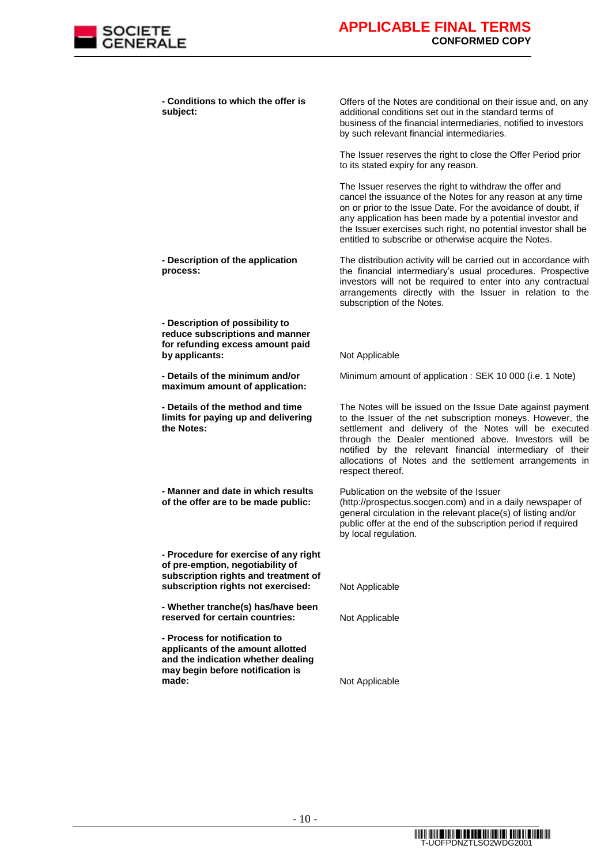

**- Conditions to which the offer is subject:**

**- Description of the application** 

**- Description of possibility to reduce subscriptions and manner for refunding excess amount paid** 

**- Details of the minimum and/or maximum amount of application:**

**- Details of the method and time limits for paying up and delivering** 

**- Manner and date in which results of the offer are to be made public:**

**- Procedure for exercise of any right of pre-emption, negotiability of subscription rights and treatment of** 

**- Whether tranche(s) has/have been** 

**- Process for notification to applicants of the amount allotted and the indication whether dealing may begin before notification is** 

**process:**

**the Notes:**

Offers of the Notes are conditional on their issue and, on any additional conditions set out in the standard terms of business of the financial intermediaries, notified to investors by such relevant financial intermediaries.

The Issuer reserves the right to close the Offer Period prior to its stated expiry for any reason.

The Issuer reserves the right to withdraw the offer and cancel the issuance of the Notes for any reason at any time on or prior to the Issue Date. For the avoidance of doubt, if any application has been made by a potential investor and the Issuer exercises such right, no potential investor shall be entitled to subscribe or otherwise acquire the Notes.

The distribution activity will be carried out in accordance with the financial intermediary's usual procedures. Prospective investors will not be required to enter into any contractual arrangements directly with the Issuer in relation to the subscription of the Notes.

**by applicants:** Not Applicable

Minimum amount of application : SEK 10 000 (i.e. 1 Note)

The Notes will be issued on the Issue Date against payment to the Issuer of the net subscription moneys. However, the settlement and delivery of the Notes will be executed through the Dealer mentioned above. Investors will be notified by the relevant financial intermediary of their allocations of Notes and the settlement arrangements in respect thereof.

Publication on the website of the Issuer (http://prospectus.socgen.com) and in a daily newspaper of general circulation in the relevant place(s) of listing and/or public offer at the end of the subscription period if required by local regulation.

subscription rights not exercised: Not Applicable

**reserved for certain countries:** Not Applicable

**Not Applicable** 

T-UOFPDNZTLSO2WDG2001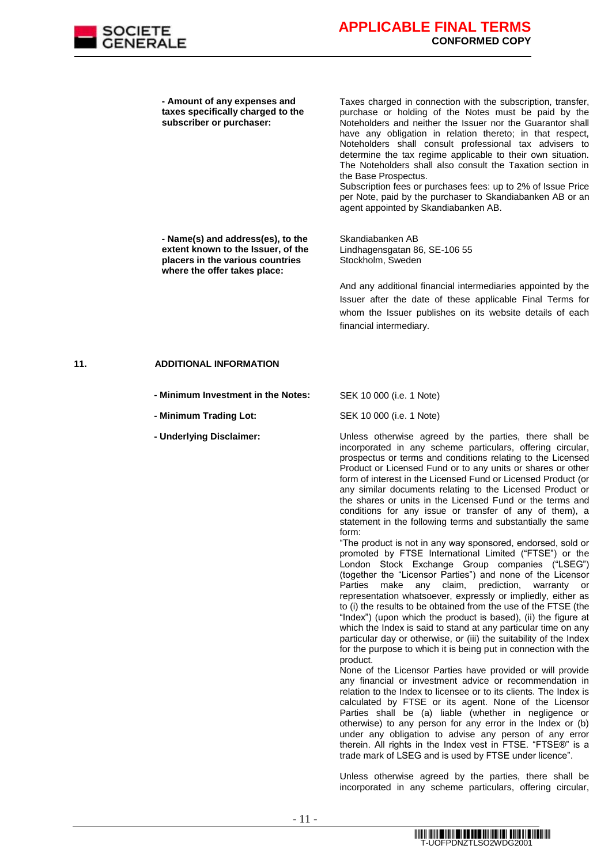

**- Amount of any expenses and taxes specifically charged to the subscriber or purchaser:**

Taxes charged in connection with the subscription, transfer, purchase or holding of the Notes must be paid by the Noteholders and neither the Issuer nor the Guarantor shall have any obligation in relation thereto; in that respect, Noteholders shall consult professional tax advisers to determine the tax regime applicable to their own situation. The Noteholders shall also consult the Taxation section in the Base Prospectus.

Subscription fees or purchases fees: up to 2% of Issue Price per Note, paid by the purchaser to Skandiabanken AB or an agent appointed by Skandiabanken AB.

**- Name(s) and address(es), to the extent known to the Issuer, of the placers in the various countries where the offer takes place:**

Skandiabanken AB Lindhagensgatan 86, SE-106 55 Stockholm, Sweden

And any additional financial intermediaries appointed by the Issuer after the date of these applicable Final Terms for whom the Issuer publishes on its website details of each financial intermediary.

#### **11. ADDITIONAL INFORMATION**

- **- Minimum Investment in the Notes:** SEK 10 000 (i.e. 1 Note)
- **- Minimum Trading Lot:** SEK 10 000 (i.e. 1 Note)
- 

**- Underlying Disclaimer:** Unless otherwise agreed by the parties, there shall be incorporated in any scheme particulars, offering circular, prospectus or terms and conditions relating to the Licensed Product or Licensed Fund or to any units or shares or other form of interest in the Licensed Fund or Licensed Product (or any similar documents relating to the Licensed Product or the shares or units in the Licensed Fund or the terms and conditions for any issue or transfer of any of them), a statement in the following terms and substantially the same form:

"The product is not in any way sponsored, endorsed, sold or promoted by FTSE International Limited ("FTSE") or the London Stock Exchange Group companies ("LSEG") (together the "Licensor Parties") and none of the Licensor Parties make any claim, prediction, warranty or representation whatsoever, expressly or impliedly, either as to (i) the results to be obtained from the use of the FTSE (the "Index") (upon which the product is based), (ii) the figure at which the Index is said to stand at any particular time on any particular day or otherwise, or (iii) the suitability of the Index for the purpose to which it is being put in connection with the product.

None of the Licensor Parties have provided or will provide any financial or investment advice or recommendation in relation to the Index to licensee or to its clients. The Index is calculated by FTSE or its agent. None of the Licensor Parties shall be (a) liable (whether in negligence or otherwise) to any person for any error in the Index or (b) under any obligation to advise any person of any error therein. All rights in the Index vest in FTSE. "FTSE®" is a trade mark of LSEG and is used by FTSE under licence".

Unless otherwise agreed by the parties, there shall be incorporated in any scheme particulars, offering circular,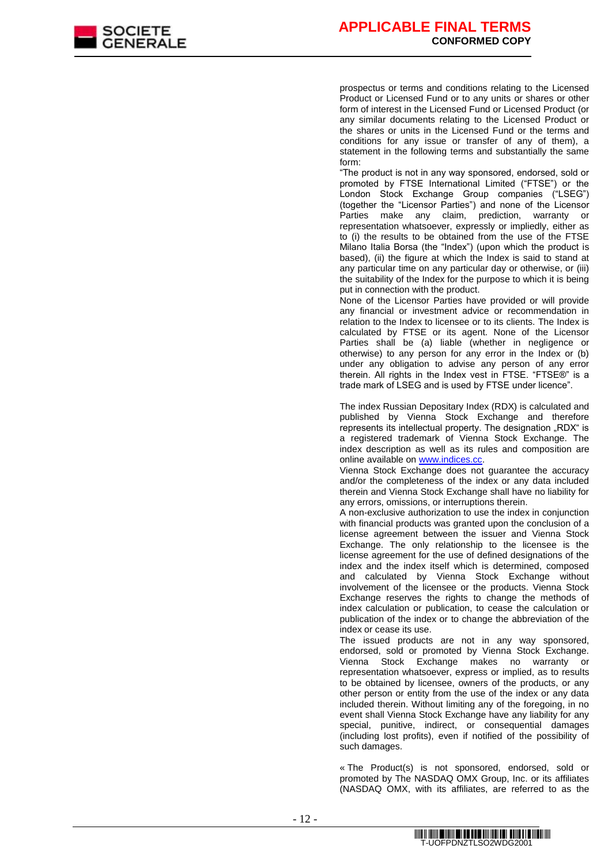

prospectus or terms and conditions relating to the Licensed Product or Licensed Fund or to any units or shares or other form of interest in the Licensed Fund or Licensed Product (or any similar documents relating to the Licensed Product or the shares or units in the Licensed Fund or the terms and conditions for any issue or transfer of any of them), a statement in the following terms and substantially the same form:

"The product is not in any way sponsored, endorsed, sold or promoted by FTSE International Limited ("FTSE") or the London Stock Exchange Group companies ("LSEG") (together the "Licensor Parties") and none of the Licensor Parties make any claim, prediction, warranty or representation whatsoever, expressly or impliedly, either as to (i) the results to be obtained from the use of the FTSE Milano Italia Borsa (the "Index") (upon which the product is based), (ii) the figure at which the Index is said to stand at any particular time on any particular day or otherwise, or (iii) the suitability of the Index for the purpose to which it is being put in connection with the product.

None of the Licensor Parties have provided or will provide any financial or investment advice or recommendation in relation to the Index to licensee or to its clients. The Index is calculated by FTSE or its agent. None of the Licensor Parties shall be (a) liable (whether in negligence or otherwise) to any person for any error in the Index or (b) under any obligation to advise any person of any error therein. All rights in the Index vest in FTSE. "FTSE®" is a trade mark of LSEG and is used by FTSE under licence".

The index Russian Depositary Index (RDX) is calculated and published by Vienna Stock Exchange and therefore represents its intellectual property. The designation "RDX" is a registered trademark of Vienna Stock Exchange. The index description as well as its rules and composition are online available on [www.indices.cc.](file://srvpardfs2/dfsroot/GEDS-ING-DOC2/Documentation-ING/LICENCES%20Indices/Disclaimers%20TS/pour%20FIP/www.indices.cc)

Vienna Stock Exchange does not guarantee the accuracy and/or the completeness of the index or any data included therein and Vienna Stock Exchange shall have no liability for any errors, omissions, or interruptions therein.

A non-exclusive authorization to use the index in conjunction with financial products was granted upon the conclusion of a license agreement between the issuer and Vienna Stock Exchange. The only relationship to the licensee is the license agreement for the use of defined designations of the index and the index itself which is determined, composed and calculated by Vienna Stock Exchange without involvement of the licensee or the products. Vienna Stock Exchange reserves the rights to change the methods of index calculation or publication, to cease the calculation or publication of the index or to change the abbreviation of the index or cease its use.

The issued products are not in any way sponsored, endorsed, sold or promoted by Vienna Stock Exchange. Vienna Stock Exchange makes no warranty or representation whatsoever, express or implied, as to results to be obtained by licensee, owners of the products, or any other person or entity from the use of the index or any data included therein. Without limiting any of the foregoing, in no event shall Vienna Stock Exchange have any liability for any special, punitive, indirect, or consequential damages (including lost profits), even if notified of the possibility of such damages.

« The Product(s) is not sponsored, endorsed, sold or promoted by The NASDAQ OMX Group, Inc. or its affiliates (NASDAQ OMX, with its affiliates, are referred to as the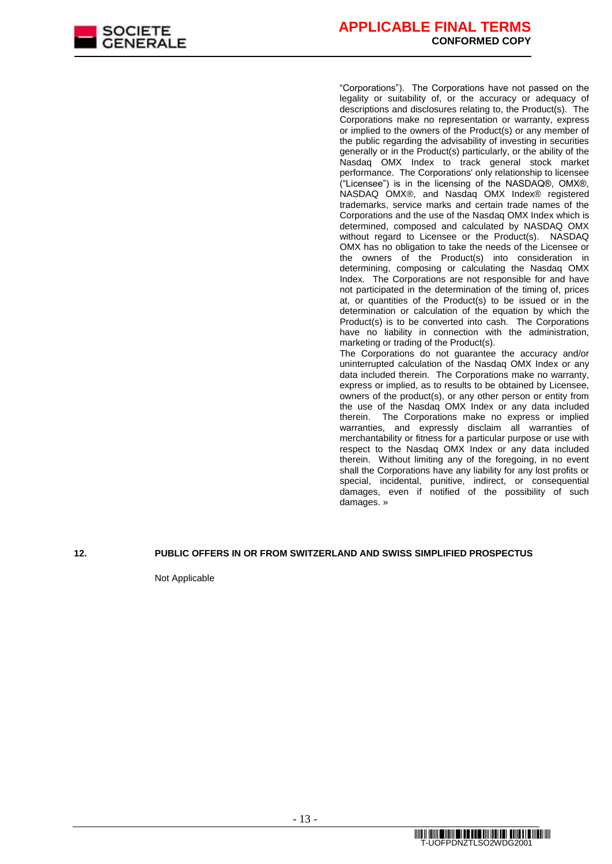

"Corporations"). The Corporations have not passed on the legality or suitability of, or the accuracy or adequacy of descriptions and disclosures relating to, the Product(s). The Corporations make no representation or warranty, express or implied to the owners of the Product(s) or any member of the public regarding the advisability of investing in securities generally or in the Product(s) particularly, or the ability of the Nasdaq OMX Index to track general stock market performance. The Corporations' only relationship to licensee ("Licensee") is in the licensing of the NASDAQ®, OMX®, NASDAQ OMX®, and Nasdaq OMX Index® registered trademarks, service marks and certain trade names of the Corporations and the use of the Nasdaq OMX Index which is determined, composed and calculated by NASDAQ OMX without regard to Licensee or the Product(s). NASDAQ OMX has no obligation to take the needs of the Licensee or the owners of the Product(s) into consideration in determining, composing or calculating the Nasdaq OMX Index. The Corporations are not responsible for and have not participated in the determination of the timing of, prices at, or quantities of the Product(s) to be issued or in the determination or calculation of the equation by which the Product(s) is to be converted into cash. The Corporations have no liability in connection with the administration, marketing or trading of the Product(s). The Corporations do not guarantee the accuracy and/or uninterrupted calculation of the Nasdaq OMX Index or any data included therein. The Corporations make no warranty, express or implied, as to results to be obtained by Licensee,

owners of the product(s), or any other person or entity from the use of the Nasdaq OMX Index or any data included therein. The Corporations make no express or implied warranties, and expressly disclaim all warranties of merchantability or fitness for a particular purpose or use with respect to the Nasdaq OMX Index or any data included therein. Without limiting any of the foregoing, in no event shall the Corporations have any liability for any lost profits or special, incidental, punitive, indirect, or consequential damages, even if notified of the possibility of such damages. »

#### **12. PUBLIC OFFERS IN OR FROM SWITZERLAND AND SWISS SIMPLIFIED PROSPECTUS**

Not Applicable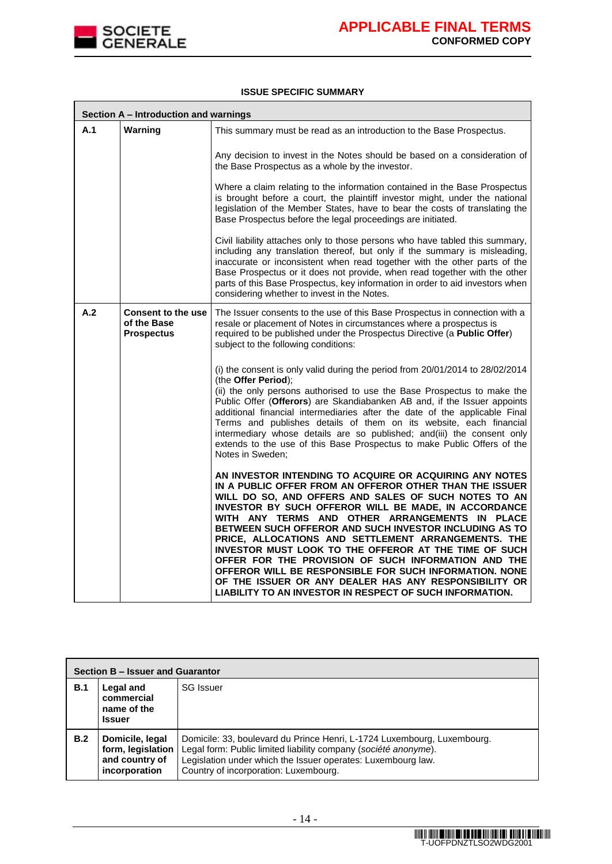

#### **ISSUE SPECIFIC SUMMARY**

|     | Section A - Introduction and warnings                  |                                                                                                                                                                                                                                                                                                                                                                                                                                                                                                                                                                                                                                                                                                      |  |
|-----|--------------------------------------------------------|------------------------------------------------------------------------------------------------------------------------------------------------------------------------------------------------------------------------------------------------------------------------------------------------------------------------------------------------------------------------------------------------------------------------------------------------------------------------------------------------------------------------------------------------------------------------------------------------------------------------------------------------------------------------------------------------------|--|
| A.1 | Warning                                                | This summary must be read as an introduction to the Base Prospectus.                                                                                                                                                                                                                                                                                                                                                                                                                                                                                                                                                                                                                                 |  |
|     |                                                        | Any decision to invest in the Notes should be based on a consideration of<br>the Base Prospectus as a whole by the investor.                                                                                                                                                                                                                                                                                                                                                                                                                                                                                                                                                                         |  |
|     |                                                        | Where a claim relating to the information contained in the Base Prospectus<br>is brought before a court, the plaintiff investor might, under the national<br>legislation of the Member States, have to bear the costs of translating the<br>Base Prospectus before the legal proceedings are initiated.                                                                                                                                                                                                                                                                                                                                                                                              |  |
|     |                                                        | Civil liability attaches only to those persons who have tabled this summary,<br>including any translation thereof, but only if the summary is misleading,<br>inaccurate or inconsistent when read together with the other parts of the<br>Base Prospectus or it does not provide, when read together with the other<br>parts of this Base Prospectus, key information in order to aid investors when<br>considering whether to invest in the Notes.                                                                                                                                                                                                                                                  |  |
| A.2 | Consent to the use<br>of the Base<br><b>Prospectus</b> | The Issuer consents to the use of this Base Prospectus in connection with a<br>resale or placement of Notes in circumstances where a prospectus is<br>required to be published under the Prospectus Directive (a Public Offer)<br>subject to the following conditions:                                                                                                                                                                                                                                                                                                                                                                                                                               |  |
|     |                                                        | (i) the consent is only valid during the period from 20/01/2014 to 28/02/2014<br>(the Offer Period);<br>(ii) the only persons authorised to use the Base Prospectus to make the<br>Public Offer (Offerors) are Skandiabanken AB and, if the Issuer appoints<br>additional financial intermediaries after the date of the applicable Final<br>Terms and publishes details of them on its website, each financial<br>intermediary whose details are so published; and(iii) the consent only<br>extends to the use of this Base Prospectus to make Public Offers of the<br>Notes in Sweden;                                                                                                             |  |
|     |                                                        | AN INVESTOR INTENDING TO ACQUIRE OR ACQUIRING ANY NOTES<br>IN A PUBLIC OFFER FROM AN OFFEROR OTHER THAN THE ISSUER<br>WILL DO SO, AND OFFERS AND SALES OF SUCH NOTES TO AN<br>INVESTOR BY SUCH OFFEROR WILL BE MADE. IN ACCORDANCE<br>WITH ANY TERMS AND OTHER ARRANGEMENTS IN PLACE<br>BETWEEN SUCH OFFEROR AND SUCH INVESTOR INCLUDING AS TO<br>PRICE, ALLOCATIONS AND SETTLEMENT ARRANGEMENTS. THE<br>INVESTOR MUST LOOK TO THE OFFEROR AT THE TIME OF SUCH<br>OFFER FOR THE PROVISION OF SUCH INFORMATION AND THE<br>OFFEROR WILL BE RESPONSIBLE FOR SUCH INFORMATION. NONE<br>OF THE ISSUER OR ANY DEALER HAS ANY RESPONSIBILITY OR<br>LIABILITY TO AN INVESTOR IN RESPECT OF SUCH INFORMATION. |  |

| Section B – Issuer and Guarantor |                                                                         |                                                                                                                                                                                                                                                     |  |  |  |
|----------------------------------|-------------------------------------------------------------------------|-----------------------------------------------------------------------------------------------------------------------------------------------------------------------------------------------------------------------------------------------------|--|--|--|
| B.1                              | Legal and<br>commercial<br>name of the<br><b>Issuer</b>                 | <b>SG</b> Issuer                                                                                                                                                                                                                                    |  |  |  |
| B.2                              | Domicile, legal<br>form, legislation<br>and country of<br>incorporation | Domicile: 33, boulevard du Prince Henri, L-1724 Luxembourg, Luxembourg.<br>Legal form: Public limited liability company (société anonyme).<br>Legislation under which the Issuer operates: Luxembourg law.<br>Country of incorporation: Luxembourg. |  |  |  |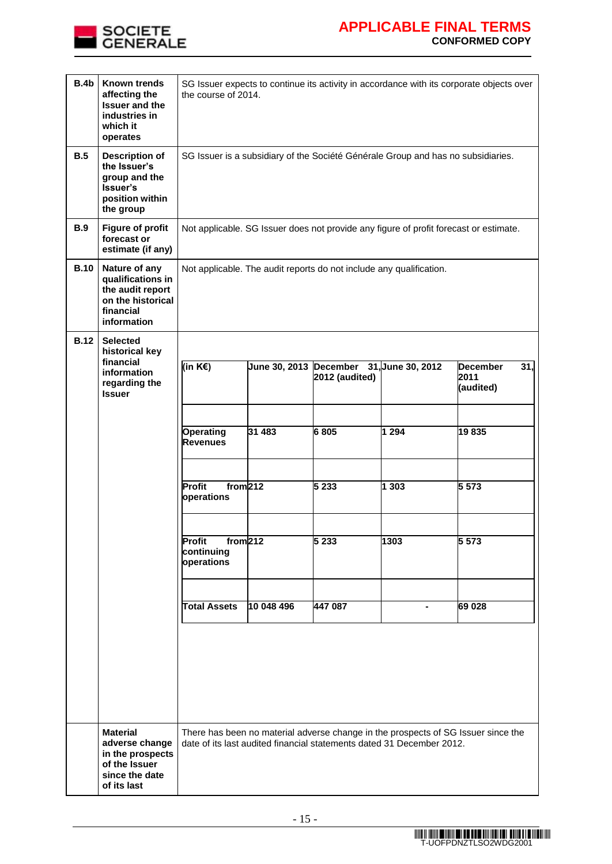

## **APPLICABLE FINAL TERMS CONFORMED COPY**

| B.4b        | <b>Known trends</b><br>affecting the<br><b>Issuer and the</b><br>industries in<br>which it<br>operates  | SG Issuer expects to continue its activity in accordance with its corporate objects over<br>the course of 2014. |                        |                |                                                                                                                                                            |                                                         |  |
|-------------|---------------------------------------------------------------------------------------------------------|-----------------------------------------------------------------------------------------------------------------|------------------------|----------------|------------------------------------------------------------------------------------------------------------------------------------------------------------|---------------------------------------------------------|--|
| B.5         | <b>Description of</b><br>the Issuer's<br>group and the<br>Issuer's<br>position within<br>the group      | SG Issuer is a subsidiary of the Société Générale Group and has no subsidiaries.                                |                        |                |                                                                                                                                                            |                                                         |  |
| <b>B.9</b>  | <b>Figure of profit</b><br>forecast or<br>estimate (if any)                                             |                                                                                                                 |                        |                | Not applicable. SG Issuer does not provide any figure of profit forecast or estimate.                                                                      |                                                         |  |
| <b>B.10</b> | Nature of any<br>qualifications in<br>the audit report<br>on the historical<br>financial<br>information | Not applicable. The audit reports do not include any qualification.                                             |                        |                |                                                                                                                                                            |                                                         |  |
| <b>B.12</b> | <b>Selected</b><br>historical key                                                                       |                                                                                                                 |                        |                |                                                                                                                                                            |                                                         |  |
|             | financial<br>information<br>regarding the<br><b>Issuer</b>                                              | (in $K \in \mathbb{R}$ )                                                                                        | June 30, 2013 December | 2012 (audited) | 31, June 30, 2012                                                                                                                                          | $\overline{31}$<br><b>December</b><br>2011<br>(audited) |  |
|             |                                                                                                         | Operating<br><b>Revenues</b>                                                                                    | 31 483                 | 6805           | 1 2 9 4                                                                                                                                                    | 19835                                                   |  |
|             |                                                                                                         | from 212<br>Profit<br>operations                                                                                |                        | 5 2 3 3        | 1303                                                                                                                                                       | 5 5 7 3                                                 |  |
|             |                                                                                                         | from 212<br>Profit<br>continuing<br>operations                                                                  |                        | 5 2 3 3        | 1303                                                                                                                                                       | 5 5 7 3                                                 |  |
|             |                                                                                                         | <b>Total Assets</b>                                                                                             | 10 048 496             | 447 087        | Ξ.                                                                                                                                                         | 69 028                                                  |  |
|             |                                                                                                         |                                                                                                                 |                        |                |                                                                                                                                                            |                                                         |  |
|             | <b>Material</b><br>adverse change<br>in the prospects<br>of the Issuer<br>since the date<br>of its last |                                                                                                                 |                        |                | There has been no material adverse change in the prospects of SG Issuer since the<br>date of its last audited financial statements dated 31 December 2012. |                                                         |  |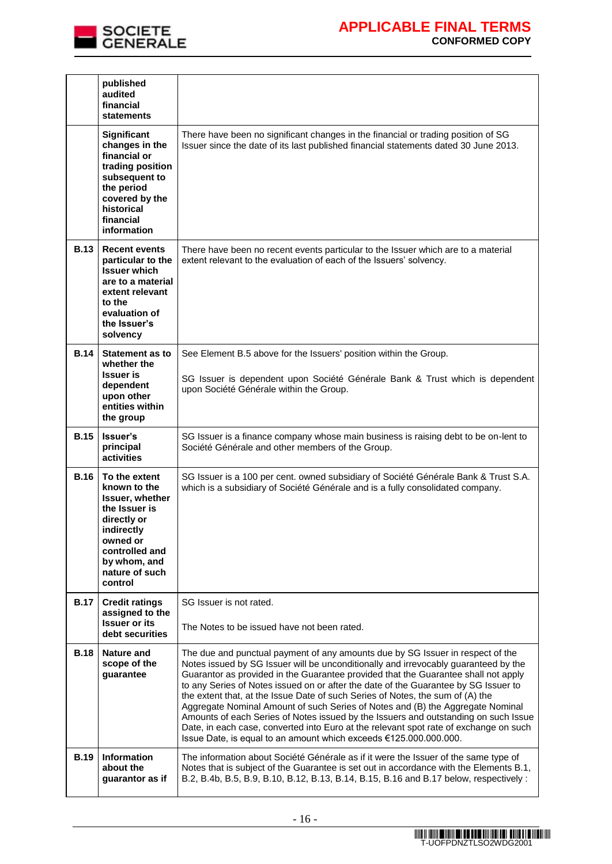

## **APPLICABLE FINAL TERMS CONFORMED COPY**

|             | published<br>audited<br>financial<br><b>statements</b>                                                                                                                    |                                                                                                                                                                                                                                                                                                                                                                                                                                                                                                                                                                                                                                                                                                                                                                             |
|-------------|---------------------------------------------------------------------------------------------------------------------------------------------------------------------------|-----------------------------------------------------------------------------------------------------------------------------------------------------------------------------------------------------------------------------------------------------------------------------------------------------------------------------------------------------------------------------------------------------------------------------------------------------------------------------------------------------------------------------------------------------------------------------------------------------------------------------------------------------------------------------------------------------------------------------------------------------------------------------|
|             | Significant<br>changes in the<br>financial or<br>trading position<br>subsequent to<br>the period<br>covered by the<br>historical<br>financial<br>information              | There have been no significant changes in the financial or trading position of SG<br>Issuer since the date of its last published financial statements dated 30 June 2013.                                                                                                                                                                                                                                                                                                                                                                                                                                                                                                                                                                                                   |
| <b>B.13</b> | <b>Recent events</b><br>particular to the<br><b>Issuer which</b><br>are to a material<br>extent relevant<br>to the<br>evaluation of<br>the Issuer's<br>solvency           | There have been no recent events particular to the Issuer which are to a material<br>extent relevant to the evaluation of each of the Issuers' solvency.                                                                                                                                                                                                                                                                                                                                                                                                                                                                                                                                                                                                                    |
| <b>B.14</b> | <b>Statement as to</b><br>whether the<br><b>Issuer is</b><br>dependent<br>upon other<br>entities within<br>the group                                                      | See Element B.5 above for the Issuers' position within the Group.<br>SG Issuer is dependent upon Société Générale Bank & Trust which is dependent<br>upon Société Générale within the Group.                                                                                                                                                                                                                                                                                                                                                                                                                                                                                                                                                                                |
| <b>B.15</b> | Issuer's<br>principal<br>activities                                                                                                                                       | SG Issuer is a finance company whose main business is raising debt to be on-lent to<br>Société Générale and other members of the Group.                                                                                                                                                                                                                                                                                                                                                                                                                                                                                                                                                                                                                                     |
| <b>B.16</b> | To the extent<br>known to the<br>Issuer, whether<br>the Issuer is<br>directly or<br>indirectly<br>owned or<br>controlled and<br>by whom, and<br>nature of such<br>control | SG Issuer is a 100 per cent. owned subsidiary of Société Générale Bank & Trust S.A.<br>which is a subsidiary of Société Générale and is a fully consolidated company.                                                                                                                                                                                                                                                                                                                                                                                                                                                                                                                                                                                                       |
| <b>B.17</b> | <b>Credit ratings</b><br>assigned to the<br><b>Issuer or its</b><br>debt securities                                                                                       | SG Issuer is not rated.<br>The Notes to be issued have not been rated.                                                                                                                                                                                                                                                                                                                                                                                                                                                                                                                                                                                                                                                                                                      |
| <b>B.18</b> | Nature and<br>scope of the<br>guarantee                                                                                                                                   | The due and punctual payment of any amounts due by SG Issuer in respect of the<br>Notes issued by SG Issuer will be unconditionally and irrevocably guaranteed by the<br>Guarantor as provided in the Guarantee provided that the Guarantee shall not apply<br>to any Series of Notes issued on or after the date of the Guarantee by SG Issuer to<br>the extent that, at the Issue Date of such Series of Notes, the sum of (A) the<br>Aggregate Nominal Amount of such Series of Notes and (B) the Aggregate Nominal<br>Amounts of each Series of Notes issued by the Issuers and outstanding on such Issue<br>Date, in each case, converted into Euro at the relevant spot rate of exchange on such<br>Issue Date, is equal to an amount which exceeds €125.000.000.000. |
| <b>B.19</b> | <b>Information</b><br>about the<br>guarantor as if                                                                                                                        | The information about Société Générale as if it were the Issuer of the same type of<br>Notes that is subject of the Guarantee is set out in accordance with the Elements B.1,<br>B.2, B.4b, B.5, B.9, B.10, B.12, B.13, B.14, B.15, B.16 and B.17 below, respectively:                                                                                                                                                                                                                                                                                                                                                                                                                                                                                                      |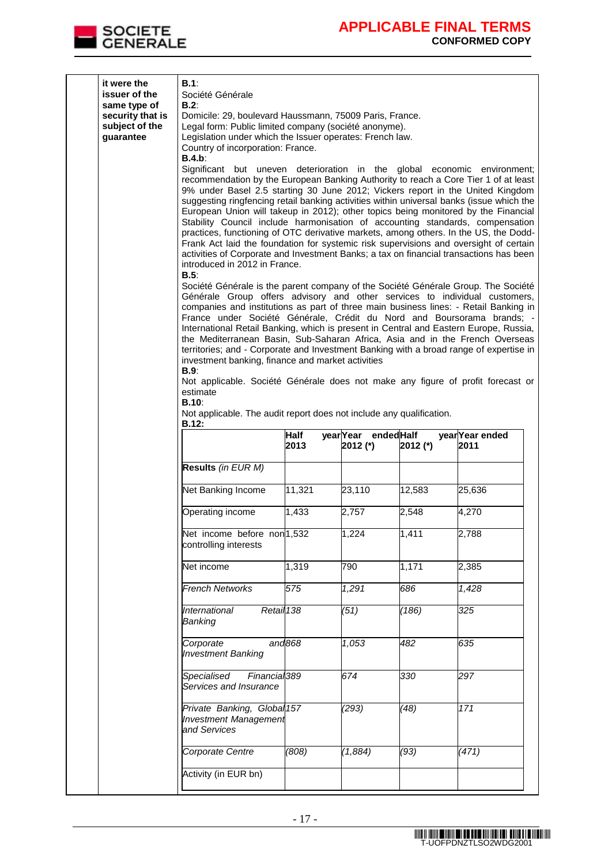

| it were the<br>issuer of the<br>same type of<br>security that is<br>subject of the<br>guarantee | B.1:<br>Société Générale<br>B.2:<br>Domicile: 29, boulevard Haussmann, 75009 Paris, France.<br>Legal form: Public limited company (société anonyme).<br>Legislation under which the Issuer operates: French law.<br>Country of incorporation: France.<br>B.4.b.<br>Significant but uneven deterioration in the global economic environment;<br>recommendation by the European Banking Authority to reach a Core Tier 1 of at least<br>9% under Basel 2.5 starting 30 June 2012; Vickers report in the United Kingdom<br>suggesting ringfencing retail banking activities within universal banks (issue which the<br>European Union will takeup in 2012); other topics being monitored by the Financial<br>Stability Council include harmonisation of accounting standards, compensation<br>practices, functioning of OTC derivative markets, among others. In the US, the Dodd-<br>Frank Act laid the foundation for systemic risk supervisions and oversight of certain<br>activities of Corporate and Investment Banks; a tax on financial transactions has been<br>introduced in 2012 in France.<br>$B.5$ :<br>Société Générale is the parent company of the Société Générale Group. The Société<br>Générale Group offers advisory and other services to individual customers,<br>companies and institutions as part of three main business lines: - Retail Banking in<br>France under Société Générale, Crédit du Nord and Boursorama brands; -<br>International Retail Banking, which is present in Central and Eastern Europe, Russia,<br>the Mediterranean Basin, Sub-Saharan Africa, Asia and in the French Overseas<br>territories; and - Corporate and Investment Banking with a broad range of expertise in<br>investment banking, finance and market activities<br>B.9.<br>Not applicable. Société Générale does not make any figure of profit forecast or<br>estimate<br>B.10: |                     |                                  |                     |                         |  |  |  |
|-------------------------------------------------------------------------------------------------|---------------------------------------------------------------------------------------------------------------------------------------------------------------------------------------------------------------------------------------------------------------------------------------------------------------------------------------------------------------------------------------------------------------------------------------------------------------------------------------------------------------------------------------------------------------------------------------------------------------------------------------------------------------------------------------------------------------------------------------------------------------------------------------------------------------------------------------------------------------------------------------------------------------------------------------------------------------------------------------------------------------------------------------------------------------------------------------------------------------------------------------------------------------------------------------------------------------------------------------------------------------------------------------------------------------------------------------------------------------------------------------------------------------------------------------------------------------------------------------------------------------------------------------------------------------------------------------------------------------------------------------------------------------------------------------------------------------------------------------------------------------------------------------------------------------------------------------------------------------------------------------------|---------------------|----------------------------------|---------------------|-------------------------|--|--|--|
|                                                                                                 | <b>B.12:</b>                                                                                                                                                                                                                                                                                                                                                                                                                                                                                                                                                                                                                                                                                                                                                                                                                                                                                                                                                                                                                                                                                                                                                                                                                                                                                                                                                                                                                                                                                                                                                                                                                                                                                                                                                                                                                                                                                | <b>Half</b><br>2013 | year Year ended Half<br>2012 (*) | 2012 (*)            | year Year ended<br>2011 |  |  |  |
|                                                                                                 | Results (in EUR M)                                                                                                                                                                                                                                                                                                                                                                                                                                                                                                                                                                                                                                                                                                                                                                                                                                                                                                                                                                                                                                                                                                                                                                                                                                                                                                                                                                                                                                                                                                                                                                                                                                                                                                                                                                                                                                                                          |                     |                                  |                     |                         |  |  |  |
|                                                                                                 | Net Banking Income                                                                                                                                                                                                                                                                                                                                                                                                                                                                                                                                                                                                                                                                                                                                                                                                                                                                                                                                                                                                                                                                                                                                                                                                                                                                                                                                                                                                                                                                                                                                                                                                                                                                                                                                                                                                                                                                          | 11,321              | 23,110                           | 12,583              | 25,636                  |  |  |  |
|                                                                                                 | Operating income                                                                                                                                                                                                                                                                                                                                                                                                                                                                                                                                                                                                                                                                                                                                                                                                                                                                                                                                                                                                                                                                                                                                                                                                                                                                                                                                                                                                                                                                                                                                                                                                                                                                                                                                                                                                                                                                            | 1,433               | 2,757                            | 2,548               | 4,270                   |  |  |  |
|                                                                                                 | Net income before non <sup>1,532</sup><br>controlling interests                                                                                                                                                                                                                                                                                                                                                                                                                                                                                                                                                                                                                                                                                                                                                                                                                                                                                                                                                                                                                                                                                                                                                                                                                                                                                                                                                                                                                                                                                                                                                                                                                                                                                                                                                                                                                             |                     | 1,224                            | $\overline{1,41}$ 1 | 2,788                   |  |  |  |
|                                                                                                 | Net income                                                                                                                                                                                                                                                                                                                                                                                                                                                                                                                                                                                                                                                                                                                                                                                                                                                                                                                                                                                                                                                                                                                                                                                                                                                                                                                                                                                                                                                                                                                                                                                                                                                                                                                                                                                                                                                                                  | 1,319               | 790                              | 1,171               | 2,385                   |  |  |  |
|                                                                                                 | <b>French Networks</b>                                                                                                                                                                                                                                                                                                                                                                                                                                                                                                                                                                                                                                                                                                                                                                                                                                                                                                                                                                                                                                                                                                                                                                                                                                                                                                                                                                                                                                                                                                                                                                                                                                                                                                                                                                                                                                                                      | 575                 | 1,291                            | 686                 | 1,428                   |  |  |  |
|                                                                                                 | International<br>Retail 138<br>Banking                                                                                                                                                                                                                                                                                                                                                                                                                                                                                                                                                                                                                                                                                                                                                                                                                                                                                                                                                                                                                                                                                                                                                                                                                                                                                                                                                                                                                                                                                                                                                                                                                                                                                                                                                                                                                                                      |                     | (51)                             | (186)               | 325                     |  |  |  |
|                                                                                                 | Corporate<br><b>Investment Banking</b>                                                                                                                                                                                                                                                                                                                                                                                                                                                                                                                                                                                                                                                                                                                                                                                                                                                                                                                                                                                                                                                                                                                                                                                                                                                                                                                                                                                                                                                                                                                                                                                                                                                                                                                                                                                                                                                      | and868              | $\overline{1,053}$               | 482                 | 635                     |  |  |  |
|                                                                                                 | Specialised<br>Financial <sub>389</sub><br>Services and Insurance                                                                                                                                                                                                                                                                                                                                                                                                                                                                                                                                                                                                                                                                                                                                                                                                                                                                                                                                                                                                                                                                                                                                                                                                                                                                                                                                                                                                                                                                                                                                                                                                                                                                                                                                                                                                                           |                     | 674                              | 330                 | 297                     |  |  |  |
|                                                                                                 | Private Banking, Global 157<br><b>Investment Management</b><br>and Services                                                                                                                                                                                                                                                                                                                                                                                                                                                                                                                                                                                                                                                                                                                                                                                                                                                                                                                                                                                                                                                                                                                                                                                                                                                                                                                                                                                                                                                                                                                                                                                                                                                                                                                                                                                                                 |                     | (293)                            | (48)                | 171                     |  |  |  |
|                                                                                                 | Corporate Centre                                                                                                                                                                                                                                                                                                                                                                                                                                                                                                                                                                                                                                                                                                                                                                                                                                                                                                                                                                                                                                                                                                                                                                                                                                                                                                                                                                                                                                                                                                                                                                                                                                                                                                                                                                                                                                                                            | (808)               | (1,884)                          | (93)                | (471)                   |  |  |  |
|                                                                                                 | Activity (in EUR bn)                                                                                                                                                                                                                                                                                                                                                                                                                                                                                                                                                                                                                                                                                                                                                                                                                                                                                                                                                                                                                                                                                                                                                                                                                                                                                                                                                                                                                                                                                                                                                                                                                                                                                                                                                                                                                                                                        |                     |                                  |                     |                         |  |  |  |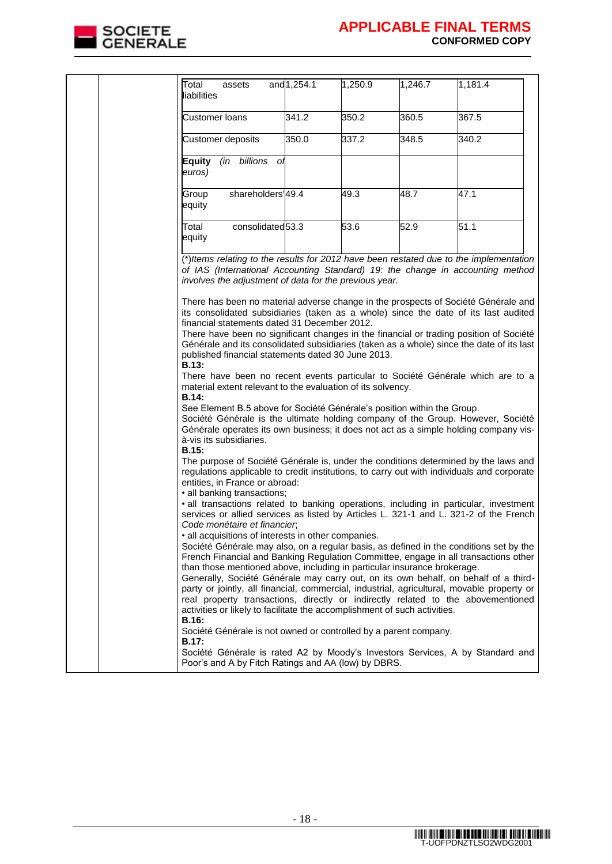

| Total<br>assets<br>liabilities                                                                                                                                                                                                                                                                                                                                                                                                                                                                                                                                                                                                                                                                                                                                                                                                                                                                                                                                                                                                                                                                                          | and 1,254.1 | 1,250.9 | 1,246.7 | 1,181.4 |  |
|-------------------------------------------------------------------------------------------------------------------------------------------------------------------------------------------------------------------------------------------------------------------------------------------------------------------------------------------------------------------------------------------------------------------------------------------------------------------------------------------------------------------------------------------------------------------------------------------------------------------------------------------------------------------------------------------------------------------------------------------------------------------------------------------------------------------------------------------------------------------------------------------------------------------------------------------------------------------------------------------------------------------------------------------------------------------------------------------------------------------------|-------------|---------|---------|---------|--|
| <b>Customer loans</b>                                                                                                                                                                                                                                                                                                                                                                                                                                                                                                                                                                                                                                                                                                                                                                                                                                                                                                                                                                                                                                                                                                   | 341.2       | 350.2   | 360.5   | 367.5   |  |
| Customer deposits                                                                                                                                                                                                                                                                                                                                                                                                                                                                                                                                                                                                                                                                                                                                                                                                                                                                                                                                                                                                                                                                                                       | 350.0       | 337.2   | 348.5   | 340.2   |  |
| billions<br>Equity<br>(in<br>Οl<br>euros)                                                                                                                                                                                                                                                                                                                                                                                                                                                                                                                                                                                                                                                                                                                                                                                                                                                                                                                                                                                                                                                                               |             |         |         |         |  |
| shareholders'49.4<br>Group<br>equity                                                                                                                                                                                                                                                                                                                                                                                                                                                                                                                                                                                                                                                                                                                                                                                                                                                                                                                                                                                                                                                                                    |             | 49.3    | 48.7    | 47.1    |  |
| consolidated <sub>53.3</sub><br>Total<br>equity                                                                                                                                                                                                                                                                                                                                                                                                                                                                                                                                                                                                                                                                                                                                                                                                                                                                                                                                                                                                                                                                         |             | 53.6    | 52.9    | 51.1    |  |
| $\overline{(*)}$ Items relating to the results for 2012 have been restated due to the implementation<br>of IAS (International Accounting Standard) 19: the change in accounting method<br>involves the adjustment of data for the previous year.                                                                                                                                                                                                                                                                                                                                                                                                                                                                                                                                                                                                                                                                                                                                                                                                                                                                        |             |         |         |         |  |
| There has been no material adverse change in the prospects of Société Générale and<br>its consolidated subsidiaries (taken as a whole) since the date of its last audited<br>financial statements dated 31 December 2012.<br>There have been no significant changes in the financial or trading position of Société<br>Générale and its consolidated subsidiaries (taken as a whole) since the date of its last<br>published financial statements dated 30 June 2013.<br>B.13:<br>There have been no recent events particular to Société Générale which are to a<br>material extent relevant to the evaluation of its solvency.<br>B.14:<br>See Element B.5 above for Société Générale's position within the Group.<br>Société Générale is the ultimate holding company of the Group. However, Société<br>Générale operates its own business; it does not act as a simple holding company vis-<br>à-vis its subsidiaries.<br>B.15:<br>The purpose of Société Générale is, under the conditions determined by the laws and<br>regulations applicable to credit institutions, to carry out with individuals and corporate |             |         |         |         |  |
| entities, in France or abroad:<br>• all banking transactions;<br>. all transactions related to banking operations, including in particular, investment<br>services or allied services as listed by Articles L. 321-1 and L. 321-2 of the French<br>Code monétaire et financier,<br>all acquisitions of interests in other companies.<br>Société Générale may also, on a regular basis, as defined in the conditions set by the<br>French Financial and Banking Regulation Committee, engage in all transactions other<br>than those mentioned above, including in particular insurance brokerage.<br>Generally, Société Générale may carry out, on its own behalf, on behalf of a third-<br>party or jointly, all financial, commercial, industrial, agricultural, movable property or<br>real property transactions, directly or indirectly related to the abovementioned<br>activities or likely to facilitate the accomplishment of such activities.                                                                                                                                                                 |             |         |         |         |  |
| B.16:<br>Société Générale is not owned or controlled by a parent company.<br><b>B.17:</b><br>Société Générale is rated A2 by Moody's Investors Services, A by Standard and                                                                                                                                                                                                                                                                                                                                                                                                                                                                                                                                                                                                                                                                                                                                                                                                                                                                                                                                              |             |         |         |         |  |
| Poor's and A by Fitch Ratings and AA (low) by DBRS.                                                                                                                                                                                                                                                                                                                                                                                                                                                                                                                                                                                                                                                                                                                                                                                                                                                                                                                                                                                                                                                                     |             |         |         |         |  |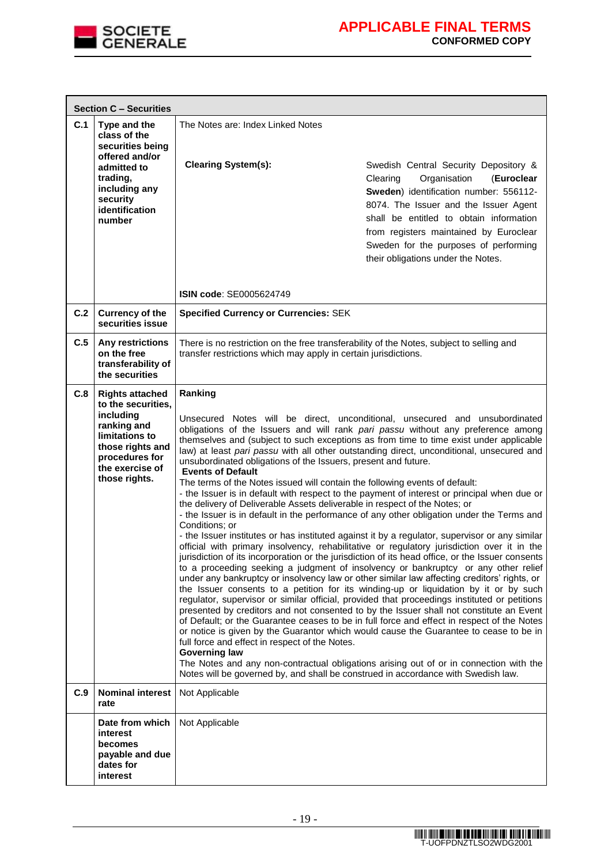

|     | <b>Section C - Securities</b>                                                                                                                                        |                                                                                                                                                                                                                                                                                                                                                                                                                                                     |                                                                                                                                                                                                                                                                                                                                                                                                                                                                                                                                                                                                                                                                                                                                                                                                                                                                                                                                                                                                                                                                                                                                                                                                                                                                                                                                                                                                                                                                                                                                                                                                                |  |  |  |  |
|-----|----------------------------------------------------------------------------------------------------------------------------------------------------------------------|-----------------------------------------------------------------------------------------------------------------------------------------------------------------------------------------------------------------------------------------------------------------------------------------------------------------------------------------------------------------------------------------------------------------------------------------------------|----------------------------------------------------------------------------------------------------------------------------------------------------------------------------------------------------------------------------------------------------------------------------------------------------------------------------------------------------------------------------------------------------------------------------------------------------------------------------------------------------------------------------------------------------------------------------------------------------------------------------------------------------------------------------------------------------------------------------------------------------------------------------------------------------------------------------------------------------------------------------------------------------------------------------------------------------------------------------------------------------------------------------------------------------------------------------------------------------------------------------------------------------------------------------------------------------------------------------------------------------------------------------------------------------------------------------------------------------------------------------------------------------------------------------------------------------------------------------------------------------------------------------------------------------------------------------------------------------------------|--|--|--|--|
| C.1 | Type and the<br>class of the<br>securities being                                                                                                                     | The Notes are: Index Linked Notes                                                                                                                                                                                                                                                                                                                                                                                                                   |                                                                                                                                                                                                                                                                                                                                                                                                                                                                                                                                                                                                                                                                                                                                                                                                                                                                                                                                                                                                                                                                                                                                                                                                                                                                                                                                                                                                                                                                                                                                                                                                                |  |  |  |  |
|     | offered and/or<br>admitted to<br>trading,<br>including any<br>security<br>identification<br>number                                                                   | <b>Clearing System(s):</b>                                                                                                                                                                                                                                                                                                                                                                                                                          | Swedish Central Security Depository &<br>Organisation<br>(Euroclear<br>Clearing<br>Sweden) identification number: 556112-<br>8074. The Issuer and the Issuer Agent<br>shall be entitled to obtain information<br>from registers maintained by Euroclear<br>Sweden for the purposes of performing<br>their obligations under the Notes.                                                                                                                                                                                                                                                                                                                                                                                                                                                                                                                                                                                                                                                                                                                                                                                                                                                                                                                                                                                                                                                                                                                                                                                                                                                                         |  |  |  |  |
|     |                                                                                                                                                                      | ISIN code: SE0005624749                                                                                                                                                                                                                                                                                                                                                                                                                             |                                                                                                                                                                                                                                                                                                                                                                                                                                                                                                                                                                                                                                                                                                                                                                                                                                                                                                                                                                                                                                                                                                                                                                                                                                                                                                                                                                                                                                                                                                                                                                                                                |  |  |  |  |
| C.2 | <b>Currency of the</b><br>securities issue                                                                                                                           | <b>Specified Currency or Currencies: SEK</b>                                                                                                                                                                                                                                                                                                                                                                                                        |                                                                                                                                                                                                                                                                                                                                                                                                                                                                                                                                                                                                                                                                                                                                                                                                                                                                                                                                                                                                                                                                                                                                                                                                                                                                                                                                                                                                                                                                                                                                                                                                                |  |  |  |  |
| C.5 | Any restrictions<br>on the free<br>transferability of<br>the securities                                                                                              | There is no restriction on the free transferability of the Notes, subject to selling and<br>transfer restrictions which may apply in certain jurisdictions.                                                                                                                                                                                                                                                                                         |                                                                                                                                                                                                                                                                                                                                                                                                                                                                                                                                                                                                                                                                                                                                                                                                                                                                                                                                                                                                                                                                                                                                                                                                                                                                                                                                                                                                                                                                                                                                                                                                                |  |  |  |  |
| C.8 | <b>Rights attached</b><br>to the securities,<br>including<br>ranking and<br>limitations to<br>those rights and<br>procedures for<br>the exercise of<br>those rights. | Ranking<br>unsubordinated obligations of the Issuers, present and future.<br><b>Events of Default</b><br>The terms of the Notes issued will contain the following events of default:<br>the delivery of Deliverable Assets deliverable in respect of the Notes; or<br>Conditions; or<br>full force and effect in respect of the Notes.<br><b>Governing law</b><br>Notes will be governed by, and shall be construed in accordance with Swedish law. | Unsecured Notes will be direct, unconditional, unsecured and unsubordinated<br>obligations of the Issuers and will rank pari passu without any preference among<br>themselves and (subject to such exceptions as from time to time exist under applicable<br>law) at least pari passu with all other outstanding direct, unconditional, unsecured and<br>- the Issuer is in default with respect to the payment of interest or principal when due or<br>- the Issuer is in default in the performance of any other obligation under the Terms and<br>- the Issuer institutes or has instituted against it by a regulator, supervisor or any similar<br>official with primary insolvency, rehabilitative or regulatory jurisdiction over it in the<br>jurisdiction of its incorporation or the jurisdiction of its head office, or the Issuer consents<br>to a proceeding seeking a judgment of insolvency or bankruptcy or any other relief<br>under any bankruptcy or insolvency law or other similar law affecting creditors' rights, or<br>the Issuer consents to a petition for its winding-up or liquidation by it or by such<br>regulator, supervisor or similar official, provided that proceedings instituted or petitions<br>presented by creditors and not consented to by the Issuer shall not constitute an Event<br>of Default; or the Guarantee ceases to be in full force and effect in respect of the Notes<br>or notice is given by the Guarantor which would cause the Guarantee to cease to be in<br>The Notes and any non-contractual obligations arising out of or in connection with the |  |  |  |  |
| C.9 | <b>Nominal interest</b><br>rate                                                                                                                                      | Not Applicable                                                                                                                                                                                                                                                                                                                                                                                                                                      |                                                                                                                                                                                                                                                                                                                                                                                                                                                                                                                                                                                                                                                                                                                                                                                                                                                                                                                                                                                                                                                                                                                                                                                                                                                                                                                                                                                                                                                                                                                                                                                                                |  |  |  |  |
|     | Date from which<br>interest<br>becomes<br>payable and due<br>dates for<br>interest                                                                                   | Not Applicable                                                                                                                                                                                                                                                                                                                                                                                                                                      |                                                                                                                                                                                                                                                                                                                                                                                                                                                                                                                                                                                                                                                                                                                                                                                                                                                                                                                                                                                                                                                                                                                                                                                                                                                                                                                                                                                                                                                                                                                                                                                                                |  |  |  |  |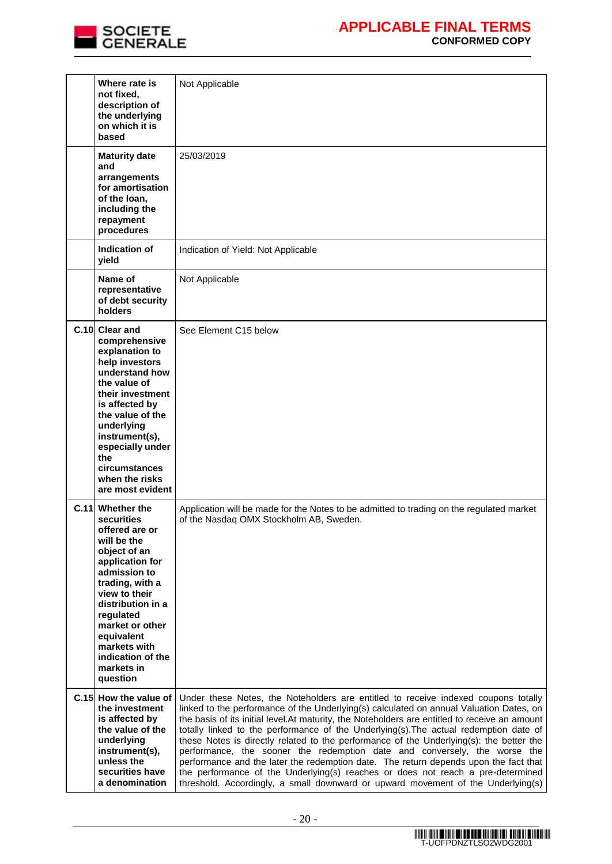

| Where rate is<br>not fixed,<br>description of<br>the underlying<br>on which it is<br>based                                                                                                                                                                                               | Not Applicable                                                                                                                                                                                                                                                                                                                                                                                                                                                                                                                                                                                                                                                                                                                                                                                                 |
|------------------------------------------------------------------------------------------------------------------------------------------------------------------------------------------------------------------------------------------------------------------------------------------|----------------------------------------------------------------------------------------------------------------------------------------------------------------------------------------------------------------------------------------------------------------------------------------------------------------------------------------------------------------------------------------------------------------------------------------------------------------------------------------------------------------------------------------------------------------------------------------------------------------------------------------------------------------------------------------------------------------------------------------------------------------------------------------------------------------|
| <b>Maturity date</b><br>and<br>arrangements<br>for amortisation<br>of the loan.<br>including the<br>repayment<br>procedures                                                                                                                                                              | 25/03/2019                                                                                                                                                                                                                                                                                                                                                                                                                                                                                                                                                                                                                                                                                                                                                                                                     |
| Indication of<br>yield                                                                                                                                                                                                                                                                   | Indication of Yield: Not Applicable                                                                                                                                                                                                                                                                                                                                                                                                                                                                                                                                                                                                                                                                                                                                                                            |
| Name of<br>representative<br>of debt security<br>holders                                                                                                                                                                                                                                 | Not Applicable                                                                                                                                                                                                                                                                                                                                                                                                                                                                                                                                                                                                                                                                                                                                                                                                 |
| C.10 Clear and<br>comprehensive<br>explanation to<br>help investors<br>understand how<br>the value of<br>their investment<br>is affected by<br>the value of the<br>underlying<br>instrument(s),<br>especially under<br>the<br>circumstances<br>when the risks<br>are most evident        | See Element C15 below                                                                                                                                                                                                                                                                                                                                                                                                                                                                                                                                                                                                                                                                                                                                                                                          |
| C.11 Whether the<br>securities<br>offered are or<br>will be the<br>object of an<br>application for<br>admission to<br>trading, with a<br>view to their<br>distribution in a<br>regulated<br>market or other<br>equivalent<br>markets with<br>indication of the<br>markets in<br>question | Application will be made for the Notes to be admitted to trading on the regulated market<br>of the Nasdaq OMX Stockholm AB, Sweden.                                                                                                                                                                                                                                                                                                                                                                                                                                                                                                                                                                                                                                                                            |
| C.15 How the value of<br>the investment<br>is affected by<br>the value of the<br>underlying<br>instrument(s),<br>unless the<br>securities have<br>a denomination                                                                                                                         | Under these Notes, the Noteholders are entitled to receive indexed coupons totally<br>linked to the performance of the Underlying(s) calculated on annual Valuation Dates, on<br>the basis of its initial level.At maturity, the Noteholders are entitled to receive an amount<br>totally linked to the performance of the Underlying(s). The actual redemption date of<br>these Notes is directly related to the performance of the Underlying(s): the better the<br>performance, the sooner the redemption date and conversely, the worse the<br>performance and the later the redemption date. The return depends upon the fact that<br>the performance of the Underlying(s) reaches or does not reach a pre-determined<br>threshold. Accordingly, a small downward or upward movement of the Underlying(s) |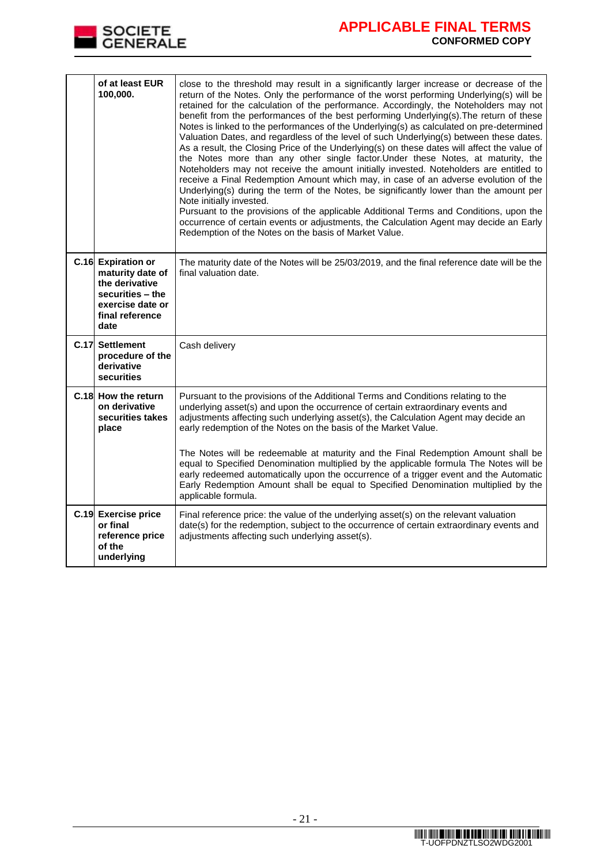

## **APPLICABLE FINAL TERMS CONFORMED COPY**

| of at least EUR<br>100,000.                                                                                                 | close to the threshold may result in a significantly larger increase or decrease of the<br>return of the Notes. Only the performance of the worst performing Underlying(s) will be<br>retained for the calculation of the performance. Accordingly, the Noteholders may not<br>benefit from the performances of the best performing Underlying(s). The return of these<br>Notes is linked to the performances of the Underlying(s) as calculated on pre-determined<br>Valuation Dates, and regardless of the level of such Underlying(s) between these dates.<br>As a result, the Closing Price of the Underlying(s) on these dates will affect the value of<br>the Notes more than any other single factor. Under these Notes, at maturity, the<br>Noteholders may not receive the amount initially invested. Noteholders are entitled to<br>receive a Final Redemption Amount which may, in case of an adverse evolution of the<br>Underlying(s) during the term of the Notes, be significantly lower than the amount per<br>Note initially invested.<br>Pursuant to the provisions of the applicable Additional Terms and Conditions, upon the<br>occurrence of certain events or adjustments, the Calculation Agent may decide an Early<br>Redemption of the Notes on the basis of Market Value. |
|-----------------------------------------------------------------------------------------------------------------------------|------------------------------------------------------------------------------------------------------------------------------------------------------------------------------------------------------------------------------------------------------------------------------------------------------------------------------------------------------------------------------------------------------------------------------------------------------------------------------------------------------------------------------------------------------------------------------------------------------------------------------------------------------------------------------------------------------------------------------------------------------------------------------------------------------------------------------------------------------------------------------------------------------------------------------------------------------------------------------------------------------------------------------------------------------------------------------------------------------------------------------------------------------------------------------------------------------------------------------------------------------------------------------------------------------|
| C.16 Expiration or<br>maturity date of<br>the derivative<br>securities - the<br>exercise date or<br>final reference<br>date | The maturity date of the Notes will be 25/03/2019, and the final reference date will be the<br>final valuation date.                                                                                                                                                                                                                                                                                                                                                                                                                                                                                                                                                                                                                                                                                                                                                                                                                                                                                                                                                                                                                                                                                                                                                                                 |
| C.17 Settlement<br>procedure of the<br>derivative<br>securities                                                             | Cash delivery                                                                                                                                                                                                                                                                                                                                                                                                                                                                                                                                                                                                                                                                                                                                                                                                                                                                                                                                                                                                                                                                                                                                                                                                                                                                                        |
| C.18 How the return<br>on derivative<br>securities takes<br>place                                                           | Pursuant to the provisions of the Additional Terms and Conditions relating to the<br>underlying asset(s) and upon the occurrence of certain extraordinary events and<br>adjustments affecting such underlying asset(s), the Calculation Agent may decide an<br>early redemption of the Notes on the basis of the Market Value.<br>The Notes will be redeemable at maturity and the Final Redemption Amount shall be<br>equal to Specified Denomination multiplied by the applicable formula The Notes will be<br>early redeemed automatically upon the occurrence of a trigger event and the Automatic<br>Early Redemption Amount shall be equal to Specified Denomination multiplied by the<br>applicable formula.                                                                                                                                                                                                                                                                                                                                                                                                                                                                                                                                                                                  |
| C.19 Exercise price<br>or final<br>reference price<br>of the<br>underlying                                                  | Final reference price: the value of the underlying asset(s) on the relevant valuation<br>date(s) for the redemption, subject to the occurrence of certain extraordinary events and<br>adjustments affecting such underlying asset(s).                                                                                                                                                                                                                                                                                                                                                                                                                                                                                                                                                                                                                                                                                                                                                                                                                                                                                                                                                                                                                                                                |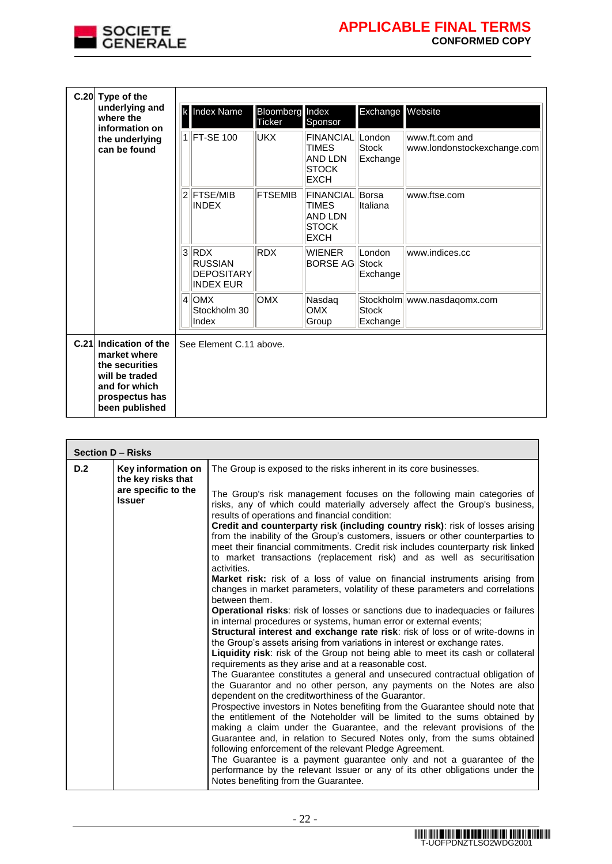

| C.20 Type of the                                                                                                                |   |                                                                    |                                  |                                                                                   |                                    |                                               |
|---------------------------------------------------------------------------------------------------------------------------------|---|--------------------------------------------------------------------|----------------------------------|-----------------------------------------------------------------------------------|------------------------------------|-----------------------------------------------|
| underlying and<br>where the<br>information on                                                                                   | k | Index Name                                                         | <b>Bloomberg</b> Index<br>Ticker | Sponsor                                                                           | Exchange Website                   |                                               |
| the underlying<br>can be found                                                                                                  |   | 1 FT-SE 100                                                        | <b>UKX</b>                       | <b>FINANCIAL</b><br>TIMES<br><b>AND LDN</b><br><b>STOCK</b><br><b>EXCH</b>        | London<br><b>Stock</b><br>Exchange | www.ft.com and<br>www.londonstockexchange.com |
|                                                                                                                                 | 2 | <b>FTSE/MIB</b><br><b>INDEX</b>                                    | <b>FTSEMIB</b>                   | <b>FINANCIAL</b><br><b>TIMES</b><br><b>AND LDN</b><br><b>STOCK</b><br><b>EXCH</b> | Borsa<br>Italiana                  | www.ftse.com                                  |
|                                                                                                                                 |   | $3$ RDX<br><b>RUSSIAN</b><br><b>DEPOSITARY</b><br><b>INDEX EUR</b> | <b>RDX</b>                       | <b>WIENER</b><br><b>BORSE AG</b>                                                  | London<br>Stock<br>Exchange        | www.indices.cc                                |
|                                                                                                                                 | 4 | <b>OMX</b><br>Stockholm 30<br>Index                                | <b>OMX</b>                       | Nasdaq<br><b>OMX</b><br>Group                                                     | <b>Stock</b><br>Exchange           | Stockholm   www.nasdaqomx.com                 |
| C.21 Indication of the<br>market where<br>the securities<br>will be traded<br>and for which<br>prospectus has<br>been published |   | See Element C.11 above.                                            |                                  |                                                                                   |                                    |                                               |

|     | <b>Section D - Risks</b>                                                         |                                                                                                                                                                                                                                                                                                                                                                                                                                                                                                                                                                                                                                                                                                                                                                                                                                                                                                                                                                                                                                                                                                                                                                                                                                                                                                                                                                                                                                                                                                                                                                                                                                                                                                                                                                                                                                   |  |  |  |  |  |  |
|-----|----------------------------------------------------------------------------------|-----------------------------------------------------------------------------------------------------------------------------------------------------------------------------------------------------------------------------------------------------------------------------------------------------------------------------------------------------------------------------------------------------------------------------------------------------------------------------------------------------------------------------------------------------------------------------------------------------------------------------------------------------------------------------------------------------------------------------------------------------------------------------------------------------------------------------------------------------------------------------------------------------------------------------------------------------------------------------------------------------------------------------------------------------------------------------------------------------------------------------------------------------------------------------------------------------------------------------------------------------------------------------------------------------------------------------------------------------------------------------------------------------------------------------------------------------------------------------------------------------------------------------------------------------------------------------------------------------------------------------------------------------------------------------------------------------------------------------------------------------------------------------------------------------------------------------------|--|--|--|--|--|--|
| D.2 | Key information on<br>the key risks that<br>are specific to the<br><b>Issuer</b> | The Group is exposed to the risks inherent in its core businesses.<br>The Group's risk management focuses on the following main categories of<br>risks, any of which could materially adversely affect the Group's business,<br>results of operations and financial condition:<br>Credit and counterparty risk (including country risk): risk of losses arising<br>from the inability of the Group's customers, issuers or other counterparties to<br>meet their financial commitments. Credit risk includes counterparty risk linked<br>to market transactions (replacement risk) and as well as securitisation<br>activities.<br><b>Market risk:</b> risk of a loss of value on financial instruments arising from<br>changes in market parameters, volatility of these parameters and correlations<br>between them.<br><b>Operational risks:</b> risk of losses or sanctions due to inadequacies or failures<br>in internal procedures or systems, human error or external events;<br>Structural interest and exchange rate risk: risk of loss or of write-downs in<br>the Group's assets arising from variations in interest or exchange rates.<br>Liquidity risk: risk of the Group not being able to meet its cash or collateral<br>requirements as they arise and at a reasonable cost.<br>The Guarantee constitutes a general and unsecured contractual obligation of<br>the Guarantor and no other person, any payments on the Notes are also<br>dependent on the creditworthiness of the Guarantor.<br>Prospective investors in Notes benefiting from the Guarantee should note that<br>the entitlement of the Noteholder will be limited to the sums obtained by<br>making a claim under the Guarantee, and the relevant provisions of the<br>Guarantee and, in relation to Secured Notes only, from the sums obtained |  |  |  |  |  |  |
|     |                                                                                  | following enforcement of the relevant Pledge Agreement.<br>The Guarantee is a payment guarantee only and not a guarantee of the<br>performance by the relevant Issuer or any of its other obligations under the<br>Notes benefiting from the Guarantee.                                                                                                                                                                                                                                                                                                                                                                                                                                                                                                                                                                                                                                                                                                                                                                                                                                                                                                                                                                                                                                                                                                                                                                                                                                                                                                                                                                                                                                                                                                                                                                           |  |  |  |  |  |  |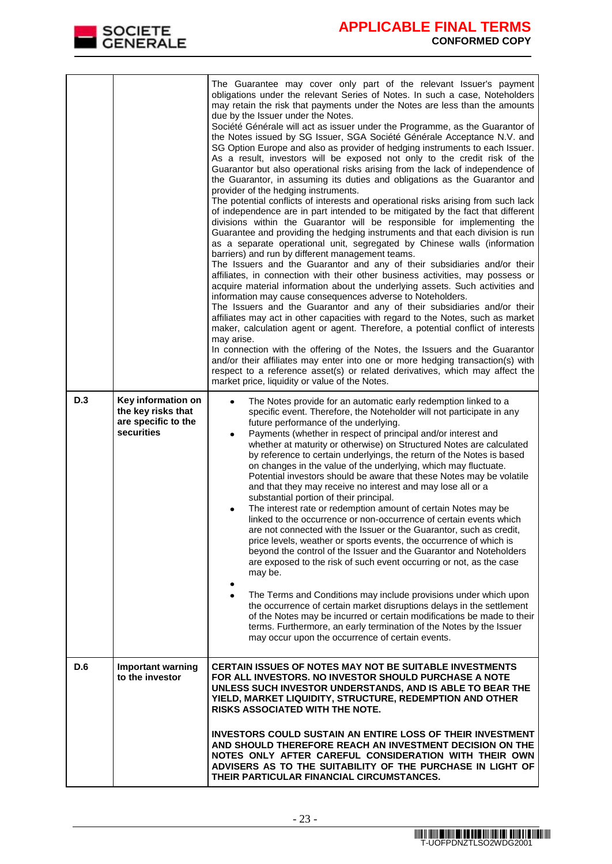

|     |                                                                               | The Guarantee may cover only part of the relevant Issuer's payment<br>obligations under the relevant Series of Notes. In such a case, Noteholders<br>may retain the risk that payments under the Notes are less than the amounts<br>due by the Issuer under the Notes.<br>Société Générale will act as issuer under the Programme, as the Guarantor of<br>the Notes issued by SG Issuer, SGA Société Générale Acceptance N.V. and<br>SG Option Europe and also as provider of hedging instruments to each Issuer.<br>As a result, investors will be exposed not only to the credit risk of the<br>Guarantor but also operational risks arising from the lack of independence of<br>the Guarantor, in assuming its duties and obligations as the Guarantor and<br>provider of the hedging instruments.<br>The potential conflicts of interests and operational risks arising from such lack<br>of independence are in part intended to be mitigated by the fact that different<br>divisions within the Guarantor will be responsible for implementing the<br>Guarantee and providing the hedging instruments and that each division is run<br>as a separate operational unit, segregated by Chinese walls (information<br>barriers) and run by different management teams.<br>The Issuers and the Guarantor and any of their subsidiaries and/or their<br>affiliates, in connection with their other business activities, may possess or<br>acquire material information about the underlying assets. Such activities and<br>information may cause consequences adverse to Noteholders.<br>The Issuers and the Guarantor and any of their subsidiaries and/or their<br>affiliates may act in other capacities with regard to the Notes, such as market<br>maker, calculation agent or agent. Therefore, a potential conflict of interests<br>may arise.<br>In connection with the offering of the Notes, the Issuers and the Guarantor<br>and/or their affiliates may enter into one or more hedging transaction(s) with<br>respect to a reference asset(s) or related derivatives, which may affect the<br>market price, liquidity or value of the Notes. |
|-----|-------------------------------------------------------------------------------|-----------------------------------------------------------------------------------------------------------------------------------------------------------------------------------------------------------------------------------------------------------------------------------------------------------------------------------------------------------------------------------------------------------------------------------------------------------------------------------------------------------------------------------------------------------------------------------------------------------------------------------------------------------------------------------------------------------------------------------------------------------------------------------------------------------------------------------------------------------------------------------------------------------------------------------------------------------------------------------------------------------------------------------------------------------------------------------------------------------------------------------------------------------------------------------------------------------------------------------------------------------------------------------------------------------------------------------------------------------------------------------------------------------------------------------------------------------------------------------------------------------------------------------------------------------------------------------------------------------------------------------------------------------------------------------------------------------------------------------------------------------------------------------------------------------------------------------------------------------------------------------------------------------------------------------------------------------------------------------------------------------------------------------------------------------------------------------------------------------------------------------------------------------|
| D.3 | Key information on<br>the key risks that<br>are specific to the<br>securities | The Notes provide for an automatic early redemption linked to a<br>$\bullet$<br>specific event. Therefore, the Noteholder will not participate in any<br>future performance of the underlying.<br>Payments (whether in respect of principal and/or interest and<br>٠<br>whether at maturity or otherwise) on Structured Notes are calculated<br>by reference to certain underlyings, the return of the Notes is based<br>on changes in the value of the underlying, which may fluctuate.<br>Potential investors should be aware that these Notes may be volatile<br>and that they may receive no interest and may lose all or a<br>substantial portion of their principal.<br>The interest rate or redemption amount of certain Notes may be<br>linked to the occurrence or non-occurrence of certain events which<br>are not connected with the Issuer or the Guarantor, such as credit,<br>price levels, weather or sports events, the occurrence of which is<br>beyond the control of the Issuer and the Guarantor and Noteholders<br>are exposed to the risk of such event occurring or not, as the case<br>may be.<br>The Terms and Conditions may include provisions under which upon<br>the occurrence of certain market disruptions delays in the settlement<br>of the Notes may be incurred or certain modifications be made to their<br>terms. Furthermore, an early termination of the Notes by the Issuer<br>may occur upon the occurrence of certain events.                                                                                                                                                                                                                                                                                                                                                                                                                                                                                                                                                                                                                                                                                 |
| D.6 | <b>Important warning</b><br>to the investor                                   | CERTAIN ISSUES OF NOTES MAY NOT BE SUITABLE INVESTMENTS<br>FOR ALL INVESTORS. NO INVESTOR SHOULD PURCHASE A NOTE<br>UNLESS SUCH INVESTOR UNDERSTANDS, AND IS ABLE TO BEAR THE<br>YIELD, MARKET LIQUIDITY, STRUCTURE, REDEMPTION AND OTHER<br><b>RISKS ASSOCIATED WITH THE NOTE.</b>                                                                                                                                                                                                                                                                                                                                                                                                                                                                                                                                                                                                                                                                                                                                                                                                                                                                                                                                                                                                                                                                                                                                                                                                                                                                                                                                                                                                                                                                                                                                                                                                                                                                                                                                                                                                                                                                       |
|     |                                                                               | INVESTORS COULD SUSTAIN AN ENTIRE LOSS OF THEIR INVESTMENT<br>AND SHOULD THEREFORE REACH AN INVESTMENT DECISION ON THE<br>NOTES ONLY AFTER CAREFUL CONSIDERATION WITH THEIR OWN<br>ADVISERS AS TO THE SUITABILITY OF THE PURCHASE IN LIGHT OF<br>THEIR PARTICULAR FINANCIAL CIRCUMSTANCES.                                                                                                                                                                                                                                                                                                                                                                                                                                                                                                                                                                                                                                                                                                                                                                                                                                                                                                                                                                                                                                                                                                                                                                                                                                                                                                                                                                                                                                                                                                                                                                                                                                                                                                                                                                                                                                                                |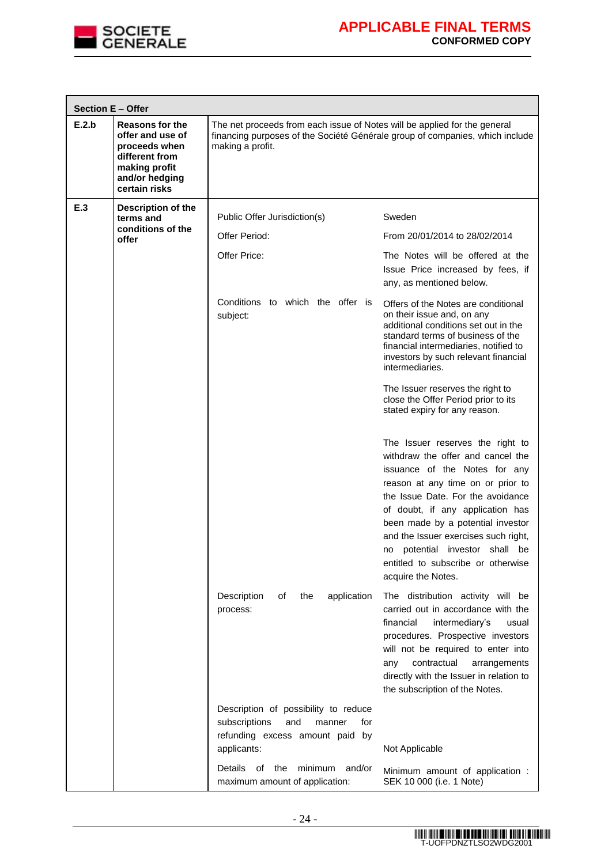

|       | Section E - Offer                                                                                                                 |                                                                                                                                                                               |                                                                                                                                                                                                                                                                                                                                                                                                 |  |  |  |  |
|-------|-----------------------------------------------------------------------------------------------------------------------------------|-------------------------------------------------------------------------------------------------------------------------------------------------------------------------------|-------------------------------------------------------------------------------------------------------------------------------------------------------------------------------------------------------------------------------------------------------------------------------------------------------------------------------------------------------------------------------------------------|--|--|--|--|
| E.2.b | <b>Reasons for the</b><br>offer and use of<br>proceeds when<br>different from<br>making profit<br>and/or hedging<br>certain risks | The net proceeds from each issue of Notes will be applied for the general<br>financing purposes of the Société Générale group of companies, which include<br>making a profit. |                                                                                                                                                                                                                                                                                                                                                                                                 |  |  |  |  |
| E.3   | Description of the<br>terms and                                                                                                   | Public Offer Jurisdiction(s)                                                                                                                                                  | Sweden                                                                                                                                                                                                                                                                                                                                                                                          |  |  |  |  |
|       | conditions of the<br>offer                                                                                                        | Offer Period:                                                                                                                                                                 | From 20/01/2014 to 28/02/2014                                                                                                                                                                                                                                                                                                                                                                   |  |  |  |  |
|       |                                                                                                                                   | Offer Price:                                                                                                                                                                  | The Notes will be offered at the<br>Issue Price increased by fees, if<br>any, as mentioned below.                                                                                                                                                                                                                                                                                               |  |  |  |  |
|       |                                                                                                                                   | Conditions to which the offer is<br>subject:                                                                                                                                  | Offers of the Notes are conditional<br>on their issue and, on any<br>additional conditions set out in the<br>standard terms of business of the<br>financial intermediaries, notified to<br>investors by such relevant financial<br>intermediaries.                                                                                                                                              |  |  |  |  |
|       |                                                                                                                                   |                                                                                                                                                                               | The Issuer reserves the right to<br>close the Offer Period prior to its<br>stated expiry for any reason.                                                                                                                                                                                                                                                                                        |  |  |  |  |
|       |                                                                                                                                   |                                                                                                                                                                               | The Issuer reserves the right to<br>withdraw the offer and cancel the<br>issuance of the Notes for any<br>reason at any time on or prior to<br>the Issue Date. For the avoidance<br>of doubt, if any application has<br>been made by a potential investor<br>and the Issuer exercises such right,<br>no potential investor shall be<br>entitled to subscribe or otherwise<br>acquire the Notes. |  |  |  |  |
|       |                                                                                                                                   | Description<br>οf<br>the<br>application<br>process:                                                                                                                           | The distribution activity will be<br>carried out in accordance with the<br>financial<br>intermediary's<br>usual<br>procedures. Prospective investors<br>will not be required to enter into<br>contractual<br>any<br>arrangements<br>directly with the Issuer in relation to<br>the subscription of the Notes.                                                                                   |  |  |  |  |
|       |                                                                                                                                   | Description of possibility to reduce<br>subscriptions<br>and<br>manner<br>for<br>refunding excess amount paid by<br>applicants:                                               | Not Applicable                                                                                                                                                                                                                                                                                                                                                                                  |  |  |  |  |
|       |                                                                                                                                   | minimum<br>and/or<br><b>Details</b><br>of<br>the<br>maximum amount of application:                                                                                            | Minimum amount of application :<br>SEK 10 000 (i.e. 1 Note)                                                                                                                                                                                                                                                                                                                                     |  |  |  |  |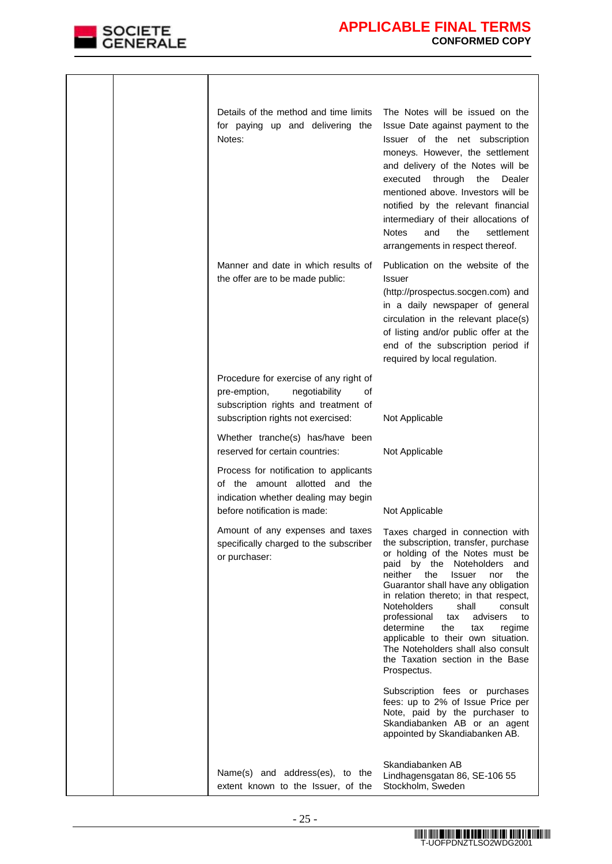

|  | Details of the method and time limits<br>for paying up and delivering the<br>Notes:                                                                         | The Notes will be issued on the<br>Issue Date against payment to the<br>Issuer of the net subscription<br>moneys. However, the settlement<br>and delivery of the Notes will be<br>through<br>executed<br>the<br>Dealer<br>mentioned above. Investors will be<br>notified by the relevant financial<br>intermediary of their allocations of<br><b>Notes</b><br>the<br>settlement<br>and<br>arrangements in respect thereof.                                                                                                            |
|--|-------------------------------------------------------------------------------------------------------------------------------------------------------------|---------------------------------------------------------------------------------------------------------------------------------------------------------------------------------------------------------------------------------------------------------------------------------------------------------------------------------------------------------------------------------------------------------------------------------------------------------------------------------------------------------------------------------------|
|  | Manner and date in which results of<br>the offer are to be made public:                                                                                     | Publication on the website of the<br>Issuer<br>(http://prospectus.socgen.com) and<br>in a daily newspaper of general<br>circulation in the relevant place(s)<br>of listing and/or public offer at the<br>end of the subscription period if<br>required by local regulation.                                                                                                                                                                                                                                                           |
|  | Procedure for exercise of any right of<br>pre-emption,<br>negotiability<br>οf<br>subscription rights and treatment of<br>subscription rights not exercised: | Not Applicable                                                                                                                                                                                                                                                                                                                                                                                                                                                                                                                        |
|  | Whether tranche(s) has/have been<br>reserved for certain countries:                                                                                         | Not Applicable                                                                                                                                                                                                                                                                                                                                                                                                                                                                                                                        |
|  | Process for notification to applicants<br>of the amount allotted and the<br>indication whether dealing may begin<br>before notification is made:            | Not Applicable                                                                                                                                                                                                                                                                                                                                                                                                                                                                                                                        |
|  | Amount of any expenses and taxes<br>specifically charged to the subscriber<br>or purchaser:                                                                 | Taxes charged in connection with<br>the subscription, transfer, purchase<br>or holding of the Notes must be<br>paid by the Noteholders<br>and<br>neither<br>the<br>the<br><b>Issuer</b><br>nor<br>Guarantor shall have any obligation<br>in relation thereto; in that respect,<br><b>Noteholders</b><br>shall<br>consult<br>professional<br>advisers<br>to<br>tax<br>determine<br>the<br>regime<br>tax<br>applicable to their own situation.<br>The Noteholders shall also consult<br>the Taxation section in the Base<br>Prospectus. |
|  |                                                                                                                                                             | Subscription fees or purchases<br>fees: up to 2% of Issue Price per<br>Note, paid by the purchaser to<br>Skandiabanken AB or an agent<br>appointed by Skandiabanken AB.                                                                                                                                                                                                                                                                                                                                                               |
|  | Name(s) and address(es), to the<br>extent known to the Issuer, of the                                                                                       | Skandiabanken AB<br>Lindhagensgatan 86, SE-106 55<br>Stockholm, Sweden                                                                                                                                                                                                                                                                                                                                                                                                                                                                |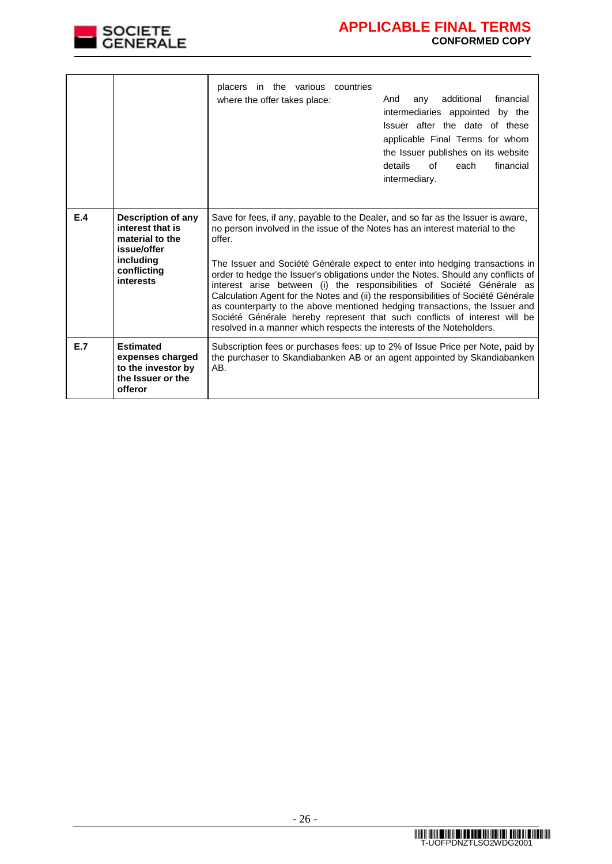

|     |                                                                                                                   | placers in the various countries<br>where the offer takes place:                                                                                                                                                                                                                                                                                                                                                                                                                                                                                                                                                                                                                                                                                   | financial<br>additional<br>And<br>any<br>intermediaries appointed by the<br>Issuer after the date of these<br>applicable Final Terms for whom<br>the Issuer publishes on its website<br>details<br>of<br>financial<br>each<br>intermediary. |  |  |  |  |
|-----|-------------------------------------------------------------------------------------------------------------------|----------------------------------------------------------------------------------------------------------------------------------------------------------------------------------------------------------------------------------------------------------------------------------------------------------------------------------------------------------------------------------------------------------------------------------------------------------------------------------------------------------------------------------------------------------------------------------------------------------------------------------------------------------------------------------------------------------------------------------------------------|---------------------------------------------------------------------------------------------------------------------------------------------------------------------------------------------------------------------------------------------|--|--|--|--|
| E.4 | Description of any<br>interest that is<br>material to the<br>issue/offer<br>including<br>conflicting<br>interests | Save for fees, if any, payable to the Dealer, and so far as the Issuer is aware,<br>no person involved in the issue of the Notes has an interest material to the<br>offer.<br>The Issuer and Société Générale expect to enter into hedging transactions in<br>order to hedge the Issuer's obligations under the Notes. Should any conflicts of<br>interest arise between (i) the responsibilities of Société Générale as<br>Calculation Agent for the Notes and (ii) the responsibilities of Société Générale<br>as counterparty to the above mentioned hedging transactions, the Issuer and<br>Société Générale hereby represent that such conflicts of interest will be<br>resolved in a manner which respects the interests of the Noteholders. |                                                                                                                                                                                                                                             |  |  |  |  |
| E.7 | <b>Estimated</b><br>expenses charged<br>to the investor by<br>the Issuer or the<br>offeror                        | Subscription fees or purchases fees: up to 2% of Issue Price per Note, paid by<br>the purchaser to Skandiabanken AB or an agent appointed by Skandiabanken<br>AB.                                                                                                                                                                                                                                                                                                                                                                                                                                                                                                                                                                                  |                                                                                                                                                                                                                                             |  |  |  |  |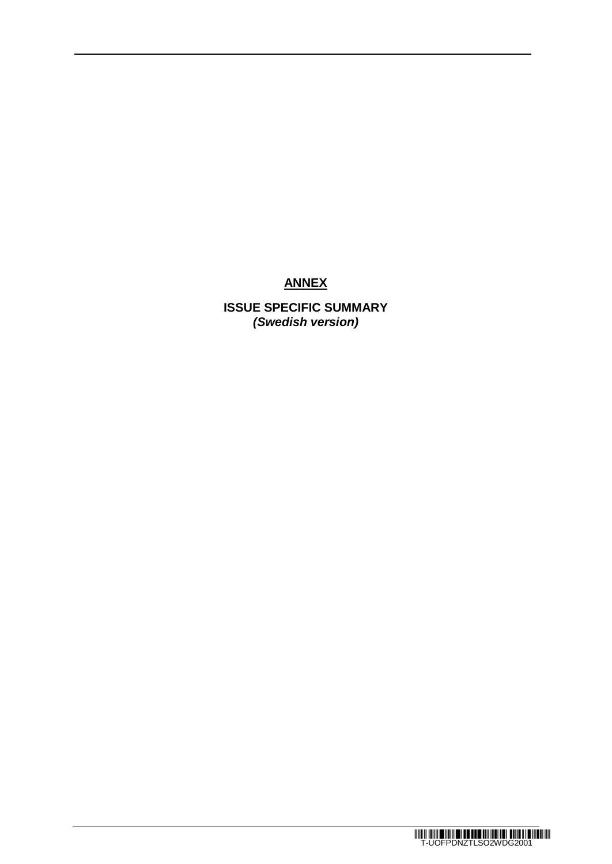# **ANNEX**

**ISSUE SPECIFIC SUMMARY** *(Swedish version)*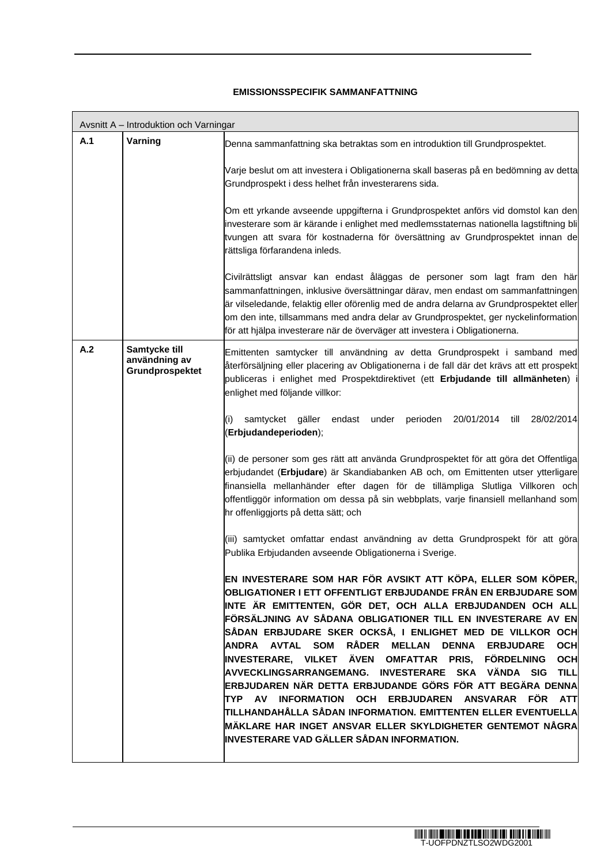### **EMISSIONSSPECIFIK SAMMANFATTNING**

|     | Avsnitt A - Introduktion och Varningar            |                                                                                                                                                                                                                                                                                                                                                                                                                                                                                                                                                                                                                                                                                                                                                                                                                     |
|-----|---------------------------------------------------|---------------------------------------------------------------------------------------------------------------------------------------------------------------------------------------------------------------------------------------------------------------------------------------------------------------------------------------------------------------------------------------------------------------------------------------------------------------------------------------------------------------------------------------------------------------------------------------------------------------------------------------------------------------------------------------------------------------------------------------------------------------------------------------------------------------------|
| A.1 | Varning                                           | Denna sammanfattning ska betraktas som en introduktion till Grundprospektet.                                                                                                                                                                                                                                                                                                                                                                                                                                                                                                                                                                                                                                                                                                                                        |
|     |                                                   | Varje beslut om att investera i Obligationerna skall baseras på en bedömning av detta<br>Grundprospekt i dess helhet från investerarens sida.                                                                                                                                                                                                                                                                                                                                                                                                                                                                                                                                                                                                                                                                       |
|     |                                                   | Om ett yrkande avseende uppgifterna i Grundprospektet anförs vid domstol kan den<br>investerare som är kärande i enlighet med medlemsstaternas nationella lagstiftning bli<br>tvungen att svara för kostnaderna för översättning av Grundprospektet innan de<br>rättsliga förfarandena inleds.                                                                                                                                                                                                                                                                                                                                                                                                                                                                                                                      |
|     |                                                   | Civilrättsligt ansvar kan endast åläggas de personer som lagt fram den här<br>sammanfattningen, inklusive översättningar därav, men endast om sammanfattningen<br>är vilseledande, felaktig eller oförenlig med de andra delarna av Grundprospektet eller<br>om den inte, tillsammans med andra delar av Grundprospektet, ger nyckelinformation<br>för att hjälpa investerare när de överväger att investera i Obligationerna.                                                                                                                                                                                                                                                                                                                                                                                      |
| A.2 | Samtycke till<br>användning av<br>Grundprospektet | Emittenten samtycker till användning av detta Grundprospekt i samband med<br>återförsäljning eller placering av Obligationerna i de fall där det krävs att ett prospekt<br>publiceras i enlighet med Prospektdirektivet (ett Erbjudande till allmänheten)<br>enlighet med följande villkor:                                                                                                                                                                                                                                                                                                                                                                                                                                                                                                                         |
|     |                                                   | samtycket<br>gäller<br>endast under perioden<br>20/01/2014 till<br>28/02/2014<br>(i)<br>(Erbjudandeperioden);                                                                                                                                                                                                                                                                                                                                                                                                                                                                                                                                                                                                                                                                                                       |
|     |                                                   | (ii) de personer som ges rätt att använda Grundprospektet för att göra det Offentliga<br>erbjudandet (Erbjudare) är Skandiabanken AB och, om Emittenten utser ytterligare<br>finansiella mellanhänder efter dagen för de tillämpliga Slutliga Villkoren och<br>offentliggör information om dessa på sin webbplats, varje finansiell mellanhand som<br>hr offenliggjorts på detta sätt; och                                                                                                                                                                                                                                                                                                                                                                                                                          |
|     |                                                   | (iii) samtycket omfattar endast användning av detta Grundprospekt för att göra<br>Publika Erbjudanden avseende Obligationerna i Sverige.                                                                                                                                                                                                                                                                                                                                                                                                                                                                                                                                                                                                                                                                            |
|     |                                                   | EN INVESTERARE SOM HAR FÖR AVSIKT ATT KÖPA, ELLER SOM KÖPER,<br>OBLIGATIONER I ETT OFFENTLIGT ERBJUDANDE FRÅN EN ERBJUDARE SOM<br>INTE ÄR EMITTENTEN, GÖR DET, OCH ALLA ERBJUDANDEN OCH ALL<br>FÖRSÄLJNING AV SÅDANA OBLIGATIONER TILL EN INVESTERARE AV EN<br>SÅDAN ERBJUDARE SKER OCKSÅ, I ENLIGHET MED DE VILLKOR OCH<br>ANDRA AVTAL SOM RÅDER MELLAN DENNA ERBJUDARE<br><b>OCH</b><br>INVESTERARE, VILKET ÄVEN OMFATTAR PRIS, FÖRDELNING<br><b>OCH</b><br>AVVECKLINGSARRANGEMANG. INVESTERARE SKA VÄNDA SIG TILL<br>ERBJUDAREN NÄR DETTA ERBJUDANDE GÖRS FÖR ATT BEGÄRA DENNA<br>TYP AV INFORMATION OCH ERBJUDAREN ANSVARAR FÖR ATT<br>TILLHANDAHÅLLA SÅDAN INFORMATION. EMITTENTEN ELLER EVENTUELLA<br>MÄKLARE HAR INGET ANSVAR ELLER SKYLDIGHETER GENTEMOT NÅGRA<br>INVESTERARE VAD GÄLLER SÅDAN INFORMATION. |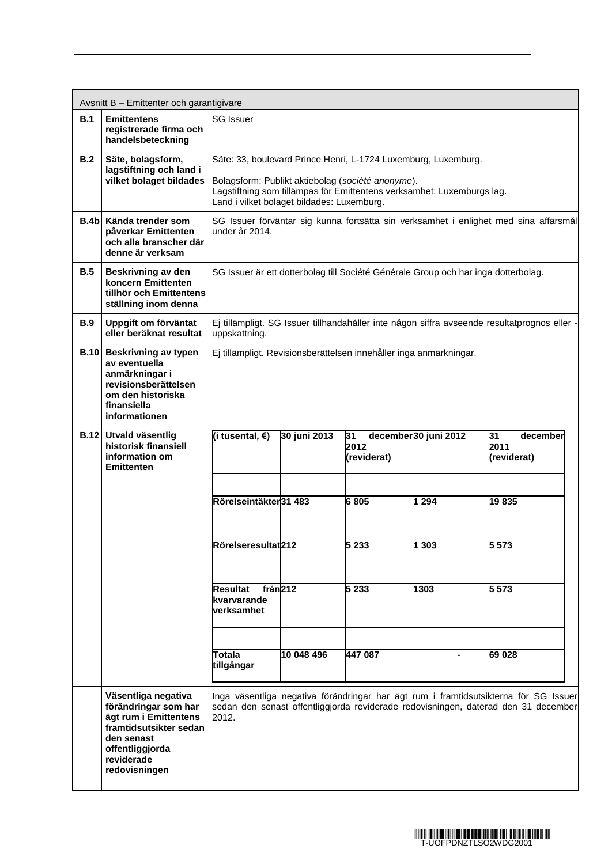|      | Avsnitt B - Emittenter och garantigivare                                                                                                                       |                                                                                                                                                                                                                                             |                                                                                    |         |         |                                                                                                                                                                            |  |
|------|----------------------------------------------------------------------------------------------------------------------------------------------------------------|---------------------------------------------------------------------------------------------------------------------------------------------------------------------------------------------------------------------------------------------|------------------------------------------------------------------------------------|---------|---------|----------------------------------------------------------------------------------------------------------------------------------------------------------------------------|--|
| B.1  | <b>Emittentens</b><br>registrerade firma och<br>handelsbeteckning                                                                                              | <b>SG Issuer</b>                                                                                                                                                                                                                            |                                                                                    |         |         |                                                                                                                                                                            |  |
| B.2  | Säte, bolagsform,<br>lagstiftning och land i<br>vilket bolaget bildades                                                                                        | Säte: 33, boulevard Prince Henri, L-1724 Luxemburg, Luxemburg.<br>Bolagsform: Publikt aktiebolag (société anonyme).<br>Lagstiftning som tillämpas för Emittentens verksamhet: Luxemburgs lag.<br>Land i vilket bolaget bildades: Luxemburg. |                                                                                    |         |         |                                                                                                                                                                            |  |
| B.4b | Kända trender som<br>påverkar Emittenten<br>och alla branscher där<br>denne är verksam                                                                         | SG Issuer förväntar sig kunna fortsätta sin verksamhet i enlighet med sina affärsmål<br>under år 2014.                                                                                                                                      |                                                                                    |         |         |                                                                                                                                                                            |  |
| B.5  | Beskrivning av den<br>koncern Emittenten<br>tillhör och Emittentens<br>ställning inom denna                                                                    |                                                                                                                                                                                                                                             | SG Issuer är ett dotterbolag till Société Générale Group och har inga dotterbolag. |         |         |                                                                                                                                                                            |  |
| B.9  | Uppgift om förväntat<br>eller beräknat resultat                                                                                                                | uppskattning.                                                                                                                                                                                                                               |                                                                                    |         |         | Ej tillämpligt. SG Issuer tillhandahåller inte någon siffra avseende resultatprognos eller -                                                                               |  |
| B.10 | <b>Beskrivning av typen</b><br>av eventuella<br>anmärkningar i<br>revisionsberättelsen<br>om den historiska<br>finansiella<br>informationen                    | Ej tillämpligt. Revisionsberättelsen innehåller inga anmärkningar.                                                                                                                                                                          |                                                                                    |         |         |                                                                                                                                                                            |  |
|      | <b>B.12 Utvald väsentlig</b><br>historisk finansiell<br>information om<br><b>Emittenten</b>                                                                    | december30 juni 2012<br>(i tusental, €)<br>30 juni 2013<br>31<br>31<br>december<br>2012<br>2011<br>(reviderat)<br>(reviderat)                                                                                                               |                                                                                    |         |         |                                                                                                                                                                            |  |
|      |                                                                                                                                                                | Rörelseintäkter31 483                                                                                                                                                                                                                       |                                                                                    | 6805    | 1 2 9 4 | 19835                                                                                                                                                                      |  |
|      |                                                                                                                                                                | Rörelseresultat212                                                                                                                                                                                                                          |                                                                                    | 5 2 3 3 | 1 303   | 5 5 7 3                                                                                                                                                                    |  |
|      |                                                                                                                                                                | från <sub>212</sub><br>Resultat<br>kvarvarande<br>verksamhet                                                                                                                                                                                |                                                                                    | 5 2 3 3 | 1303    | 5 5 7 3                                                                                                                                                                    |  |
|      |                                                                                                                                                                | Totala<br>tillgångar                                                                                                                                                                                                                        | 10 048 496                                                                         | 447 087 |         | 69 028                                                                                                                                                                     |  |
|      | Väsentliga negativa<br>förändringar som har<br>ägt rum i Emittentens<br>framtidsutsikter sedan<br>den senast<br>offentliggjorda<br>reviderade<br>redovisningen | 2012.                                                                                                                                                                                                                                       |                                                                                    |         |         | Inga väsentliga negativa förändringar har ägt rum i framtidsutsikterna för SG Issuer<br>sedan den senast offentliggjorda reviderade redovisningen, daterad den 31 december |  |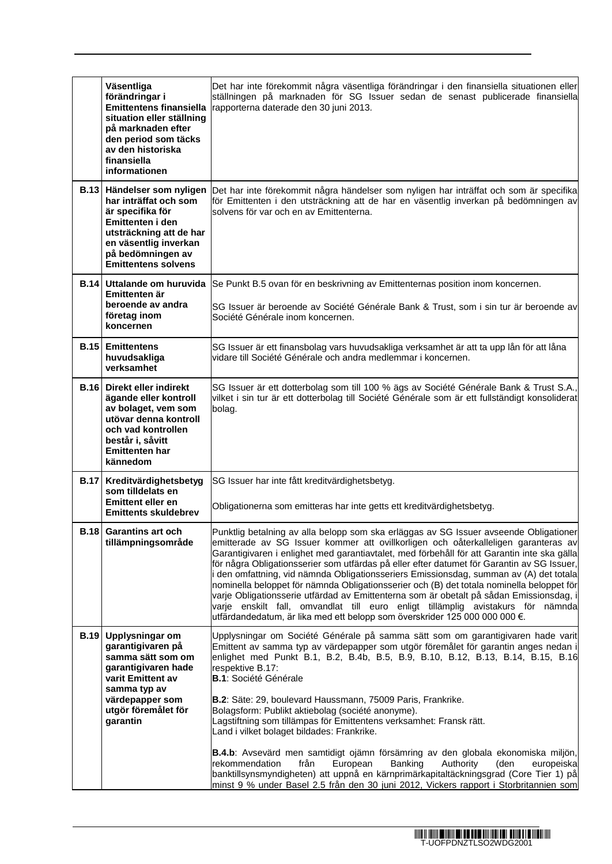|             | Väsentliga<br>förändringar i<br><b>Emittentens finansiella</b><br>situation eller ställning<br>på marknaden efter<br>den period som täcks<br>av den historiska<br>finansiella<br>informationen     | Det har inte förekommit några väsentliga förändringar i den finansiella situationen eller<br>ställningen på marknaden för SG Issuer sedan de senast publicerade finansiella<br>rapporterna daterade den 30 juni 2013.                                                                                                                                                                                                                                                                                                                                                                                                                                                                                                                                                                                                     |
|-------------|----------------------------------------------------------------------------------------------------------------------------------------------------------------------------------------------------|---------------------------------------------------------------------------------------------------------------------------------------------------------------------------------------------------------------------------------------------------------------------------------------------------------------------------------------------------------------------------------------------------------------------------------------------------------------------------------------------------------------------------------------------------------------------------------------------------------------------------------------------------------------------------------------------------------------------------------------------------------------------------------------------------------------------------|
|             | B.13 Händelser som nyligen<br>har inträffat och som<br>är specifika för<br>Emittenten i den<br>utsträckning att de har<br>en väsentlig inverkan<br>på bedömningen av<br><b>Emittentens solvens</b> | Det har inte förekommit några händelser som nyligen har inträffat och som är specifika<br>för Emittenten i den utsträckning att de har en väsentlig inverkan på bedömningen av<br>solvens för var och en av Emittenterna.                                                                                                                                                                                                                                                                                                                                                                                                                                                                                                                                                                                                 |
| <b>B.14</b> | Uttalande om huruvida<br>Emittenten är<br>beroende av andra<br>företag inom<br>koncernen                                                                                                           | Se Punkt B.5 ovan för en beskrivning av Emittenternas position inom koncernen.<br>SG Issuer är beroende av Société Générale Bank & Trust, som i sin tur är beroende av<br>Société Générale inom koncernen.                                                                                                                                                                                                                                                                                                                                                                                                                                                                                                                                                                                                                |
|             | <b>B.15</b> Emittentens<br>huvudsakliga<br>verksamhet                                                                                                                                              | SG Issuer är ett finansbolag vars huvudsakliga verksamhet är att ta upp lån för att låna<br>vidare till Société Générale och andra medlemmar i koncernen.                                                                                                                                                                                                                                                                                                                                                                                                                                                                                                                                                                                                                                                                 |
|             | <b>B.16 Direkt eller indirekt</b><br>ägande eller kontroll<br>av bolaget, vem som<br>utövar denna kontroll<br>och vad kontrollen<br>består i, såvitt<br><b>Emittenten har</b><br>kännedom          | SG Issuer är ett dotterbolag som till 100 % ägs av Société Générale Bank & Trust S.A.,<br>vilket i sin tur är ett dotterbolag till Société Générale som är ett fullständigt konsoliderat<br>bolag.                                                                                                                                                                                                                                                                                                                                                                                                                                                                                                                                                                                                                        |
|             | B.17 Kreditvärdighetsbetyg<br>som tilldelats en                                                                                                                                                    | SG Issuer har inte fått kreditvärdighetsbetyg.                                                                                                                                                                                                                                                                                                                                                                                                                                                                                                                                                                                                                                                                                                                                                                            |
|             | <b>Emittent eller en</b><br><b>Emittents skuldebrev</b>                                                                                                                                            | Obligationerna som emitteras har inte getts ett kreditvärdighetsbetyg.                                                                                                                                                                                                                                                                                                                                                                                                                                                                                                                                                                                                                                                                                                                                                    |
| <b>B.18</b> | <b>Garantins art och</b><br>tillämpningsområde                                                                                                                                                     | Punktlig betalning av alla belopp som ska erläggas av SG Issuer avseende Obligationer<br>emitterade av SG Issuer kommer att ovillkorligen och oåterkalleligen garanteras av<br>Garantigivaren i enlighet med garantiavtalet, med förbehåll för att Garantin inte ska gälla<br>för några Obligationsserier som utfärdas på eller efter datumet för Garantin av SG Issuer,<br>den omfattning, vid nämnda Obligationsseriers Emissionsdag, summan av (A) det totala<br>nominella beloppet för nämnda Obligationsserier och (B) det totala nominella beloppet för<br>varje Obligationsserie utfärdad av Emittenterna som är obetalt på sådan Emissionsdag, i<br>varje enskilt fall, omvandlat till euro enligt tillämplig avistakurs för nämnda<br>utfärdandedatum, är lika med ett belopp som överskrider 125 000 000 000 €. |
| <b>B.19</b> | Upplysningar om<br>garantigivaren på<br>samma sätt som om<br>garantigivaren hade<br>varit Emittent av<br>samma typ av<br>värdepapper som<br>utgör föremålet för<br>garantin                        | Upplysningar om Société Générale på samma sätt som om garantigivaren hade varit<br>Emittent av samma typ av värdepapper som utgör föremålet för garantin anges nedan i<br>enlighet med Punkt B.1, B.2, B.4b, B.5, B.9, B.10, B.12, B.13, B.14, B.15, B.16<br>respektive B.17:<br><b>B.1</b> : Société Générale<br>B.2: Säte: 29, boulevard Haussmann, 75009 Paris, Frankrike.<br>Bolagsform: Publikt aktiebolag (société anonyme).<br>Lagstiftning som tillämpas för Emittentens verksamhet: Fransk rätt.<br>Land i vilket bolaget bildades: Frankrike.<br>B.4.b: Avsevärd men samtidigt ojämn försämring av den globala ekonomiska miljön,<br>rekommendation<br>från<br>European<br>Banking<br>Authority<br>(den<br>europeiska                                                                                           |
|             |                                                                                                                                                                                                    | banktillsynsmyndigheten) att uppnå en kärnprimärkapitaltäckningsgrad (Core Tier 1) på<br>minst 9 % under Basel 2.5 från den 30 juni 2012, Vickers rapport i Storbritannien som                                                                                                                                                                                                                                                                                                                                                                                                                                                                                                                                                                                                                                            |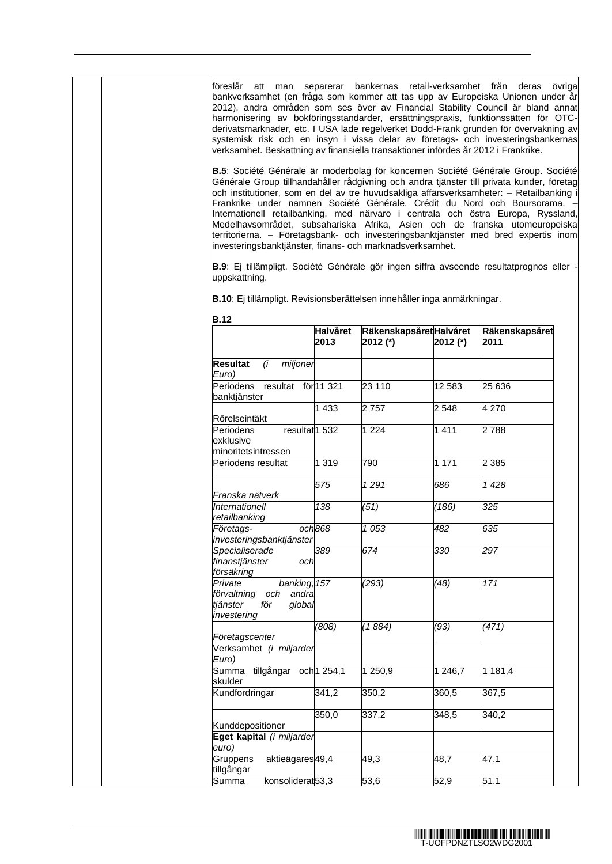| att man separerar bankernas retail-verksamhet från<br>övriga<br>föreslår<br>deras<br>bankverksamhet (en fråga som kommer att tas upp av Europeiska Unionen under år<br>2012), andra områden som ses över av Financial Stability Council är bland annat<br>harmonisering av bokföringsstandarder, ersättningspraxis, funktionssätten för OTC-<br>derivatsmarknader, etc. I USA lade regelverket Dodd-Frank grunden för övervakning av<br>systemisk risk och en insyn i vissa delar av företags- och investeringsbankernas<br>verksamhet. Beskattning av finansiella transaktioner infördes år 2012 i Frankrike.<br>B.5: Société Générale är moderbolag för koncernen Société Générale Group. Société<br>Générale Group tillhandahåller rådgivning och andra tjänster till privata kunder, företag<br>och institutioner, som en del av tre huvudsakliga affärsverksamheter: - Retailbanking<br>Frankrike under namnen Société Générale, Crédit du Nord och Boursorama.<br>Internationell retailbanking, med närvaro i centrala och östra Europa, Ryssland,<br>Medelhavsområdet, subsahariska Afrika, Asien och de franska utomeuropeiska<br>territorierna. - Företagsbank- och investeringsbanktjänster med bred expertis inom<br>investeringsbanktjänster, finans- och marknadsverksamhet.<br>B.9: Ej tillämpligt. Société Générale gör ingen siffra avseende resultatprognos eller - |                 |                         |                    |                     |  |  |
|--------------------------------------------------------------------------------------------------------------------------------------------------------------------------------------------------------------------------------------------------------------------------------------------------------------------------------------------------------------------------------------------------------------------------------------------------------------------------------------------------------------------------------------------------------------------------------------------------------------------------------------------------------------------------------------------------------------------------------------------------------------------------------------------------------------------------------------------------------------------------------------------------------------------------------------------------------------------------------------------------------------------------------------------------------------------------------------------------------------------------------------------------------------------------------------------------------------------------------------------------------------------------------------------------------------------------------------------------------------------------------------|-----------------|-------------------------|--------------------|---------------------|--|--|
| uppskattning.                                                                                                                                                                                                                                                                                                                                                                                                                                                                                                                                                                                                                                                                                                                                                                                                                                                                                                                                                                                                                                                                                                                                                                                                                                                                                                                                                                        |                 |                         |                    |                     |  |  |
| B.10: Ej tillämpligt. Revisionsberättelsen innehåller inga anmärkningar.                                                                                                                                                                                                                                                                                                                                                                                                                                                                                                                                                                                                                                                                                                                                                                                                                                                                                                                                                                                                                                                                                                                                                                                                                                                                                                             |                 |                         |                    |                     |  |  |
|                                                                                                                                                                                                                                                                                                                                                                                                                                                                                                                                                                                                                                                                                                                                                                                                                                                                                                                                                                                                                                                                                                                                                                                                                                                                                                                                                                                      |                 |                         |                    |                     |  |  |
| <b>B.12</b>                                                                                                                                                                                                                                                                                                                                                                                                                                                                                                                                                                                                                                                                                                                                                                                                                                                                                                                                                                                                                                                                                                                                                                                                                                                                                                                                                                          | <b>Halvåret</b> | Räkenskapsåret Halvåret |                    | Räkenskapsåret      |  |  |
|                                                                                                                                                                                                                                                                                                                                                                                                                                                                                                                                                                                                                                                                                                                                                                                                                                                                                                                                                                                                                                                                                                                                                                                                                                                                                                                                                                                      | 2013            | 2012 (*)                | 2012 (*)           | 2011                |  |  |
| miljoner<br><b>Resultat</b><br>(i                                                                                                                                                                                                                                                                                                                                                                                                                                                                                                                                                                                                                                                                                                                                                                                                                                                                                                                                                                                                                                                                                                                                                                                                                                                                                                                                                    |                 |                         |                    |                     |  |  |
| Euro)                                                                                                                                                                                                                                                                                                                                                                                                                                                                                                                                                                                                                                                                                                                                                                                                                                                                                                                                                                                                                                                                                                                                                                                                                                                                                                                                                                                |                 |                         |                    |                     |  |  |
| resultat för 11 321<br>Periodens<br>banktjänster                                                                                                                                                                                                                                                                                                                                                                                                                                                                                                                                                                                                                                                                                                                                                                                                                                                                                                                                                                                                                                                                                                                                                                                                                                                                                                                                     |                 | 23 110                  | 12 583             | 25 636              |  |  |
| Rörelseintäkt                                                                                                                                                                                                                                                                                                                                                                                                                                                                                                                                                                                                                                                                                                                                                                                                                                                                                                                                                                                                                                                                                                                                                                                                                                                                                                                                                                        | 1433            | 2757                    | 2548               | 4 270               |  |  |
| resultat <sup>1</sup> 532<br>Periodens<br>exklusive                                                                                                                                                                                                                                                                                                                                                                                                                                                                                                                                                                                                                                                                                                                                                                                                                                                                                                                                                                                                                                                                                                                                                                                                                                                                                                                                  |                 | 1 2 2 4                 | 1411               | $\overline{2}\,788$ |  |  |
| minoritetsintressen<br>Periodens resultat                                                                                                                                                                                                                                                                                                                                                                                                                                                                                                                                                                                                                                                                                                                                                                                                                                                                                                                                                                                                                                                                                                                                                                                                                                                                                                                                            | 1 3 1 9         | 790                     | $\overline{1}$ 171 | $\overline{2}385$   |  |  |
|                                                                                                                                                                                                                                                                                                                                                                                                                                                                                                                                                                                                                                                                                                                                                                                                                                                                                                                                                                                                                                                                                                                                                                                                                                                                                                                                                                                      | 575             | 1291                    | 686                | 1428                |  |  |
| Franska nätverk<br><b>Internationell</b><br>retailbanking                                                                                                                                                                                                                                                                                                                                                                                                                                                                                                                                                                                                                                                                                                                                                                                                                                                                                                                                                                                                                                                                                                                                                                                                                                                                                                                            | 138             | (51)                    | (186)              | 325                 |  |  |
| Företags-<br>investeringsbanktjänster                                                                                                                                                                                                                                                                                                                                                                                                                                                                                                                                                                                                                                                                                                                                                                                                                                                                                                                                                                                                                                                                                                                                                                                                                                                                                                                                                | och868          | $\frac{1}{1053}$        | 482                | 635                 |  |  |
| Specialiserade<br>finanstjänster<br>och<br>försäkring                                                                                                                                                                                                                                                                                                                                                                                                                                                                                                                                                                                                                                                                                                                                                                                                                                                                                                                                                                                                                                                                                                                                                                                                                                                                                                                                | 389             | 674                     | 330                | 297                 |  |  |
| banking, 157<br>Private<br>förvaltning<br>och<br>andra<br>global<br>tjänster<br>för<br>investering                                                                                                                                                                                                                                                                                                                                                                                                                                                                                                                                                                                                                                                                                                                                                                                                                                                                                                                                                                                                                                                                                                                                                                                                                                                                                   |                 | (293)                   | (48)               | 171                 |  |  |
| Företagscenter                                                                                                                                                                                                                                                                                                                                                                                                                                                                                                                                                                                                                                                                                                                                                                                                                                                                                                                                                                                                                                                                                                                                                                                                                                                                                                                                                                       | (808)           | (1884)                  | (93)               | (471)               |  |  |
| Verksamhet <i>(i miljarder</i><br>Euro)                                                                                                                                                                                                                                                                                                                                                                                                                                                                                                                                                                                                                                                                                                                                                                                                                                                                                                                                                                                                                                                                                                                                                                                                                                                                                                                                              |                 |                         |                    |                     |  |  |
| Summa tillgångar och <sup>1</sup> 254,1<br>skulder                                                                                                                                                                                                                                                                                                                                                                                                                                                                                                                                                                                                                                                                                                                                                                                                                                                                                                                                                                                                                                                                                                                                                                                                                                                                                                                                   |                 | 1 250,9                 | 1 246,7            | 1 181,4             |  |  |
| Kundfordringar                                                                                                                                                                                                                                                                                                                                                                                                                                                                                                                                                                                                                                                                                                                                                                                                                                                                                                                                                                                                                                                                                                                                                                                                                                                                                                                                                                       | 341,2           | 350,2                   | 360,5              | 367,5               |  |  |
| Kunddepositioner                                                                                                                                                                                                                                                                                                                                                                                                                                                                                                                                                                                                                                                                                                                                                                                                                                                                                                                                                                                                                                                                                                                                                                                                                                                                                                                                                                     | 350,0           | 337,2                   | 348,5              | 340,2               |  |  |
| Eget kapital (i miljarder                                                                                                                                                                                                                                                                                                                                                                                                                                                                                                                                                                                                                                                                                                                                                                                                                                                                                                                                                                                                                                                                                                                                                                                                                                                                                                                                                            |                 |                         |                    |                     |  |  |
| euro)<br>aktieägares49,4<br>Gruppens<br>tillgångar                                                                                                                                                                                                                                                                                                                                                                                                                                                                                                                                                                                                                                                                                                                                                                                                                                                                                                                                                                                                                                                                                                                                                                                                                                                                                                                                   |                 | 49,3                    | 48,7               | 47,1                |  |  |
| konsoliderat <sub>53,3</sub><br>Summa                                                                                                                                                                                                                                                                                                                                                                                                                                                                                                                                                                                                                                                                                                                                                                                                                                                                                                                                                                                                                                                                                                                                                                                                                                                                                                                                                |                 | 53,6                    | 52,9               | 51,1                |  |  |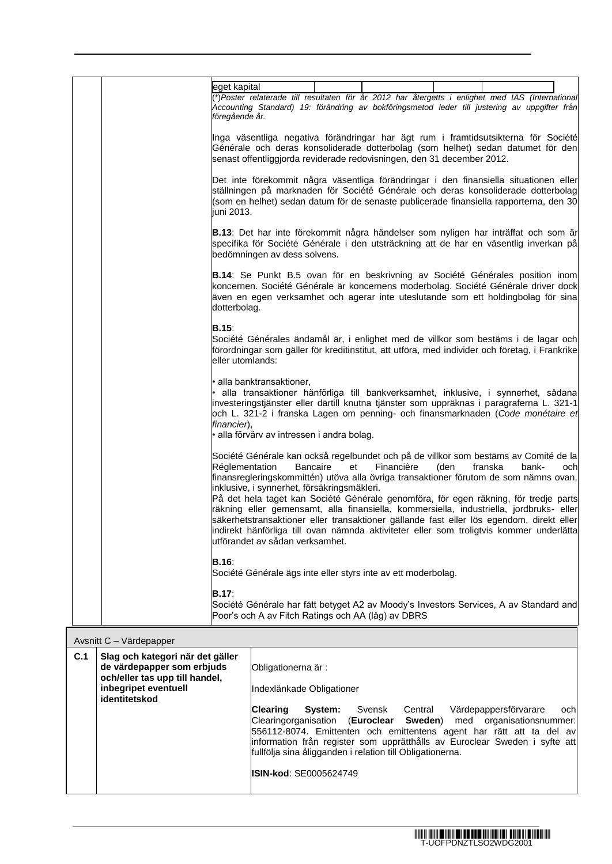| eget kapital<br>*)Poster relaterade till resultaten för år 2012 har återgetts i enlighet med IAS (International<br>Accounting Standard) 19: förändring av bokföringsmetod leder till justering av uppgifter från<br>föregående år.                                                                                                                                                                                                                                                                                                                                                                                                                                                                                                     |  |  |  |  |  |
|----------------------------------------------------------------------------------------------------------------------------------------------------------------------------------------------------------------------------------------------------------------------------------------------------------------------------------------------------------------------------------------------------------------------------------------------------------------------------------------------------------------------------------------------------------------------------------------------------------------------------------------------------------------------------------------------------------------------------------------|--|--|--|--|--|
| Inga väsentliga negativa förändringar har ägt rum i framtidsutsikterna för Société<br>Générale och deras konsoliderade dotterbolag (som helhet) sedan datumet för den<br>senast offentliggjorda reviderade redovisningen, den 31 december 2012.                                                                                                                                                                                                                                                                                                                                                                                                                                                                                        |  |  |  |  |  |
| Det inte förekommit några väsentliga förändringar i den finansiella situationen eller<br>ställningen på marknaden för Société Générale och deras konsoliderade dotterbolag<br>(som en helhet) sedan datum för de senaste publicerade finansiella rapporterna, den 30<br>juni 2013.                                                                                                                                                                                                                                                                                                                                                                                                                                                     |  |  |  |  |  |
| B.13: Det har inte förekommit några händelser som nyligen har inträffat och som är<br>specifika för Société Générale i den utsträckning att de har en väsentlig inverkan på<br>bedömningen av dess solvens.                                                                                                                                                                                                                                                                                                                                                                                                                                                                                                                            |  |  |  |  |  |
| <b>B.14</b> : Se Punkt B.5 ovan för en beskrivning av Société Générales position inom<br>koncernen. Société Générale är koncernens moderbolag. Société Générale driver dock<br>även en egen verksamhet och agerar inte uteslutande som ett holdingbolag för sina<br>dotterbolag.                                                                                                                                                                                                                                                                                                                                                                                                                                                       |  |  |  |  |  |
| B.15:<br>Société Générales ändamål är, i enlighet med de villkor som bestäms i de lagar och<br>förordningar som gäller för kreditinstitut, att utföra, med individer och företag, i Frankrike<br>eller utomlands:                                                                                                                                                                                                                                                                                                                                                                                                                                                                                                                      |  |  |  |  |  |
| • alla banktransaktioner,<br>alla transaktioner hänförliga till bankverksamhet, inklusive, i synnerhet, sådana<br>investeringstjänster eller därtill knutna tjänster som uppräknas i paragraferna L. 321-1<br>och L. 321-2 i franska Lagen om penning- och finansmarknaden (Code monétaire et<br>financier),<br>• alla förvärv av intressen i andra bolag.                                                                                                                                                                                                                                                                                                                                                                             |  |  |  |  |  |
| Société Générale kan också regelbundet och på de villkor som bestäms av Comité de la<br><b>Réglementation</b><br>Bancaire<br>Financière<br>(den<br>franska<br>bank-<br>et<br>och<br>finansregleringskommittén) utöva alla övriga transaktioner förutom de som nämns ovan,<br>inklusive, i synnerhet, försäkringsmäkleri.<br>På det hela taget kan Société Générale genomföra, för egen räkning, för tredje parts<br>räkning eller gemensamt, alla finansiella, kommersiella, industriella, jordbruks- eller<br>säkerhetstransaktioner eller transaktioner gällande fast eller lös egendom, direkt eller<br>indirekt hänförliga till ovan nämnda aktiviteter eller som troligtvis kommer underlätta<br>lutförandet av sådan verksamhet. |  |  |  |  |  |
| <b>B.16:</b><br>Société Générale ägs inte eller styrs inte av ett moderbolag.                                                                                                                                                                                                                                                                                                                                                                                                                                                                                                                                                                                                                                                          |  |  |  |  |  |
| <b>B.17:</b><br>Société Générale har fått betyget A2 av Moody's Investors Services, A av Standard and<br>Poor's och A av Fitch Ratings och AA (låg) av DBRS                                                                                                                                                                                                                                                                                                                                                                                                                                                                                                                                                                            |  |  |  |  |  |

| Avsnitt C - Värdepapper |                                                                                                                          |                                                                                                                                                                                                                                                                                                                                                                                                           |  |  |  |  |  |  |
|-------------------------|--------------------------------------------------------------------------------------------------------------------------|-----------------------------------------------------------------------------------------------------------------------------------------------------------------------------------------------------------------------------------------------------------------------------------------------------------------------------------------------------------------------------------------------------------|--|--|--|--|--|--|
| C.1                     | Slag och kategori när det gäller<br>de värdepapper som erbjuds<br>och/eller tas upp till handel,<br>inbegripet eventuell | Obligationerna är:<br>Indexlänkade Obligationer                                                                                                                                                                                                                                                                                                                                                           |  |  |  |  |  |  |
|                         | identitetskod                                                                                                            | <b>Clearing</b><br><b>System:</b> Svensk Central<br>Värdepappersförvarare<br>ochl<br>Clearingorganisation (Euroclear Sweden) med organisationsnummer:<br>556112-8074. Emittenten och emittentens agent har rätt att ta del av<br>information från register som upprätthålls av Euroclear Sweden i syfte att<br>fullfölja sina åligganden i relation till Obligationerna.<br><b>ISIN-kod: SE0005624749</b> |  |  |  |  |  |  |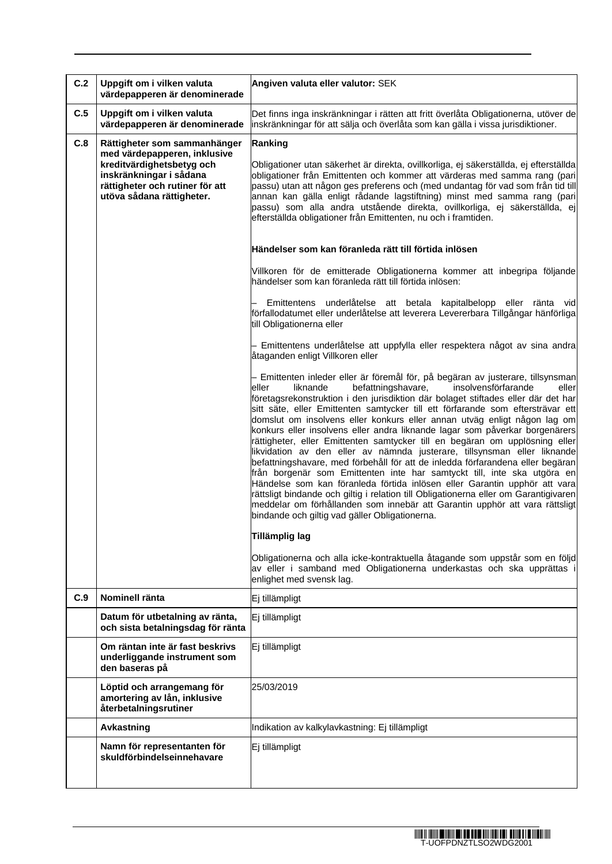| C.2 | Uppgift om i vilken valuta<br>värdepapperen är denominerade                                                                                          | Angiven valuta eller valutor: SEK                                                                                                                                                                                                                                                                                                                                                                                                                                                                                                                                                                                                                                                                                                                                                                                                                                                                                                                                                                                                                                                                                                             |  |  |  |  |
|-----|------------------------------------------------------------------------------------------------------------------------------------------------------|-----------------------------------------------------------------------------------------------------------------------------------------------------------------------------------------------------------------------------------------------------------------------------------------------------------------------------------------------------------------------------------------------------------------------------------------------------------------------------------------------------------------------------------------------------------------------------------------------------------------------------------------------------------------------------------------------------------------------------------------------------------------------------------------------------------------------------------------------------------------------------------------------------------------------------------------------------------------------------------------------------------------------------------------------------------------------------------------------------------------------------------------------|--|--|--|--|
| C.5 | Uppgift om i vilken valuta<br>värdepapperen är denominerade                                                                                          | Det finns inga inskränkningar i rätten att fritt överlåta Obligationerna, utöver de<br>inskränkningar för att sälja och överlåta som kan gälla i vissa jurisdiktioner.                                                                                                                                                                                                                                                                                                                                                                                                                                                                                                                                                                                                                                                                                                                                                                                                                                                                                                                                                                        |  |  |  |  |
| C.8 | Rättigheter som sammanhänger                                                                                                                         | Ranking                                                                                                                                                                                                                                                                                                                                                                                                                                                                                                                                                                                                                                                                                                                                                                                                                                                                                                                                                                                                                                                                                                                                       |  |  |  |  |
|     | med värdepapperen, inklusive<br>kreditvärdighetsbetyg och<br>inskränkningar i sådana<br>rättigheter och rutiner för att<br>utöva sådana rättigheter. | Obligationer utan säkerhet är direkta, ovillkorliga, ej säkerställda, ej efterställda<br>obligationer från Emittenten och kommer att värderas med samma rang (pari<br>passu) utan att någon ges preferens och (med undantag för vad som från tid till<br>annan kan gälla enligt rådande lagstiftning) minst med samma rang (pari<br>passu) som alla andra utstående direkta, ovillkorliga, ej säkerställda, ej<br>efterställda obligationer från Emittenten, nu och i framtiden.                                                                                                                                                                                                                                                                                                                                                                                                                                                                                                                                                                                                                                                              |  |  |  |  |
|     |                                                                                                                                                      | Händelser som kan föranleda rätt till förtida inlösen                                                                                                                                                                                                                                                                                                                                                                                                                                                                                                                                                                                                                                                                                                                                                                                                                                                                                                                                                                                                                                                                                         |  |  |  |  |
|     |                                                                                                                                                      | Villkoren för de emitterade Obligationerna kommer att inbegripa följande<br>händelser som kan föranleda rätt till förtida inlösen:                                                                                                                                                                                                                                                                                                                                                                                                                                                                                                                                                                                                                                                                                                                                                                                                                                                                                                                                                                                                            |  |  |  |  |
|     |                                                                                                                                                      | Emittentens underlåtelse att betala kapitalbelopp eller ränta<br>vid<br>förfallodatumet eller underlåtelse att leverera Levererbara Tillgångar hänförliga<br>till Obligationerna eller                                                                                                                                                                                                                                                                                                                                                                                                                                                                                                                                                                                                                                                                                                                                                                                                                                                                                                                                                        |  |  |  |  |
|     |                                                                                                                                                      | - Emittentens underlåtelse att uppfylla eller respektera något av sina andra<br>åtaganden enligt Villkoren eller                                                                                                                                                                                                                                                                                                                                                                                                                                                                                                                                                                                                                                                                                                                                                                                                                                                                                                                                                                                                                              |  |  |  |  |
|     |                                                                                                                                                      | - Emittenten inleder eller är föremål för, på begäran av justerare, tillsynsman<br>befattningshavare,<br>insolvensförfarande<br>liknande<br>eller<br>leller<br>företagsrekonstruktion i den jurisdiktion där bolaget stiftades eller där det har<br>sitt säte, eller Emittenten samtycker till ett förfarande som eftersträvar ett<br>domslut om insolvens eller konkurs eller annan utväg enligt någon lag om<br>konkurs eller insolvens eller andra liknande lagar som påverkar borgenärers<br>rättigheter, eller Emittenten samtycker till en begäran om upplösning eller<br>likvidation av den eller av nämnda justerare, tillsynsman eller liknande<br>befattningshavare, med förbehåll för att de inledda förfarandena eller begäran<br>från borgenär som Emittenten inte har samtyckt till, inte ska utgöra en<br>Händelse som kan föranleda förtida inlösen eller Garantin upphör att vara<br>rättsligt bindande och giltig i relation till Obligationerna eller om Garantigivaren<br>meddelar om förhållanden som innebär att Garantin upphör att vara rättsligt<br>bindande och giltig vad gäller Obligationerna.<br>Tillämplig lag |  |  |  |  |
|     |                                                                                                                                                      | Obligationerna och alla icke-kontraktuella åtagande som uppstår som en följd                                                                                                                                                                                                                                                                                                                                                                                                                                                                                                                                                                                                                                                                                                                                                                                                                                                                                                                                                                                                                                                                  |  |  |  |  |
|     |                                                                                                                                                      | av eller i samband med Obligationerna underkastas och ska upprättas<br>enlighet med svensk lag.                                                                                                                                                                                                                                                                                                                                                                                                                                                                                                                                                                                                                                                                                                                                                                                                                                                                                                                                                                                                                                               |  |  |  |  |
| C.9 | Nominell ränta                                                                                                                                       | Ej tillämpligt                                                                                                                                                                                                                                                                                                                                                                                                                                                                                                                                                                                                                                                                                                                                                                                                                                                                                                                                                                                                                                                                                                                                |  |  |  |  |
|     | Datum för utbetalning av ränta,<br>och sista betalningsdag för ränta                                                                                 | Ej tillämpligt                                                                                                                                                                                                                                                                                                                                                                                                                                                                                                                                                                                                                                                                                                                                                                                                                                                                                                                                                                                                                                                                                                                                |  |  |  |  |
|     | Om räntan inte är fast beskrivs<br>underliggande instrument som<br>den baseras på                                                                    | Ej tillämpligt                                                                                                                                                                                                                                                                                                                                                                                                                                                                                                                                                                                                                                                                                                                                                                                                                                                                                                                                                                                                                                                                                                                                |  |  |  |  |
|     | Löptid och arrangemang för<br>amortering av lån, inklusive<br>återbetalningsrutiner                                                                  | 25/03/2019                                                                                                                                                                                                                                                                                                                                                                                                                                                                                                                                                                                                                                                                                                                                                                                                                                                                                                                                                                                                                                                                                                                                    |  |  |  |  |
|     | Avkastning                                                                                                                                           | Indikation av kalkylavkastning: Ej tillämpligt                                                                                                                                                                                                                                                                                                                                                                                                                                                                                                                                                                                                                                                                                                                                                                                                                                                                                                                                                                                                                                                                                                |  |  |  |  |
|     | Namn för representanten för<br>skuldförbindelseinnehavare                                                                                            | Ej tillämpligt                                                                                                                                                                                                                                                                                                                                                                                                                                                                                                                                                                                                                                                                                                                                                                                                                                                                                                                                                                                                                                                                                                                                |  |  |  |  |
|     |                                                                                                                                                      |                                                                                                                                                                                                                                                                                                                                                                                                                                                                                                                                                                                                                                                                                                                                                                                                                                                                                                                                                                                                                                                                                                                                               |  |  |  |  |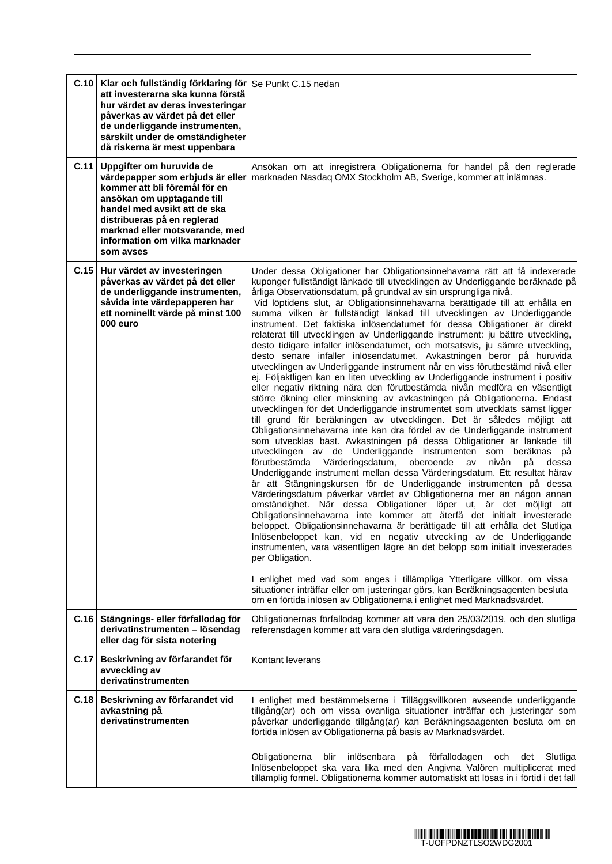|      | C.10   Klar och fullständig förklaring för Se Punkt C.15 nedan<br>att investerarna ska kunna förstå<br>hur värdet av deras investeringar<br>påverkas av värdet på det eller<br>de underliggande instrumenten,<br>särskilt under de omständigheter<br>då riskerna är mest uppenbara |                                                                                                                                                                                                                                                                                                                                                                                                                                                                                                                                                                                                                                                                                                                                                                                                                                                                                                                                                                                                                                                                                                                                                                                                                                                                                                                                                                                                                                                                                                                                                                                                                                                                                                                                                                                                                                                                                                                                                                                                                                                                                                                                                                                                                                                                                                                                                                                     |
|------|------------------------------------------------------------------------------------------------------------------------------------------------------------------------------------------------------------------------------------------------------------------------------------|-------------------------------------------------------------------------------------------------------------------------------------------------------------------------------------------------------------------------------------------------------------------------------------------------------------------------------------------------------------------------------------------------------------------------------------------------------------------------------------------------------------------------------------------------------------------------------------------------------------------------------------------------------------------------------------------------------------------------------------------------------------------------------------------------------------------------------------------------------------------------------------------------------------------------------------------------------------------------------------------------------------------------------------------------------------------------------------------------------------------------------------------------------------------------------------------------------------------------------------------------------------------------------------------------------------------------------------------------------------------------------------------------------------------------------------------------------------------------------------------------------------------------------------------------------------------------------------------------------------------------------------------------------------------------------------------------------------------------------------------------------------------------------------------------------------------------------------------------------------------------------------------------------------------------------------------------------------------------------------------------------------------------------------------------------------------------------------------------------------------------------------------------------------------------------------------------------------------------------------------------------------------------------------------------------------------------------------------------------------------------------------|
|      | C.11 Uppgifter om huruvida de<br>värdepapper som erbjuds är eller<br>kommer att bli föremål för en<br>ansökan om upptagande till<br>handel med avsikt att de ska<br>distribueras på en reglerad<br>marknad eller motsvarande, med<br>information om vilka marknader<br>som avses   | Ansökan om att inregistrera Obligationerna för handel på den reglerade<br>marknaden Nasdaq OMX Stockholm AB, Sverige, kommer att inlämnas.                                                                                                                                                                                                                                                                                                                                                                                                                                                                                                                                                                                                                                                                                                                                                                                                                                                                                                                                                                                                                                                                                                                                                                                                                                                                                                                                                                                                                                                                                                                                                                                                                                                                                                                                                                                                                                                                                                                                                                                                                                                                                                                                                                                                                                          |
| C.15 | Hur värdet av investeringen<br>påverkas av värdet på det eller<br>de underliggande instrumenten,<br>såvida inte värdepapperen har<br>ett nominellt värde på minst 100<br>000 euro                                                                                                  | Under dessa Obligationer har Obligationsinnehavarna rätt att få indexerade<br>kuponger fullständigt länkade till utvecklingen av Underliggande beräknade på<br>årliga Observationsdatum, på grundval av sin ursprungliga nivå.<br>Vid löptidens slut, är Obligationsinnehavarna berättigade till att erhålla en<br>summa vilken är fullständigt länkad till utvecklingen av Underliggande<br>instrument. Det faktiska inlösendatumet för dessa Obligationer är direkt<br>relaterat till utvecklingen av Underliggande instrument: ju bättre utveckling,<br>desto tidigare infaller inlösendatumet, och motsatsvis, ju sämre utveckling,<br>desto senare infaller inlösendatumet. Avkastningen beror på huruvida<br>utvecklingen av Underliggande instrument når en viss förutbestämd nivå eller<br>ej. Följaktligen kan en liten utveckling av Underliggande instrument i positiv<br>eller negativ riktning nära den förutbestämda nivån medföra en väsentligt<br>större ökning eller minskning av avkastningen på Obligationerna. Endast<br>utvecklingen för det Underliggande instrumentet som utvecklats sämst ligger<br>till grund för beräkningen av utvecklingen. Det är således möjligt att<br>Obligationsinnehavarna inte kan dra fördel av de Underliggande instrument<br>som utvecklas bäst. Avkastningen på dessa Obligationer är länkade till<br>utvecklingen av de Underliggande instrumenten som beräknas på<br>förutbestämda Värderingsdatum,<br>oberoende<br>nivån<br>av<br>рå<br>dessa<br>Underliggande instrument mellan dessa Värderingsdatum. Ett resultat härav<br>är att Stängningskursen för de Underliggande instrumenten på dessa<br>Värderingsdatum påverkar värdet av Obligationerna mer än någon annan<br>omständighet. När dessa Obligationer löper ut, är det möjligt att<br>Obligationsinnehavarna inte kommer att återfå det initialt investerade<br>beloppet. Obligationsinnehavarna är berättigade till att erhålla det Slutliga<br>Inlösenbeloppet kan, vid en negativ utveckling av de Underliggande<br>instrumenten, vara väsentligen lägre än det belopp som initialt investerades<br>per Obligation.<br>I enlighet med vad som anges i tillämpliga Ytterligare villkor, om vissa<br>situationer inträffar eller om justeringar görs, kan Beräkningsagenten besluta<br>om en förtida inlösen av Obligationerna i enlighet med Marknadsvärdet. |
| C.16 | Stängnings- eller förfallodag för<br>derivatinstrumenten - lösendag<br>eller dag för sista notering                                                                                                                                                                                | Obligationernas förfallodag kommer att vara den 25/03/2019, och den slutliga<br>referensdagen kommer att vara den slutliga värderingsdagen.                                                                                                                                                                                                                                                                                                                                                                                                                                                                                                                                                                                                                                                                                                                                                                                                                                                                                                                                                                                                                                                                                                                                                                                                                                                                                                                                                                                                                                                                                                                                                                                                                                                                                                                                                                                                                                                                                                                                                                                                                                                                                                                                                                                                                                         |
| C.17 | Beskrivning av förfarandet för<br>avveckling av<br>derivatinstrumenten                                                                                                                                                                                                             | Kontant leverans                                                                                                                                                                                                                                                                                                                                                                                                                                                                                                                                                                                                                                                                                                                                                                                                                                                                                                                                                                                                                                                                                                                                                                                                                                                                                                                                                                                                                                                                                                                                                                                                                                                                                                                                                                                                                                                                                                                                                                                                                                                                                                                                                                                                                                                                                                                                                                    |
| C.18 | Beskrivning av förfarandet vid<br>avkastning på<br>derivatinstrumenten                                                                                                                                                                                                             | I enlighet med bestämmelserna i Tilläggsvillkoren avseende underliggande<br>tillgång(ar) och om vissa ovanliga situationer inträffar och justeringar som<br>påverkar underliggande tillgång(ar) kan Beräkningsaagenten besluta om en<br>förtida inlösen av Obligationerna på basis av Marknadsvärdet.                                                                                                                                                                                                                                                                                                                                                                                                                                                                                                                                                                                                                                                                                                                                                                                                                                                                                                                                                                                                                                                                                                                                                                                                                                                                                                                                                                                                                                                                                                                                                                                                                                                                                                                                                                                                                                                                                                                                                                                                                                                                               |
|      |                                                                                                                                                                                                                                                                                    | blir inlösenbara<br>Obligationerna<br>på<br>förfallodagen<br>och<br>Slutligal<br>det<br>Inlösenbeloppet ska vara lika med den Angivna Valören multiplicerat med<br>tillämplig formel. Obligationerna kommer automatiskt att lösas in i förtid i det fall                                                                                                                                                                                                                                                                                                                                                                                                                                                                                                                                                                                                                                                                                                                                                                                                                                                                                                                                                                                                                                                                                                                                                                                                                                                                                                                                                                                                                                                                                                                                                                                                                                                                                                                                                                                                                                                                                                                                                                                                                                                                                                                            |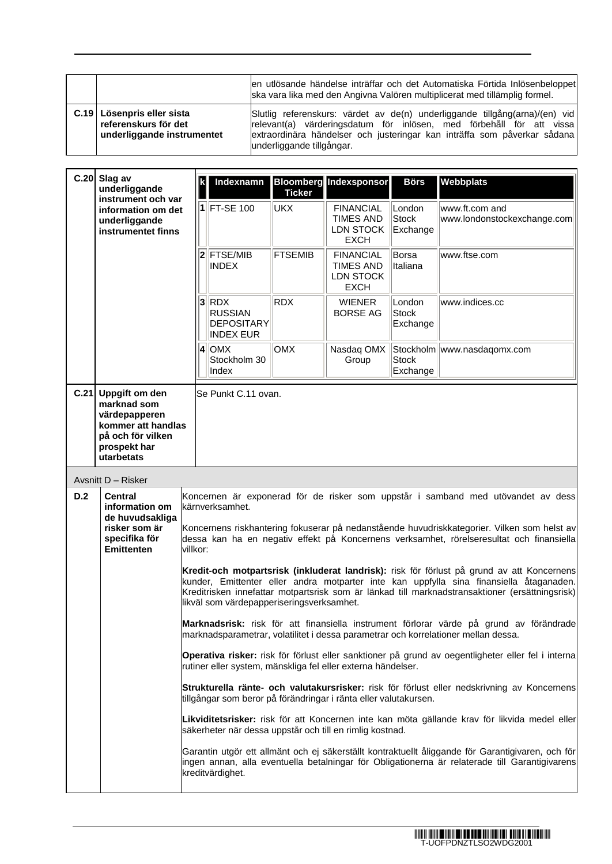|                                                                                    | en utlösande händelse inträffar och det Automatiska Förtida Inlösenbeloppet<br>ska vara lika med den Angivna Valören multiplicerat med tillämplig formel.                                                                                                    |
|------------------------------------------------------------------------------------|--------------------------------------------------------------------------------------------------------------------------------------------------------------------------------------------------------------------------------------------------------------|
| C.19   Lösenpris eller sista<br>referenskurs för det<br>underliggande instrumentet | Slutlig referenskurs: värdet av de(n) underliggande tillgång(arna)/(en) vid<br>relevant(a) värderingsdatum för inlösen, med förbehåll för att vissa<br>extraordinära händelser och justeringar kan inträffa som påverkar sådana<br>underliggande tillgångar. |

ń

|                                                                                                                                                                                                                                                                                                                                                                                                                                 | C.20 Slag av<br>underliggande<br>instrument och var<br>information om det<br>underliggande<br>instrumentet finns                                                                                                        |                                                                                                                                                                                                                                                                                                                                       | Indexnamn                                                          | <b>Ticker</b>  | <b>Bloomberg</b> Indexsponsor                                    | <b>Börs</b>                        | Webbplats                                                                                                                                                                     |
|---------------------------------------------------------------------------------------------------------------------------------------------------------------------------------------------------------------------------------------------------------------------------------------------------------------------------------------------------------------------------------------------------------------------------------|-------------------------------------------------------------------------------------------------------------------------------------------------------------------------------------------------------------------------|---------------------------------------------------------------------------------------------------------------------------------------------------------------------------------------------------------------------------------------------------------------------------------------------------------------------------------------|--------------------------------------------------------------------|----------------|------------------------------------------------------------------|------------------------------------|-------------------------------------------------------------------------------------------------------------------------------------------------------------------------------|
|                                                                                                                                                                                                                                                                                                                                                                                                                                 |                                                                                                                                                                                                                         |                                                                                                                                                                                                                                                                                                                                       | 1 FT-SE 100                                                        | UKX            | <b>FINANCIAL</b><br><b>TIMES AND</b><br>LDN STOCK<br><b>EXCH</b> | London<br><b>Stock</b><br>Exchange | www.ft.com and<br>www.londonstockexchange.com                                                                                                                                 |
|                                                                                                                                                                                                                                                                                                                                                                                                                                 |                                                                                                                                                                                                                         |                                                                                                                                                                                                                                                                                                                                       | $2$ <b>FTSE/MIB</b><br><b>INDEX</b>                                | <b>FTSEMIB</b> | <b>FINANCIAL</b><br><b>TIMES AND</b><br>LDN STOCK<br><b>EXCH</b> | <b>Borsa</b><br>Italiana           | www.ftse.com                                                                                                                                                                  |
|                                                                                                                                                                                                                                                                                                                                                                                                                                 |                                                                                                                                                                                                                         |                                                                                                                                                                                                                                                                                                                                       | $3$ RDX<br><b>RUSSIAN</b><br><b>DEPOSITARY</b><br><b>INDEX EUR</b> | <b>RDX</b>     | <b>WIENER</b><br><b>BORSE AG</b>                                 | London<br><b>Stock</b><br>Exchange | www.indices.cc                                                                                                                                                                |
|                                                                                                                                                                                                                                                                                                                                                                                                                                 |                                                                                                                                                                                                                         |                                                                                                                                                                                                                                                                                                                                       | $4$ OMX<br>Stockholm 30<br>Index                                   | <b>OMX</b>     | Nasdaq OMX<br>Group                                              | <b>Stock</b><br>Exchange           | Stockholm   www.nasdaqomx.com                                                                                                                                                 |
|                                                                                                                                                                                                                                                                                                                                                                                                                                 | C.21 Uppgift om den<br>marknad som<br>värdepapperen<br>kommer att handlas<br>på och för vilken<br>prospekt har<br>utarbetats                                                                                            |                                                                                                                                                                                                                                                                                                                                       | Se Punkt C.11 ovan.                                                |                |                                                                  |                                    |                                                                                                                                                                               |
|                                                                                                                                                                                                                                                                                                                                                                                                                                 | Avsnitt D - Risker                                                                                                                                                                                                      |                                                                                                                                                                                                                                                                                                                                       |                                                                    |                |                                                                  |                                    |                                                                                                                                                                               |
| D.2<br>Koncernen är exponerad för de risker som uppstår i samband med utövandet av dess<br><b>Central</b><br>information om<br>kärnverksamhet.<br>de huvudsakliga<br>Koncernens riskhantering fokuserar på nedanstående huvudriskkategorier. Vilken som helst av<br>risker som är<br>specifika för<br>dessa kan ha en negativ effekt på Koncernens verksamhet, rörelseresultat och finansiella<br><b>Emittenten</b><br>villkor: |                                                                                                                                                                                                                         |                                                                                                                                                                                                                                                                                                                                       |                                                                    |                |                                                                  |                                    |                                                                                                                                                                               |
|                                                                                                                                                                                                                                                                                                                                                                                                                                 |                                                                                                                                                                                                                         | Kredit-och motpartsrisk (inkluderat landrisk): risk för förlust på grund av att Koncernens<br>kunder, Emittenter eller andra motparter inte kan uppfylla sina finansiella åtaganaden.<br>Kreditrisken innefattar motpartsrisk som är länkad till marknadstransaktioner (ersättningsrisk)<br>likväl som värdepapperiseringsverksamhet. |                                                                    |                |                                                                  |                                    |                                                                                                                                                                               |
|                                                                                                                                                                                                                                                                                                                                                                                                                                 |                                                                                                                                                                                                                         |                                                                                                                                                                                                                                                                                                                                       |                                                                    |                |                                                                  |                                    | Marknadsrisk: risk för att finansiella instrument förlorar värde på grund av förändrade<br>marknadsparametrar, volatilitet i dessa parametrar och korrelationer mellan dessa. |
|                                                                                                                                                                                                                                                                                                                                                                                                                                 | Operativa risker: risk för förlust eller sanktioner på grund av oegentligheter eller fel i interna<br>rutiner eller system, mänskliga fel eller externa händelser.                                                      |                                                                                                                                                                                                                                                                                                                                       |                                                                    |                |                                                                  |                                    |                                                                                                                                                                               |
|                                                                                                                                                                                                                                                                                                                                                                                                                                 |                                                                                                                                                                                                                         | Strukturella ränte- och valutakursrisker: risk för förlust eller nedskrivning av Koncernens<br>tillgångar som beror på förändringar i ränta eller valutakursen.<br>Likviditetsrisker: risk för att Koncernen inte kan möta gällande krav för likvida medel eller<br>säkerheter när dessa uppstår och till en rimlig kostnad.          |                                                                    |                |                                                                  |                                    |                                                                                                                                                                               |
|                                                                                                                                                                                                                                                                                                                                                                                                                                 |                                                                                                                                                                                                                         |                                                                                                                                                                                                                                                                                                                                       |                                                                    |                |                                                                  |                                    |                                                                                                                                                                               |
|                                                                                                                                                                                                                                                                                                                                                                                                                                 | Garantin utgör ett allmänt och ej säkerställt kontraktuellt åliggande för Garantigivaren, och för<br>ingen annan, alla eventuella betalningar för Obligationerna är relaterade till Garantigivarens<br>kreditvärdighet. |                                                                                                                                                                                                                                                                                                                                       |                                                                    |                |                                                                  |                                    |                                                                                                                                                                               |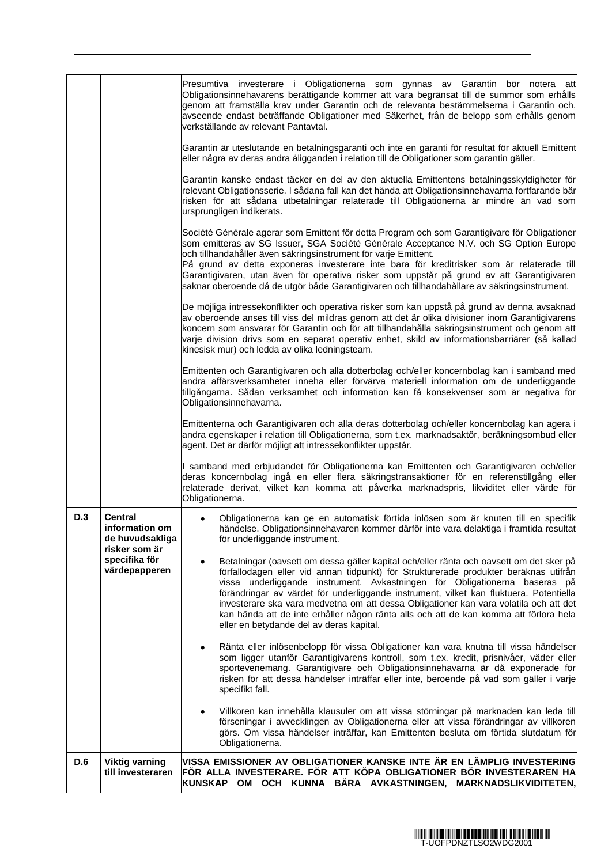|                                                                                         |                                                                                                        | Presumtiva investerare i Obligationerna som gynnas av Garantin bör notera att<br>Obligationsinnehavarens berättigande kommer att vara begränsat till de summor som erhålls<br>genom att framställa krav under Garantin och de relevanta bestämmelserna i Garantin och,<br>avseende endast beträffande Obligationer med Säkerhet, från de belopp som erhålls genom<br>verkställande av relevant Pantavtal.                                                                                                                                                                             |  |  |
|-----------------------------------------------------------------------------------------|--------------------------------------------------------------------------------------------------------|---------------------------------------------------------------------------------------------------------------------------------------------------------------------------------------------------------------------------------------------------------------------------------------------------------------------------------------------------------------------------------------------------------------------------------------------------------------------------------------------------------------------------------------------------------------------------------------|--|--|
|                                                                                         |                                                                                                        | Garantin är uteslutande en betalningsgaranti och inte en garanti för resultat för aktuell Emittent<br>eller några av deras andra åligganden i relation till de Obligationer som garantin gäller.                                                                                                                                                                                                                                                                                                                                                                                      |  |  |
|                                                                                         |                                                                                                        | Garantin kanske endast täcker en del av den aktuella Emittentens betalningsskyldigheter för<br>relevant Obligationsserie. I sådana fall kan det hända att Obligationsinnehavarna fortfarande bär<br>risken för att sådana utbetalningar relaterade till Obligationerna är mindre än vad som<br>ursprungligen indikerats.                                                                                                                                                                                                                                                              |  |  |
|                                                                                         |                                                                                                        | Société Générale agerar som Emittent för detta Program och som Garantigivare för Obligationer<br>som emitteras av SG Issuer, SGA Société Générale Acceptance N.V. och SG Option Europe<br>och tillhandahåller även säkringsinstrument för varje Emittent.<br>På grund av detta exponeras investerare inte bara för kreditrisker som är relaterade till<br>Garantigivaren, utan även för operativa risker som uppstår på grund av att Garantigivaren<br>saknar oberoende då de utgör både Garantigivaren och tillhandahållare av säkringsinstrument.                                   |  |  |
|                                                                                         |                                                                                                        | De möjliga intressekonflikter och operativa risker som kan uppstå på grund av denna avsaknad<br>av oberoende anses till viss del mildras genom att det är olika divisioner inom Garantigivarens<br>koncern som ansvarar för Garantin och för att tillhandahålla säkringsinstrument och genom att<br>varje division drivs som en separat operativ enhet, skild av informationsbarriärer (så kallad<br>kinesisk mur) och ledda av olika ledningsteam.                                                                                                                                   |  |  |
| Obligationsinnehavarna.<br>agent. Det är därför möjligt att intressekonflikter uppstår. |                                                                                                        | Emittenten och Garantigivaren och alla dotterbolag och/eller koncernbolag kan i samband med<br>andra affärsverksamheter inneha eller förvärva materiell information om de underliggande<br>tillgångarna. Sådan verksamhet och information kan få konsekvenser som är negativa för                                                                                                                                                                                                                                                                                                     |  |  |
|                                                                                         |                                                                                                        | Emittenterna och Garantigivaren och alla deras dotterbolag och/eller koncernbolag kan agera i<br>andra egenskaper i relation till Obligationerna, som t.ex. marknadsaktör, beräkningsombud eller                                                                                                                                                                                                                                                                                                                                                                                      |  |  |
|                                                                                         |                                                                                                        | I samband med erbjudandet för Obligationerna kan Emittenten och Garantigivaren och/eller<br>deras koncernbolag ingå en eller flera säkringstransaktioner för en referenstillgång eller<br>relaterade derivat, vilket kan komma att påverka marknadspris, likviditet eller värde för<br>Obligationerna.                                                                                                                                                                                                                                                                                |  |  |
| D.3                                                                                     | <b>Central</b><br>information om<br>de huvudsakliga<br>risker som är<br>specifika för<br>värdepapperen | Obligationerna kan ge en automatisk förtida inlösen som är knuten till en specifik<br>händelse. Obligationsinnehavaren kommer därför inte vara delaktiga i framtida resultat<br>för underliggande instrument.                                                                                                                                                                                                                                                                                                                                                                         |  |  |
|                                                                                         |                                                                                                        | Betalningar (oavsett om dessa gäller kapital och/eller ränta och oavsett om det sker på<br>förfallodagen eller vid annan tidpunkt) för Strukturerade produkter beräknas utifrån<br>vissa underliggande instrument. Avkastningen för Obligationerna baseras på<br>förändringar av värdet för underliggande instrument, vilket kan fluktuera. Potentiella<br>investerare ska vara medvetna om att dessa Obligationer kan vara volatila och att det<br>kan hända att de inte erhåller någon ränta alls och att de kan komma att förlora hela<br>eller en betydande del av deras kapital. |  |  |
|                                                                                         |                                                                                                        | Ränta eller inlösenbelopp för vissa Obligationer kan vara knutna till vissa händelser<br>٠<br>som ligger utanför Garantigivarens kontroll, som t.ex. kredit, prisnivåer, väder eller<br>sportevenemang. Garantigivare och Obligationsinnehavarna är då exponerade för<br>risken för att dessa händelser inträffar eller inte, beroende på vad som gäller i varje<br>specifikt fall.                                                                                                                                                                                                   |  |  |
|                                                                                         |                                                                                                        | Villkoren kan innehålla klausuler om att vissa störningar på marknaden kan leda till<br>förseningar i avvecklingen av Obligationerna eller att vissa förändringar av villkoren<br>görs. Om vissa händelser inträffar, kan Emittenten besluta om förtida slutdatum för<br>Obligationerna.                                                                                                                                                                                                                                                                                              |  |  |
| D.6                                                                                     | <b>Viktig varning</b><br>till investeraren                                                             | VISSA EMISSIONER AV OBLIGATIONER KANSKE INTE ÄR EN LÄMPLIG INVESTERING<br>FÖR ALLA INVESTERARE. FÖR ATT KÖPA OBLIGATIONER BÖR INVESTERAREN HA<br>KUNSKAP OM OCH KUNNA BÄRA AVKASTNINGEN, MARKNADSLIKVIDITETEN,                                                                                                                                                                                                                                                                                                                                                                        |  |  |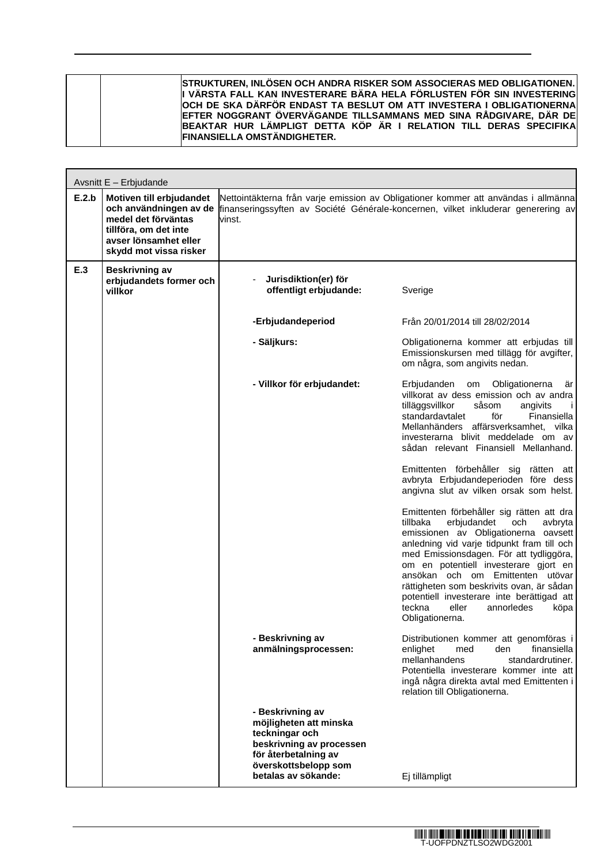|  | <b>STRUKTUREN, INLÖSEN OCH ANDRA RISKER SOM ASSOCIERAS MED OBLIGATIONEN.</b><br>I VÄRSTA FALL KAN INVESTERARE BÄRA HELA FÖRLUSTEN FÖR SIN INVESTERING<br>OCH DE SKA DÄRFÖR ENDAST TA BESLUT OM ATT INVESTERA I OBLIGATIONERNA<br>EFTER NOGGRANT ÖVERVÄGANDE TILLSAMMANS MED SINA RÅDGIVARE, DÄR DE<br>BEAKTAR HUR LÄMPLIGT DETTA KÖP ÄR I RELATION TILL DERAS SPECIFIKA<br><b>FINANSIELLA OMSTÄNDIGHETER.</b> |
|--|---------------------------------------------------------------------------------------------------------------------------------------------------------------------------------------------------------------------------------------------------------------------------------------------------------------------------------------------------------------------------------------------------------------|
|--|---------------------------------------------------------------------------------------------------------------------------------------------------------------------------------------------------------------------------------------------------------------------------------------------------------------------------------------------------------------------------------------------------------------|

ń

| Avsnitt E - Erbjudande |                                                                                                                                                       |                                                                                                                                                                 |                                                                                                                                                                                                                                                                                                                                                                                                                                                             |
|------------------------|-------------------------------------------------------------------------------------------------------------------------------------------------------|-----------------------------------------------------------------------------------------------------------------------------------------------------------------|-------------------------------------------------------------------------------------------------------------------------------------------------------------------------------------------------------------------------------------------------------------------------------------------------------------------------------------------------------------------------------------------------------------------------------------------------------------|
| E.2.b                  | Motiven till erbjudandet<br>och användningen av de<br>medel det förväntas<br>tillföra, om det inte<br>avser lönsamhet eller<br>skydd mot vissa risker | vinst.                                                                                                                                                          | Nettointäkterna från varje emission av Obligationer kommer att användas i allmänna<br>finanseringssyften av Société Générale-koncernen, vilket inkluderar generering av                                                                                                                                                                                                                                                                                     |
| E.3                    | Beskrivning av<br>erbjudandets former och<br>villkor                                                                                                  | Jurisdiktion(er) för<br>$\blacksquare$<br>offentligt erbjudande:                                                                                                | Sverige                                                                                                                                                                                                                                                                                                                                                                                                                                                     |
|                        |                                                                                                                                                       | -Erbjudandeperiod                                                                                                                                               | Från 20/01/2014 till 28/02/2014                                                                                                                                                                                                                                                                                                                                                                                                                             |
|                        |                                                                                                                                                       | - Säljkurs:                                                                                                                                                     | Obligationerna kommer att erbjudas till<br>Emissionskursen med tillägg för avgifter,<br>om några, som angivits nedan.                                                                                                                                                                                                                                                                                                                                       |
|                        |                                                                                                                                                       | - Villkor för erbjudandet:                                                                                                                                      | Erbjudanden<br>Obligationerna<br>om<br>är<br>villkorat av dess emission och av andra<br>tilläggsvillkor<br>såsom<br>angivits<br>$\mathbf{I}$<br>standardavtalet<br>för<br>Finansiella<br>Mellanhänders affärsverksamhet, vilka<br>investerarna blivit meddelade om av<br>sådan relevant Finansiell Mellanhand.                                                                                                                                              |
|                        |                                                                                                                                                       |                                                                                                                                                                 | Emittenten förbehåller sig rätten att<br>avbryta Erbjudandeperioden före dess<br>angivna slut av vilken orsak som helst.                                                                                                                                                                                                                                                                                                                                    |
|                        |                                                                                                                                                       |                                                                                                                                                                 | Emittenten förbehåller sig rätten att dra<br>tillbaka<br>erbjudandet<br>och<br>avbryta<br>emissionen av Obligationerna oavsett<br>anledning vid varje tidpunkt fram till och<br>med Emissionsdagen. För att tydliggöra,<br>om en potentiell investerare gjort en<br>ansökan och om Emittenten utövar<br>rättigheten som beskrivits ovan, är sådan<br>potentiell investerare inte berättigad att<br>teckna<br>eller<br>annorledes<br>köpa<br>Obligationerna. |
|                        |                                                                                                                                                       | - Beskrivning av<br>anmälningsprocessen:                                                                                                                        | Distributionen kommer att genomföras i<br>finansiella<br>enlighet<br>med<br>den<br>mellanhandens<br>standardrutiner.<br>Potentiella investerare kommer inte att<br>ingå några direkta avtal med Emittenten i<br>relation till Obligationerna.                                                                                                                                                                                                               |
|                        |                                                                                                                                                       | - Beskrivning av<br>möjligheten att minska<br>teckningar och<br>beskrivning av processen<br>för återbetalning av<br>överskottsbelopp som<br>betalas av sökande: | Ej tillämpligt                                                                                                                                                                                                                                                                                                                                                                                                                                              |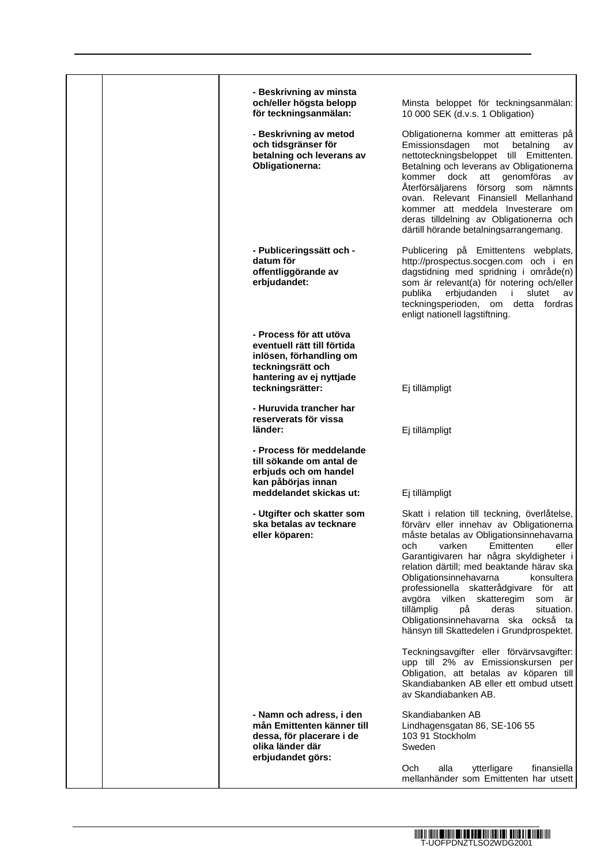| - Beskrivning av minsta<br>och/eller högsta belopp<br>för teckningsanmälan:                                                                            | Minsta beloppet för teckningsanmälan:<br>10 000 SEK (d.v.s. 1 Obligation)                                                                                                                                                                                                                                                                                                                                                                                                                                                            |
|--------------------------------------------------------------------------------------------------------------------------------------------------------|--------------------------------------------------------------------------------------------------------------------------------------------------------------------------------------------------------------------------------------------------------------------------------------------------------------------------------------------------------------------------------------------------------------------------------------------------------------------------------------------------------------------------------------|
| - Beskrivning av metod<br>och tidsgränser för<br>betalning och leverans av<br>Obligationerna:                                                          | Obligationerna kommer att emitteras på<br>Emissionsdagen<br>betalning<br>mot<br>av<br>nettoteckningsbeloppet till Emittenten.<br>Betalning och leverans av Obligationerna<br>kommer dock att genomföras<br>av<br>Återförsäljarens försorg som nämnts<br>ovan. Relevant Finansiell Mellanhand<br>kommer att meddela Investerare om<br>deras tilldelning av Obligationerna och<br>därtill hörande betalningsarrangemang.                                                                                                               |
| - Publiceringssätt och -<br>datum för<br>offentliggörande av<br>erbjudandet:                                                                           | Publicering på Emittentens webplats,<br>http://prospectus.socgen.com och i en<br>dagstidning med spridning i område(n)<br>som är relevant(a) för notering och/eller<br>erbjudanden<br>publika<br>j.<br>slutet<br>av<br>teckningsperioden, om detta fordras<br>enligt nationell lagstiftning.                                                                                                                                                                                                                                         |
| - Process för att utöva<br>eventuell rätt till förtida<br>inlösen, förhandling om<br>teckningsrätt och<br>hantering av ej nyttjade<br>teckningsrätter: | Ej tillämpligt                                                                                                                                                                                                                                                                                                                                                                                                                                                                                                                       |
| - Huruvida trancher har<br>reserverats för vissa<br>länder:                                                                                            | Ej tillämpligt                                                                                                                                                                                                                                                                                                                                                                                                                                                                                                                       |
| - Process för meddelande<br>till sökande om antal de<br>erbjuds och om handel<br>kan påbörjas innan<br>meddelandet skickas ut:                         | Ej tillämpligt                                                                                                                                                                                                                                                                                                                                                                                                                                                                                                                       |
| - Utgifter och skatter som<br>ska betalas av tecknare<br>eller köparen:                                                                                | Skatt i relation till teckning, överlåtelse,<br>förvärv eller innehav av Obligationerna<br>måste betalas av Obligationsinnehavarna<br>Emittenten<br>och<br>varken<br>eller<br>Garantigivaren har några skyldigheter i<br>relation därtill; med beaktande härav ska<br>Obligationsinnehavarna<br>konsultera<br>professionella skatterådgivare för att<br>avgöra vilken<br>skatteregim<br>som<br>är<br>tillämplig<br>рå<br>deras<br>situation.<br>Obligationsinnehavarna ska<br>också ta<br>hänsyn till Skattedelen i Grundprospektet. |
|                                                                                                                                                        | Teckningsavgifter eller förvärvsavgifter:<br>upp till 2% av Emissionskursen per<br>Obligation, att betalas av köparen till<br>Skandiabanken AB eller ett ombud utsett<br>av Skandiabanken AB.                                                                                                                                                                                                                                                                                                                                        |
| - Namn och adress, i den<br>mån Emittenten känner till<br>dessa, för placerare i de<br>olika länder där<br>erbjudandet görs:                           | Skandiabanken AB<br>Lindhagensgatan 86, SE-106 55<br>103 91 Stockholm<br>Sweden                                                                                                                                                                                                                                                                                                                                                                                                                                                      |
|                                                                                                                                                        | Och.<br>alla<br>finansiella<br>ytterligare<br>mellanhänder som Emittenten har utsett                                                                                                                                                                                                                                                                                                                                                                                                                                                 |